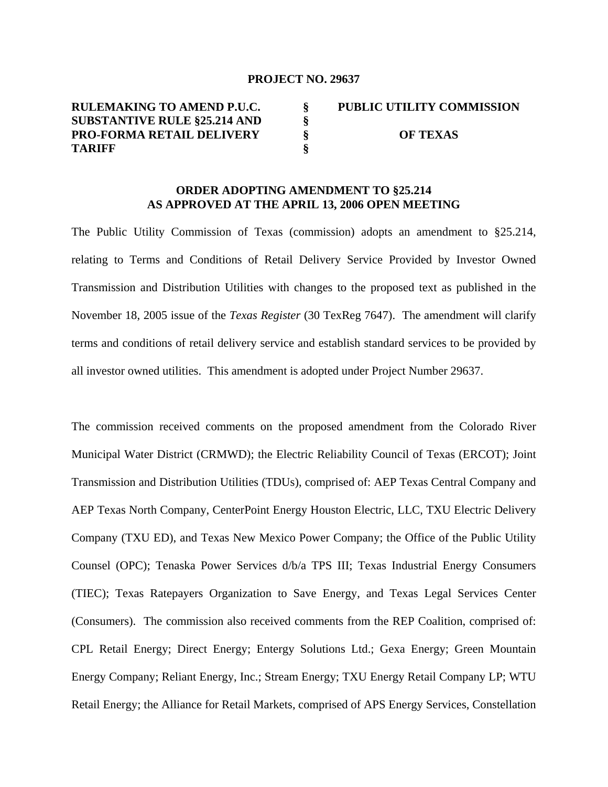### **PROJECT NO. 29637**

**RULEMAKING TO AMEND P.U.C. SUBSTANTIVE RULE §25.214 AND PRO-FORMA RETAIL DELIVERY TARIFF § § § § PUBLIC UTILITY COMMISSION OF TEXAS** 

# **ORDER ADOPTING AMENDMENT TO §25.214 AS APPROVED AT THE APRIL 13, 2006 OPEN MEETING**

The Public Utility Commission of Texas (commission) adopts an amendment to §25.214, relating to Terms and Conditions of Retail Delivery Service Provided by Investor Owned Transmission and Distribution Utilities with changes to the proposed text as published in the November 18, 2005 issue of the *Texas Register* (30 TexReg 7647). The amendment will clarify terms and conditions of retail delivery service and establish standard services to be provided by all investor owned utilities. This amendment is adopted under Project Number 29637.

The commission received comments on the proposed amendment from the Colorado River Municipal Water District (CRMWD); the Electric Reliability Council of Texas (ERCOT); Joint Transmission and Distribution Utilities (TDUs), comprised of: AEP Texas Central Company and AEP Texas North Company, CenterPoint Energy Houston Electric, LLC, TXU Electric Delivery Company (TXU ED), and Texas New Mexico Power Company; the Office of the Public Utility Counsel (OPC); Tenaska Power Services d/b/a TPS III; Texas Industrial Energy Consumers (TIEC); Texas Ratepayers Organization to Save Energy, and Texas Legal Services Center (Consumers). The commission also received comments from the REP Coalition, comprised of: CPL Retail Energy; Direct Energy; Entergy Solutions Ltd.; Gexa Energy; Green Mountain Energy Company; Reliant Energy, Inc.; Stream Energy; TXU Energy Retail Company LP; WTU Retail Energy; the Alliance for Retail Markets, comprised of APS Energy Services, Constellation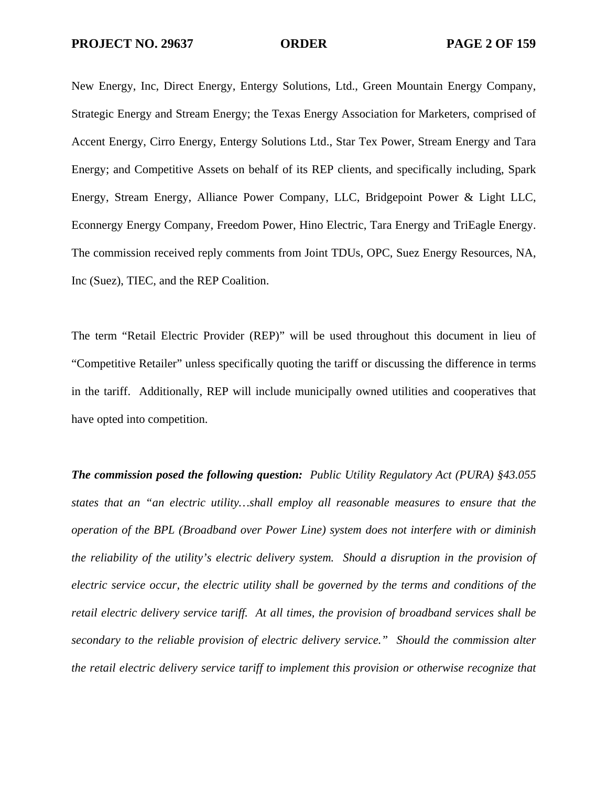New Energy, Inc, Direct Energy, Entergy Solutions, Ltd., Green Mountain Energy Company, Strategic Energy and Stream Energy; the Texas Energy Association for Marketers, comprised of Accent Energy, Cirro Energy, Entergy Solutions Ltd., Star Tex Power, Stream Energy and Tara Energy; and Competitive Assets on behalf of its REP clients, and specifically including, Spark Energy, Stream Energy, Alliance Power Company, LLC, Bridgepoint Power & Light LLC, Econnergy Energy Company, Freedom Power, Hino Electric, Tara Energy and TriEagle Energy. The commission received reply comments from Joint TDUs, OPC, Suez Energy Resources, NA, Inc (Suez), TIEC, and the REP Coalition.

The term "Retail Electric Provider (REP)" will be used throughout this document in lieu of "Competitive Retailer" unless specifically quoting the tariff or discussing the difference in terms in the tariff. Additionally, REP will include municipally owned utilities and cooperatives that have opted into competition.

*The commission posed the following question: Public Utility Regulatory Act (PURA) §43.055 states that an "an electric utility…shall employ all reasonable measures to ensure that the operation of the BPL (Broadband over Power Line) system does not interfere with or diminish the reliability of the utility's electric delivery system. Should a disruption in the provision of electric service occur, the electric utility shall be governed by the terms and conditions of the retail electric delivery service tariff. At all times, the provision of broadband services shall be secondary to the reliable provision of electric delivery service." Should the commission alter the retail electric delivery service tariff to implement this provision or otherwise recognize that*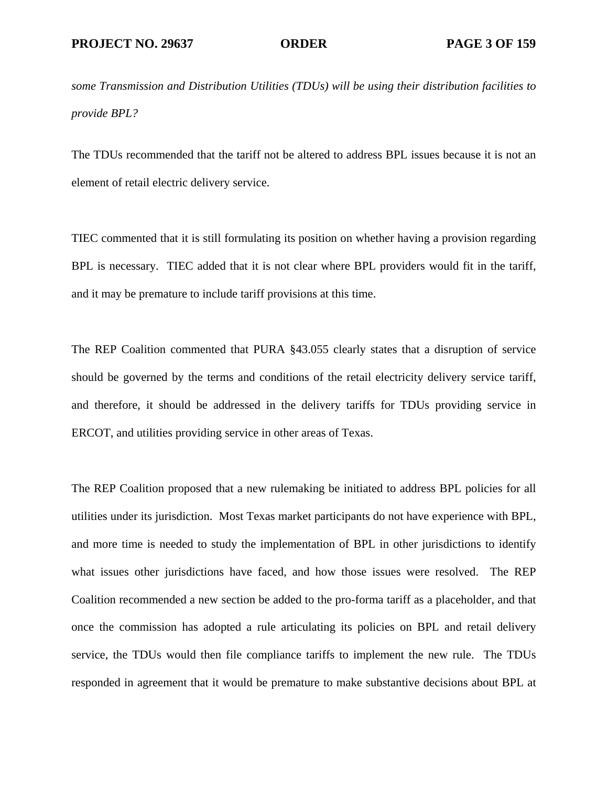*some Transmission and Distribution Utilities (TDUs) will be using their distribution facilities to provide BPL?* 

The TDUs recommended that the tariff not be altered to address BPL issues because it is not an element of retail electric delivery service.

TIEC commented that it is still formulating its position on whether having a provision regarding BPL is necessary. TIEC added that it is not clear where BPL providers would fit in the tariff, and it may be premature to include tariff provisions at this time.

The REP Coalition commented that PURA §43.055 clearly states that a disruption of service should be governed by the terms and conditions of the retail electricity delivery service tariff, and therefore, it should be addressed in the delivery tariffs for TDUs providing service in ERCOT, and utilities providing service in other areas of Texas.

The REP Coalition proposed that a new rulemaking be initiated to address BPL policies for all utilities under its jurisdiction. Most Texas market participants do not have experience with BPL, and more time is needed to study the implementation of BPL in other jurisdictions to identify what issues other jurisdictions have faced, and how those issues were resolved. The REP Coalition recommended a new section be added to the pro-forma tariff as a placeholder, and that once the commission has adopted a rule articulating its policies on BPL and retail delivery service, the TDUs would then file compliance tariffs to implement the new rule. The TDUs responded in agreement that it would be premature to make substantive decisions about BPL at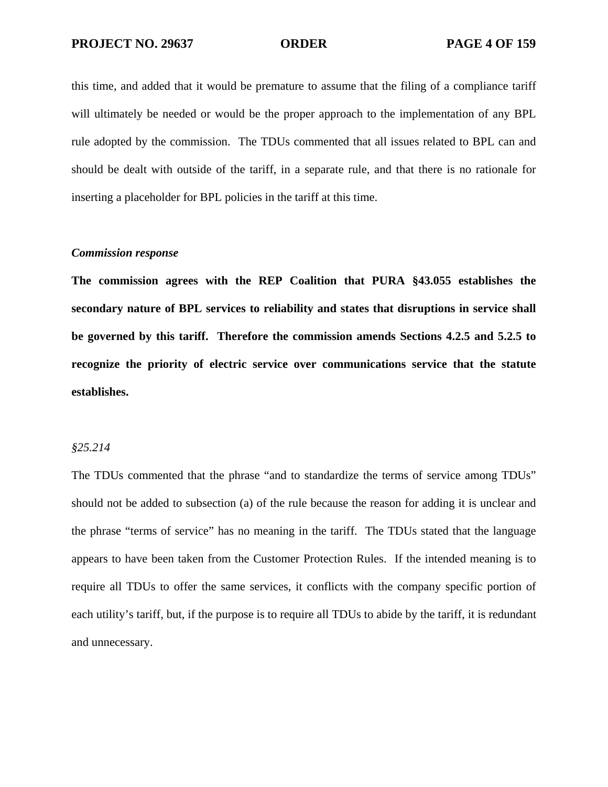this time, and added that it would be premature to assume that the filing of a compliance tariff will ultimately be needed or would be the proper approach to the implementation of any BPL rule adopted by the commission. The TDUs commented that all issues related to BPL can and should be dealt with outside of the tariff, in a separate rule, and that there is no rationale for inserting a placeholder for BPL policies in the tariff at this time.

### *Commission response*

**The commission agrees with the REP Coalition that PURA §43.055 establishes the secondary nature of BPL services to reliability and states that disruptions in service shall be governed by this tariff. Therefore the commission amends Sections 4.2.5 and 5.2.5 to recognize the priority of electric service over communications service that the statute establishes.** 

### *§25.214*

The TDUs commented that the phrase "and to standardize the terms of service among TDUs" should not be added to subsection (a) of the rule because the reason for adding it is unclear and the phrase "terms of service" has no meaning in the tariff. The TDUs stated that the language appears to have been taken from the Customer Protection Rules. If the intended meaning is to require all TDUs to offer the same services, it conflicts with the company specific portion of each utility's tariff, but, if the purpose is to require all TDUs to abide by the tariff, it is redundant and unnecessary.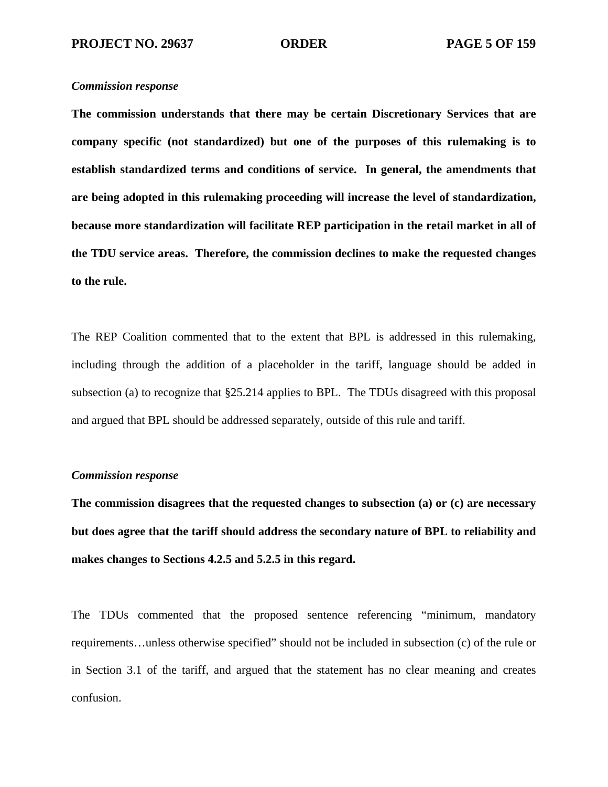# *Commission response*

**The commission understands that there may be certain Discretionary Services that are company specific (not standardized) but one of the purposes of this rulemaking is to establish standardized terms and conditions of service. In general, the amendments that are being adopted in this rulemaking proceeding will increase the level of standardization, because more standardization will facilitate REP participation in the retail market in all of the TDU service areas. Therefore, the commission declines to make the requested changes to the rule.**

The REP Coalition commented that to the extent that BPL is addressed in this rulemaking, including through the addition of a placeholder in the tariff, language should be added in subsection (a) to recognize that §25.214 applies to BPL. The TDUs disagreed with this proposal and argued that BPL should be addressed separately, outside of this rule and tariff.

# *Commission response*

**The commission disagrees that the requested changes to subsection (a) or (c) are necessary but does agree that the tariff should address the secondary nature of BPL to reliability and makes changes to Sections 4.2.5 and 5.2.5 in this regard.** 

The TDUs commented that the proposed sentence referencing "minimum, mandatory requirements…unless otherwise specified" should not be included in subsection (c) of the rule or in Section 3.1 of the tariff, and argued that the statement has no clear meaning and creates confusion.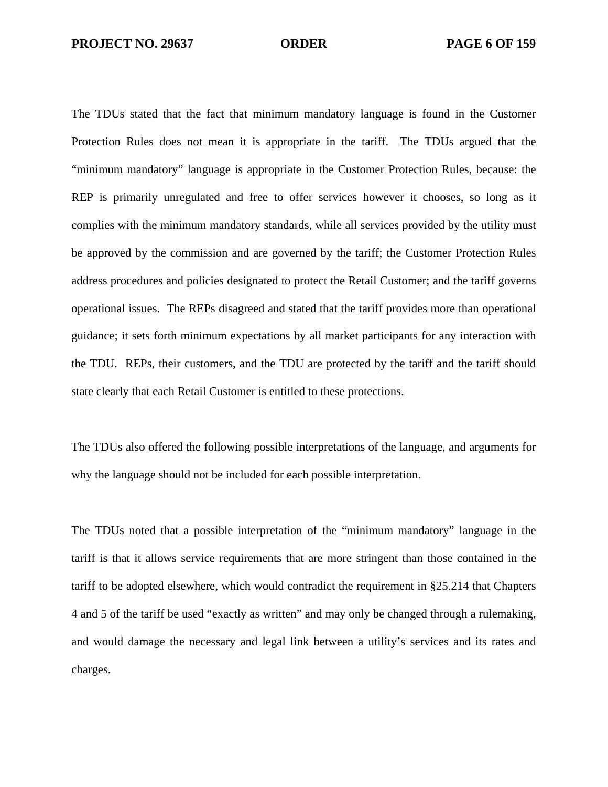The TDUs stated that the fact that minimum mandatory language is found in the Customer Protection Rules does not mean it is appropriate in the tariff. The TDUs argued that the "minimum mandatory" language is appropriate in the Customer Protection Rules, because: the REP is primarily unregulated and free to offer services however it chooses, so long as it complies with the minimum mandatory standards, while all services provided by the utility must be approved by the commission and are governed by the tariff; the Customer Protection Rules address procedures and policies designated to protect the Retail Customer; and the tariff governs operational issues. The REPs disagreed and stated that the tariff provides more than operational guidance; it sets forth minimum expectations by all market participants for any interaction with the TDU. REPs, their customers, and the TDU are protected by the tariff and the tariff should state clearly that each Retail Customer is entitled to these protections.

The TDUs also offered the following possible interpretations of the language, and arguments for why the language should not be included for each possible interpretation.

The TDUs noted that a possible interpretation of the "minimum mandatory" language in the tariff is that it allows service requirements that are more stringent than those contained in the tariff to be adopted elsewhere, which would contradict the requirement in §25.214 that Chapters 4 and 5 of the tariff be used "exactly as written" and may only be changed through a rulemaking, and would damage the necessary and legal link between a utility's services and its rates and charges.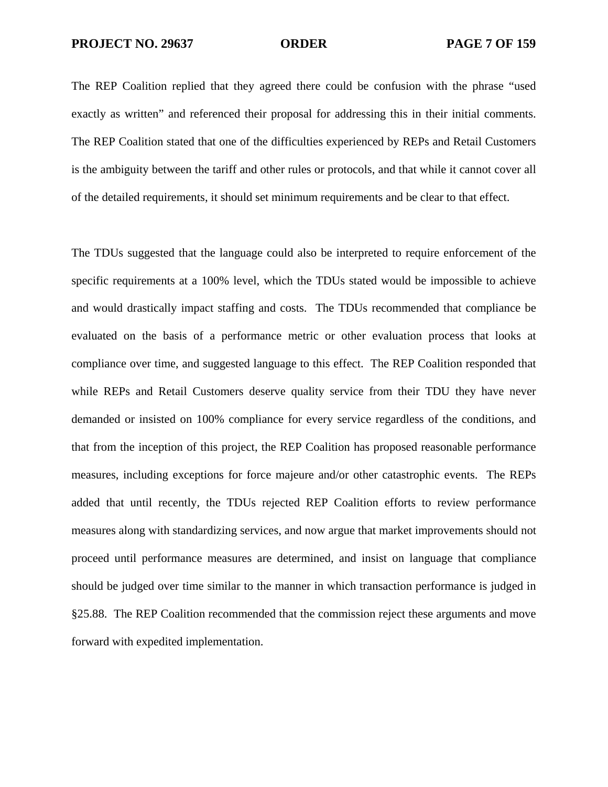The REP Coalition replied that they agreed there could be confusion with the phrase "used exactly as written" and referenced their proposal for addressing this in their initial comments. The REP Coalition stated that one of the difficulties experienced by REPs and Retail Customers is the ambiguity between the tariff and other rules or protocols, and that while it cannot cover all of the detailed requirements, it should set minimum requirements and be clear to that effect.

The TDUs suggested that the language could also be interpreted to require enforcement of the specific requirements at a 100% level, which the TDUs stated would be impossible to achieve and would drastically impact staffing and costs. The TDUs recommended that compliance be evaluated on the basis of a performance metric or other evaluation process that looks at compliance over time, and suggested language to this effect. The REP Coalition responded that while REPs and Retail Customers deserve quality service from their TDU they have never demanded or insisted on 100% compliance for every service regardless of the conditions, and that from the inception of this project, the REP Coalition has proposed reasonable performance measures, including exceptions for force majeure and/or other catastrophic events. The REPs added that until recently, the TDUs rejected REP Coalition efforts to review performance measures along with standardizing services, and now argue that market improvements should not proceed until performance measures are determined, and insist on language that compliance should be judged over time similar to the manner in which transaction performance is judged in §25.88. The REP Coalition recommended that the commission reject these arguments and move forward with expedited implementation.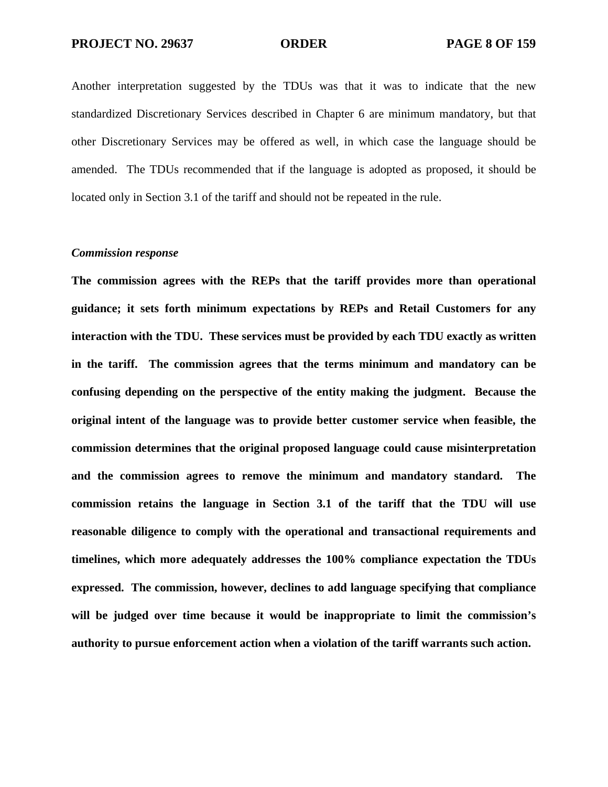Another interpretation suggested by the TDUs was that it was to indicate that the new standardized Discretionary Services described in Chapter 6 are minimum mandatory, but that other Discretionary Services may be offered as well, in which case the language should be amended. The TDUs recommended that if the language is adopted as proposed, it should be located only in Section 3.1 of the tariff and should not be repeated in the rule.

### *Commission response*

**The commission agrees with the REPs that the tariff provides more than operational guidance; it sets forth minimum expectations by REPs and Retail Customers for any interaction with the TDU. These services must be provided by each TDU exactly as written in the tariff. The commission agrees that the terms minimum and mandatory can be confusing depending on the perspective of the entity making the judgment. Because the original intent of the language was to provide better customer service when feasible, the commission determines that the original proposed language could cause misinterpretation and the commission agrees to remove the minimum and mandatory standard. The commission retains the language in Section 3.1 of the tariff that the TDU will use reasonable diligence to comply with the operational and transactional requirements and timelines, which more adequately addresses the 100% compliance expectation the TDUs expressed. The commission, however, declines to add language specifying that compliance will be judged over time because it would be inappropriate to limit the commission's authority to pursue enforcement action when a violation of the tariff warrants such action.**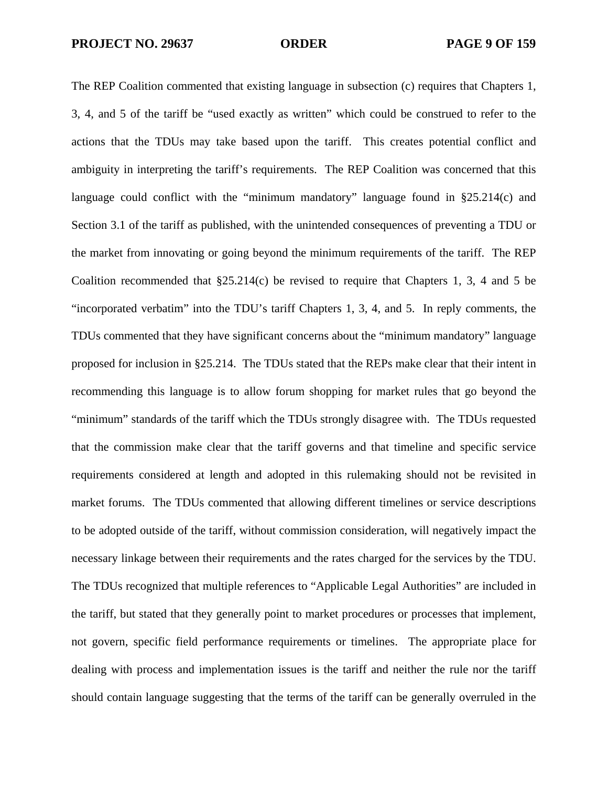The REP Coalition commented that existing language in subsection (c) requires that Chapters 1, 3, 4, and 5 of the tariff be "used exactly as written" which could be construed to refer to the actions that the TDUs may take based upon the tariff. This creates potential conflict and ambiguity in interpreting the tariff's requirements. The REP Coalition was concerned that this language could conflict with the "minimum mandatory" language found in §25.214(c) and Section 3.1 of the tariff as published, with the unintended consequences of preventing a TDU or the market from innovating or going beyond the minimum requirements of the tariff. The REP Coalition recommended that  $\S25.214(c)$  be revised to require that Chapters 1, 3, 4 and 5 be "incorporated verbatim" into the TDU's tariff Chapters 1, 3, 4, and 5. In reply comments, the TDUs commented that they have significant concerns about the "minimum mandatory" language proposed for inclusion in §25.214. The TDUs stated that the REPs make clear that their intent in recommending this language is to allow forum shopping for market rules that go beyond the "minimum" standards of the tariff which the TDUs strongly disagree with. The TDUs requested that the commission make clear that the tariff governs and that timeline and specific service requirements considered at length and adopted in this rulemaking should not be revisited in market forums. The TDUs commented that allowing different timelines or service descriptions to be adopted outside of the tariff, without commission consideration, will negatively impact the necessary linkage between their requirements and the rates charged for the services by the TDU. The TDUs recognized that multiple references to "Applicable Legal Authorities" are included in the tariff, but stated that they generally point to market procedures or processes that implement, not govern, specific field performance requirements or timelines. The appropriate place for dealing with process and implementation issues is the tariff and neither the rule nor the tariff should contain language suggesting that the terms of the tariff can be generally overruled in the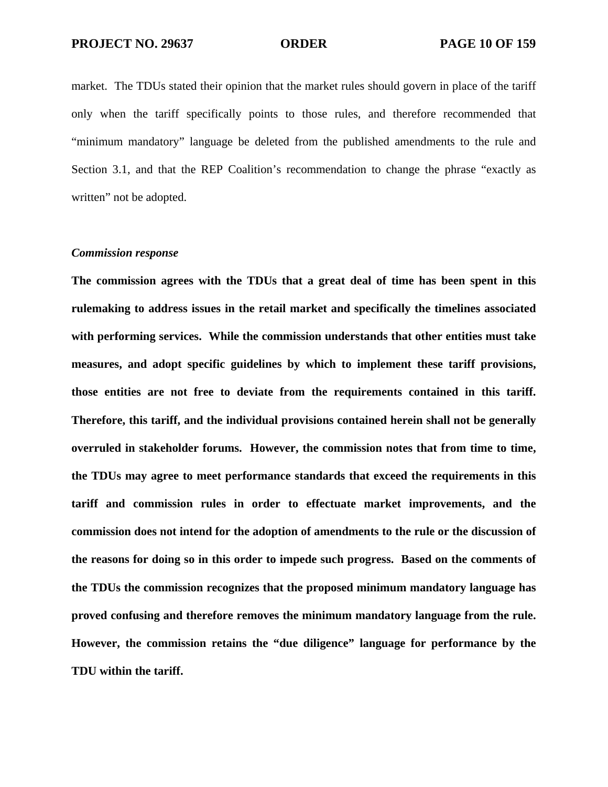market. The TDUs stated their opinion that the market rules should govern in place of the tariff only when the tariff specifically points to those rules, and therefore recommended that "minimum mandatory" language be deleted from the published amendments to the rule and Section 3.1, and that the REP Coalition's recommendation to change the phrase "exactly as written" not be adopted.

### *Commission response*

**The commission agrees with the TDUs that a great deal of time has been spent in this rulemaking to address issues in the retail market and specifically the timelines associated with performing services. While the commission understands that other entities must take measures, and adopt specific guidelines by which to implement these tariff provisions, those entities are not free to deviate from the requirements contained in this tariff. Therefore, this tariff, and the individual provisions contained herein shall not be generally overruled in stakeholder forums. However, the commission notes that from time to time, the TDUs may agree to meet performance standards that exceed the requirements in this tariff and commission rules in order to effectuate market improvements, and the commission does not intend for the adoption of amendments to the rule or the discussion of the reasons for doing so in this order to impede such progress. Based on the comments of the TDUs the commission recognizes that the proposed minimum mandatory language has proved confusing and therefore removes the minimum mandatory language from the rule. However, the commission retains the "due diligence" language for performance by the TDU within the tariff.**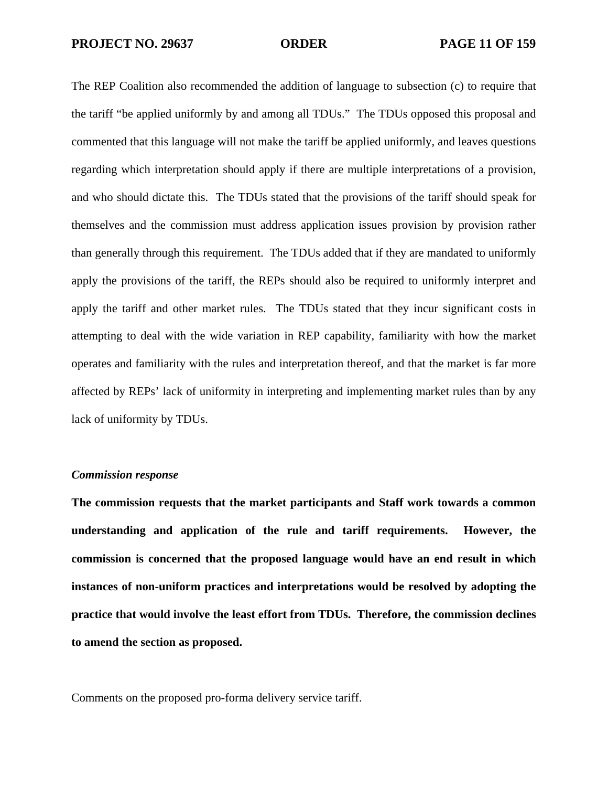The REP Coalition also recommended the addition of language to subsection (c) to require that the tariff "be applied uniformly by and among all TDUs." The TDUs opposed this proposal and commented that this language will not make the tariff be applied uniformly, and leaves questions regarding which interpretation should apply if there are multiple interpretations of a provision, and who should dictate this. The TDUs stated that the provisions of the tariff should speak for themselves and the commission must address application issues provision by provision rather than generally through this requirement. The TDUs added that if they are mandated to uniformly apply the provisions of the tariff, the REPs should also be required to uniformly interpret and apply the tariff and other market rules. The TDUs stated that they incur significant costs in attempting to deal with the wide variation in REP capability, familiarity with how the market operates and familiarity with the rules and interpretation thereof, and that the market is far more affected by REPs' lack of uniformity in interpreting and implementing market rules than by any lack of uniformity by TDUs.

# *Commission response*

**The commission requests that the market participants and Staff work towards a common understanding and application of the rule and tariff requirements. However, the commission is concerned that the proposed language would have an end result in which instances of non-uniform practices and interpretations would be resolved by adopting the practice that would involve the least effort from TDUs. Therefore, the commission declines to amend the section as proposed.** 

Comments on the proposed pro-forma delivery service tariff.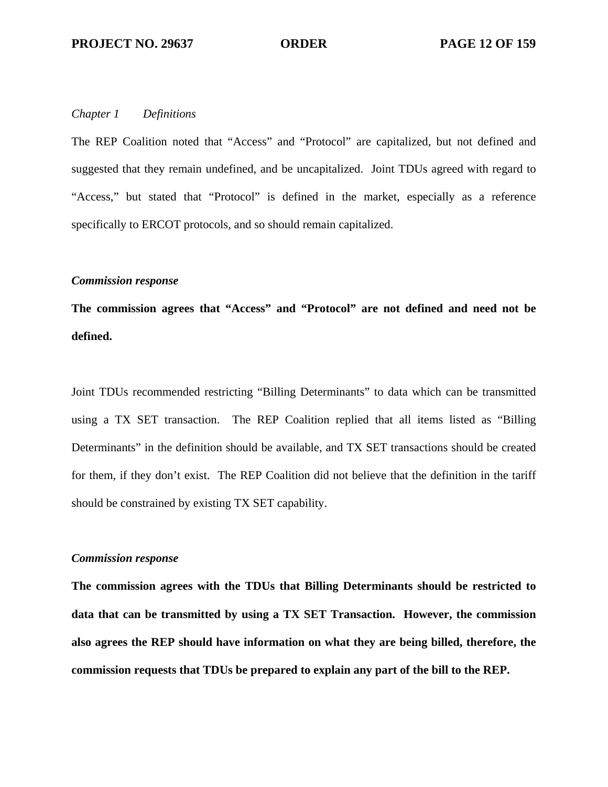## *Chapter 1 Definitions*

The REP Coalition noted that "Access" and "Protocol" are capitalized, but not defined and suggested that they remain undefined, and be uncapitalized. Joint TDUs agreed with regard to "Access," but stated that "Protocol" is defined in the market, especially as a reference specifically to ERCOT protocols, and so should remain capitalized.

# *Commission response*

**The commission agrees that "Access" and "Protocol" are not defined and need not be defined.** 

Joint TDUs recommended restricting "Billing Determinants" to data which can be transmitted using a TX SET transaction. The REP Coalition replied that all items listed as "Billing Determinants" in the definition should be available, and TX SET transactions should be created for them, if they don't exist. The REP Coalition did not believe that the definition in the tariff should be constrained by existing TX SET capability.

## *Commission response*

**The commission agrees with the TDUs that Billing Determinants should be restricted to data that can be transmitted by using a TX SET Transaction. However, the commission also agrees the REP should have information on what they are being billed, therefore, the commission requests that TDUs be prepared to explain any part of the bill to the REP.**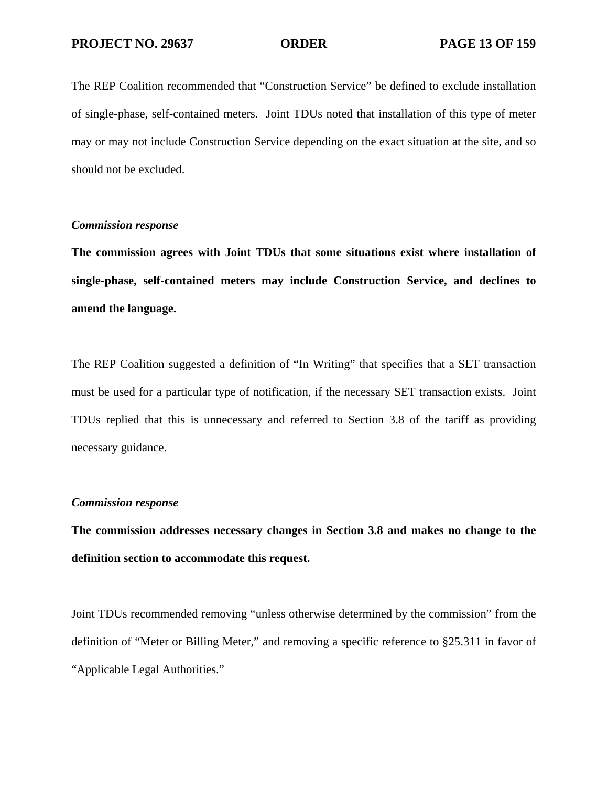The REP Coalition recommended that "Construction Service" be defined to exclude installation of single-phase, self-contained meters. Joint TDUs noted that installation of this type of meter may or may not include Construction Service depending on the exact situation at the site, and so should not be excluded.

# *Commission response*

**The commission agrees with Joint TDUs that some situations exist where installation of single-phase, self-contained meters may include Construction Service, and declines to amend the language.** 

The REP Coalition suggested a definition of "In Writing" that specifies that a SET transaction must be used for a particular type of notification, if the necessary SET transaction exists. Joint TDUs replied that this is unnecessary and referred to Section 3.8 of the tariff as providing necessary guidance.

## *Commission response*

**The commission addresses necessary changes in Section 3.8 and makes no change to the definition section to accommodate this request.** 

Joint TDUs recommended removing "unless otherwise determined by the commission" from the definition of "Meter or Billing Meter," and removing a specific reference to §25.311 in favor of "Applicable Legal Authorities."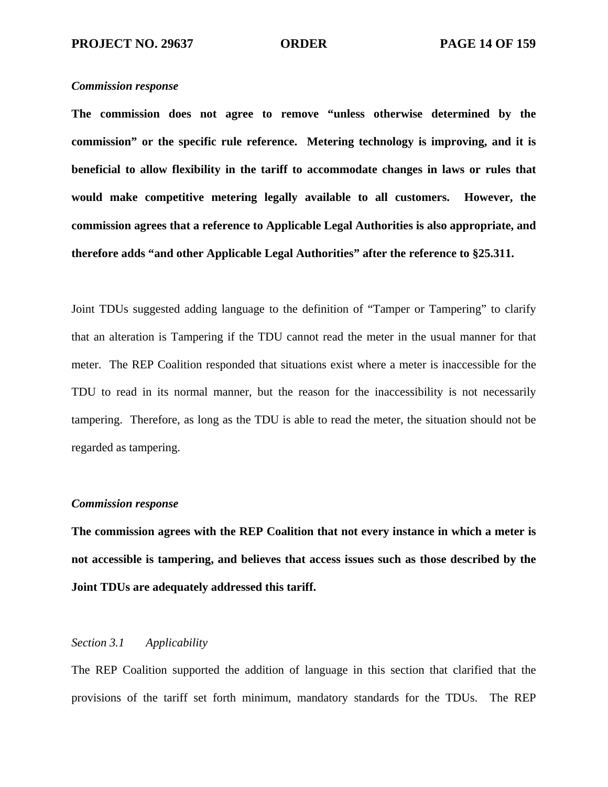## *Commission response*

**The commission does not agree to remove "unless otherwise determined by the commission" or the specific rule reference. Metering technology is improving, and it is beneficial to allow flexibility in the tariff to accommodate changes in laws or rules that would make competitive metering legally available to all customers. However, the commission agrees that a reference to Applicable Legal Authorities is also appropriate, and therefore adds "and other Applicable Legal Authorities" after the reference to §25.311.** 

Joint TDUs suggested adding language to the definition of "Tamper or Tampering" to clarify that an alteration is Tampering if the TDU cannot read the meter in the usual manner for that meter. The REP Coalition responded that situations exist where a meter is inaccessible for the TDU to read in its normal manner, but the reason for the inaccessibility is not necessarily tampering. Therefore, as long as the TDU is able to read the meter, the situation should not be regarded as tampering.

### *Commission response*

**The commission agrees with the REP Coalition that not every instance in which a meter is not accessible is tampering, and believes that access issues such as those described by the Joint TDUs are adequately addressed this tariff.** 

## *Section 3.1 Applicability*

The REP Coalition supported the addition of language in this section that clarified that the provisions of the tariff set forth minimum, mandatory standards for the TDUs. The REP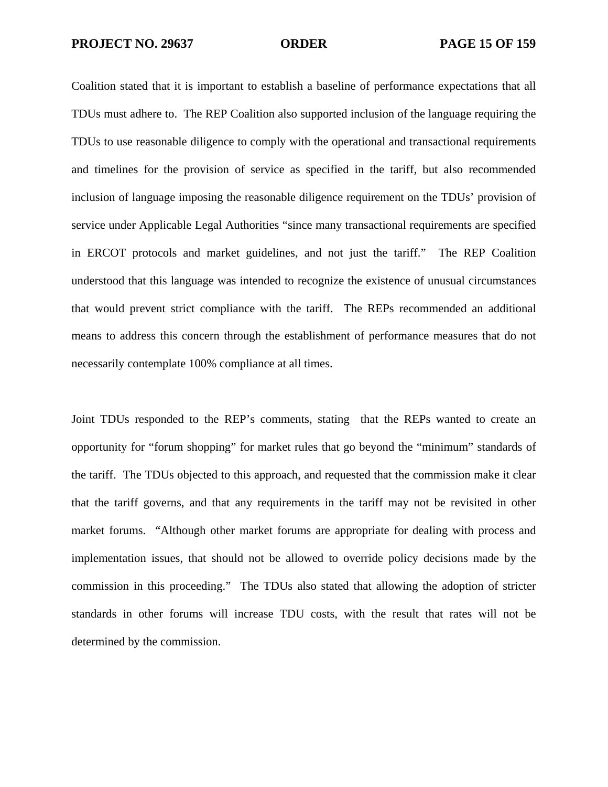**PROJECT NO. 29637 ORDER PAGE 15 OF 159** 

Coalition stated that it is important to establish a baseline of performance expectations that all TDUs must adhere to. The REP Coalition also supported inclusion of the language requiring the TDUs to use reasonable diligence to comply with the operational and transactional requirements and timelines for the provision of service as specified in the tariff, but also recommended inclusion of language imposing the reasonable diligence requirement on the TDUs' provision of service under Applicable Legal Authorities "since many transactional requirements are specified in ERCOT protocols and market guidelines, and not just the tariff." The REP Coalition understood that this language was intended to recognize the existence of unusual circumstances that would prevent strict compliance with the tariff. The REPs recommended an additional means to address this concern through the establishment of performance measures that do not necessarily contemplate 100% compliance at all times.

Joint TDUs responded to the REP's comments, stating that the REPs wanted to create an opportunity for "forum shopping" for market rules that go beyond the "minimum" standards of the tariff. The TDUs objected to this approach, and requested that the commission make it clear that the tariff governs, and that any requirements in the tariff may not be revisited in other market forums. "Although other market forums are appropriate for dealing with process and implementation issues, that should not be allowed to override policy decisions made by the commission in this proceeding." The TDUs also stated that allowing the adoption of stricter standards in other forums will increase TDU costs, with the result that rates will not be determined by the commission.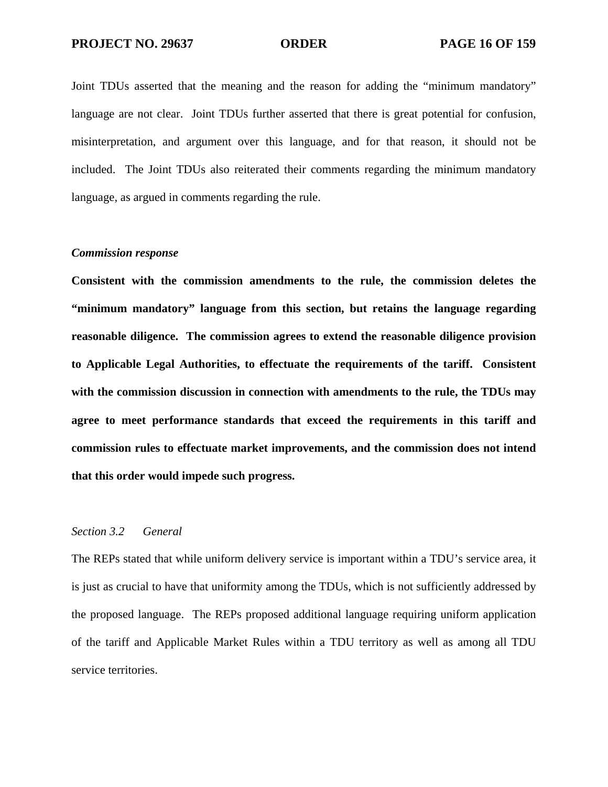Joint TDUs asserted that the meaning and the reason for adding the "minimum mandatory" language are not clear. Joint TDUs further asserted that there is great potential for confusion, misinterpretation, and argument over this language, and for that reason, it should not be included. The Joint TDUs also reiterated their comments regarding the minimum mandatory language, as argued in comments regarding the rule.

### *Commission response*

**Consistent with the commission amendments to the rule, the commission deletes the "minimum mandatory" language from this section, but retains the language regarding reasonable diligence. The commission agrees to extend the reasonable diligence provision to Applicable Legal Authorities, to effectuate the requirements of the tariff. Consistent with the commission discussion in connection with amendments to the rule, the TDUs may agree to meet performance standards that exceed the requirements in this tariff and commission rules to effectuate market improvements, and the commission does not intend that this order would impede such progress.** 

## *Section 3.2 General*

The REPs stated that while uniform delivery service is important within a TDU's service area, it is just as crucial to have that uniformity among the TDUs, which is not sufficiently addressed by the proposed language. The REPs proposed additional language requiring uniform application of the tariff and Applicable Market Rules within a TDU territory as well as among all TDU service territories.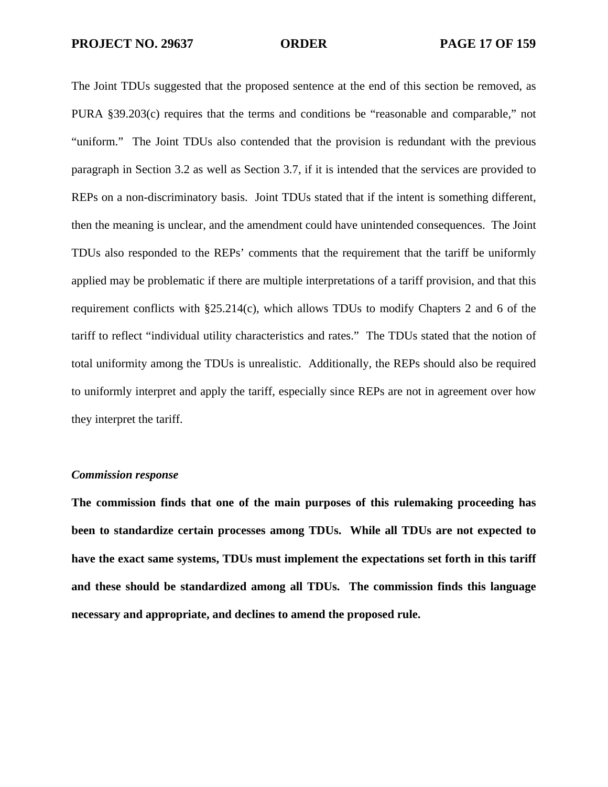The Joint TDUs suggested that the proposed sentence at the end of this section be removed, as PURA §39.203(c) requires that the terms and conditions be "reasonable and comparable," not "uniform." The Joint TDUs also contended that the provision is redundant with the previous paragraph in Section 3.2 as well as Section 3.7, if it is intended that the services are provided to REPs on a non-discriminatory basis. Joint TDUs stated that if the intent is something different, then the meaning is unclear, and the amendment could have unintended consequences. The Joint TDUs also responded to the REPs' comments that the requirement that the tariff be uniformly applied may be problematic if there are multiple interpretations of a tariff provision, and that this requirement conflicts with §25.214(c), which allows TDUs to modify Chapters 2 and 6 of the tariff to reflect "individual utility characteristics and rates." The TDUs stated that the notion of total uniformity among the TDUs is unrealistic. Additionally, the REPs should also be required to uniformly interpret and apply the tariff, especially since REPs are not in agreement over how they interpret the tariff.

# *Commission response*

**The commission finds that one of the main purposes of this rulemaking proceeding has been to standardize certain processes among TDUs. While all TDUs are not expected to have the exact same systems, TDUs must implement the expectations set forth in this tariff and these should be standardized among all TDUs. The commission finds this language necessary and appropriate, and declines to amend the proposed rule.**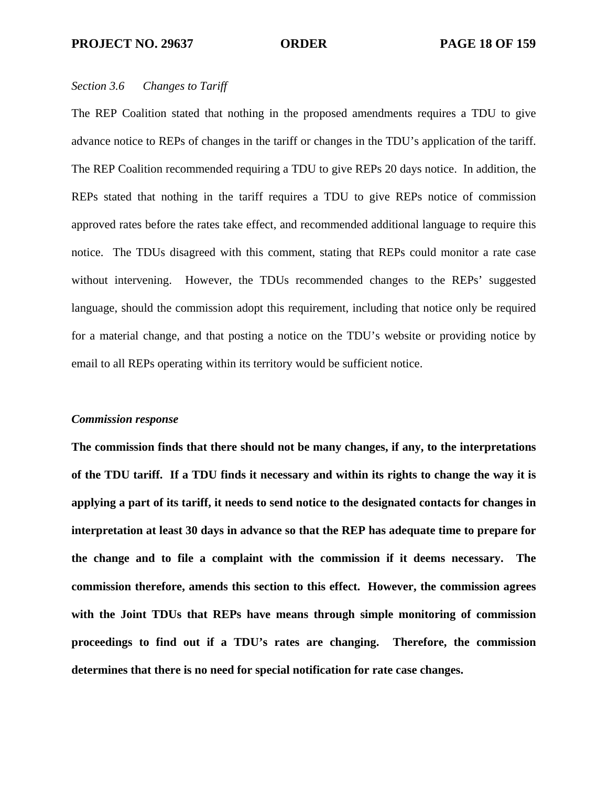### *Section 3.6 Changes to Tariff*

The REP Coalition stated that nothing in the proposed amendments requires a TDU to give advance notice to REPs of changes in the tariff or changes in the TDU's application of the tariff. The REP Coalition recommended requiring a TDU to give REPs 20 days notice. In addition, the REPs stated that nothing in the tariff requires a TDU to give REPs notice of commission approved rates before the rates take effect, and recommended additional language to require this notice. The TDUs disagreed with this comment, stating that REPs could monitor a rate case without intervening. However, the TDUs recommended changes to the REPs' suggested language, should the commission adopt this requirement, including that notice only be required for a material change, and that posting a notice on the TDU's website or providing notice by email to all REPs operating within its territory would be sufficient notice.

### *Commission response*

**The commission finds that there should not be many changes, if any, to the interpretations of the TDU tariff. If a TDU finds it necessary and within its rights to change the way it is applying a part of its tariff, it needs to send notice to the designated contacts for changes in interpretation at least 30 days in advance so that the REP has adequate time to prepare for the change and to file a complaint with the commission if it deems necessary. The commission therefore, amends this section to this effect. However, the commission agrees with the Joint TDUs that REPs have means through simple monitoring of commission proceedings to find out if a TDU's rates are changing. Therefore, the commission determines that there is no need for special notification for rate case changes.**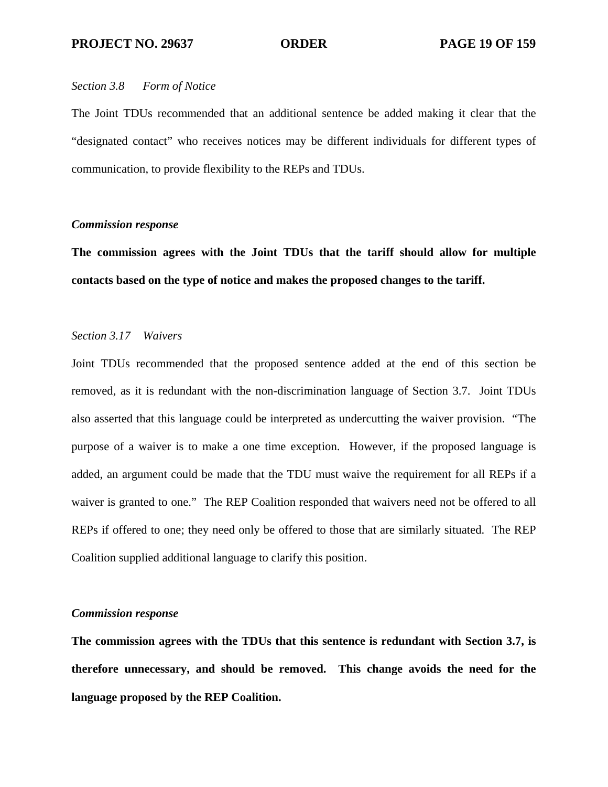### *Section 3.8 Form of Notice*

The Joint TDUs recommended that an additional sentence be added making it clear that the "designated contact" who receives notices may be different individuals for different types of communication, to provide flexibility to the REPs and TDUs.

# *Commission response*

**The commission agrees with the Joint TDUs that the tariff should allow for multiple contacts based on the type of notice and makes the proposed changes to the tariff.** 

## *Section 3.17 Waivers*

Joint TDUs recommended that the proposed sentence added at the end of this section be removed, as it is redundant with the non-discrimination language of Section 3.7. Joint TDUs also asserted that this language could be interpreted as undercutting the waiver provision. "The purpose of a waiver is to make a one time exception. However, if the proposed language is added, an argument could be made that the TDU must waive the requirement for all REPs if a waiver is granted to one." The REP Coalition responded that waivers need not be offered to all REPs if offered to one; they need only be offered to those that are similarly situated. The REP Coalition supplied additional language to clarify this position.

## *Commission response*

**The commission agrees with the TDUs that this sentence is redundant with Section 3.7, is therefore unnecessary, and should be removed. This change avoids the need for the language proposed by the REP Coalition.**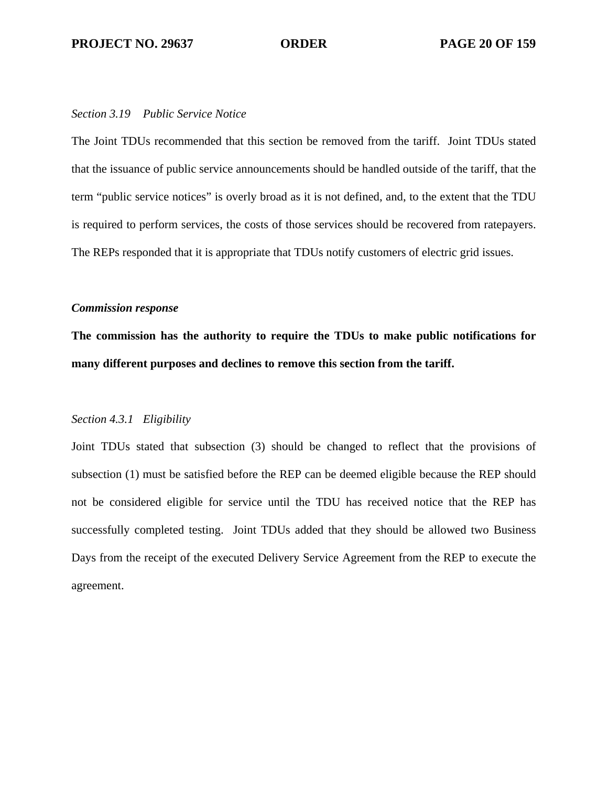## *Section 3.19 Public Service Notice*

The Joint TDUs recommended that this section be removed from the tariff. Joint TDUs stated that the issuance of public service announcements should be handled outside of the tariff, that the term "public service notices" is overly broad as it is not defined, and, to the extent that the TDU is required to perform services, the costs of those services should be recovered from ratepayers. The REPs responded that it is appropriate that TDUs notify customers of electric grid issues.

## *Commission response*

**The commission has the authority to require the TDUs to make public notifications for many different purposes and declines to remove this section from the tariff.** 

# *Section 4.3.1 Eligibility*

Joint TDUs stated that subsection (3) should be changed to reflect that the provisions of subsection (1) must be satisfied before the REP can be deemed eligible because the REP should not be considered eligible for service until the TDU has received notice that the REP has successfully completed testing. Joint TDUs added that they should be allowed two Business Days from the receipt of the executed Delivery Service Agreement from the REP to execute the agreement.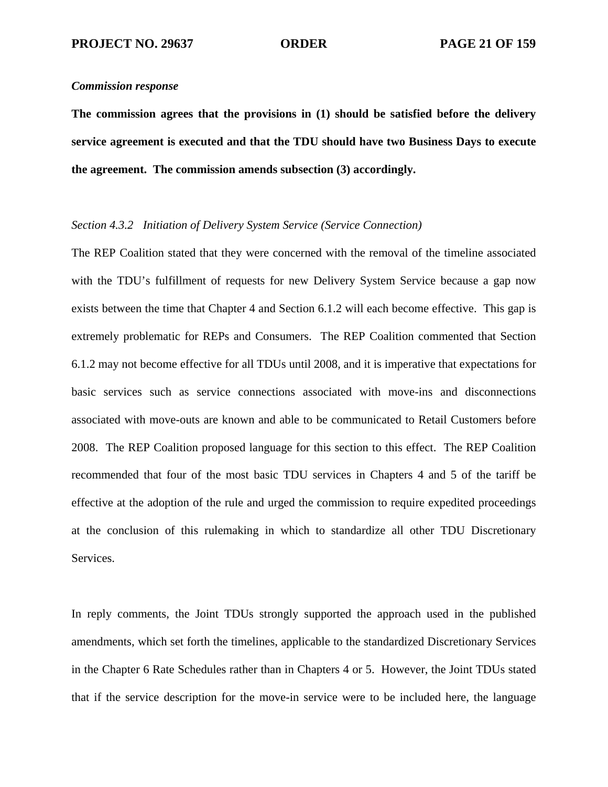## *Commission response*

**The commission agrees that the provisions in (1) should be satisfied before the delivery service agreement is executed and that the TDU should have two Business Days to execute the agreement. The commission amends subsection (3) accordingly.** 

# *Section 4.3.2 Initiation of Delivery System Service (Service Connection)*

The REP Coalition stated that they were concerned with the removal of the timeline associated with the TDU's fulfillment of requests for new Delivery System Service because a gap now exists between the time that Chapter 4 and Section 6.1.2 will each become effective. This gap is extremely problematic for REPs and Consumers. The REP Coalition commented that Section 6.1.2 may not become effective for all TDUs until 2008, and it is imperative that expectations for basic services such as service connections associated with move-ins and disconnections associated with move-outs are known and able to be communicated to Retail Customers before 2008. The REP Coalition proposed language for this section to this effect. The REP Coalition recommended that four of the most basic TDU services in Chapters 4 and 5 of the tariff be effective at the adoption of the rule and urged the commission to require expedited proceedings at the conclusion of this rulemaking in which to standardize all other TDU Discretionary Services.

In reply comments, the Joint TDUs strongly supported the approach used in the published amendments, which set forth the timelines, applicable to the standardized Discretionary Services in the Chapter 6 Rate Schedules rather than in Chapters 4 or 5. However, the Joint TDUs stated that if the service description for the move-in service were to be included here, the language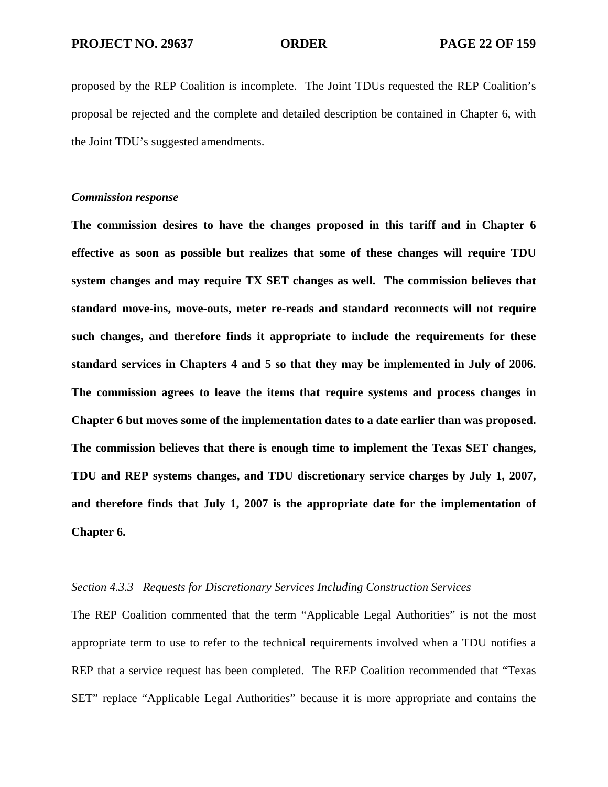proposed by the REP Coalition is incomplete. The Joint TDUs requested the REP Coalition's proposal be rejected and the complete and detailed description be contained in Chapter 6, with the Joint TDU's suggested amendments.

## *Commission response*

**The commission desires to have the changes proposed in this tariff and in Chapter 6 effective as soon as possible but realizes that some of these changes will require TDU system changes and may require TX SET changes as well. The commission believes that standard move-ins, move-outs, meter re-reads and standard reconnects will not require such changes, and therefore finds it appropriate to include the requirements for these standard services in Chapters 4 and 5 so that they may be implemented in July of 2006. The commission agrees to leave the items that require systems and process changes in Chapter 6 but moves some of the implementation dates to a date earlier than was proposed. The commission believes that there is enough time to implement the Texas SET changes, TDU and REP systems changes, and TDU discretionary service charges by July 1, 2007, and therefore finds that July 1, 2007 is the appropriate date for the implementation of Chapter 6.** 

# *Section 4.3.3 Requests for Discretionary Services Including Construction Services*

The REP Coalition commented that the term "Applicable Legal Authorities" is not the most appropriate term to use to refer to the technical requirements involved when a TDU notifies a REP that a service request has been completed. The REP Coalition recommended that "Texas SET" replace "Applicable Legal Authorities" because it is more appropriate and contains the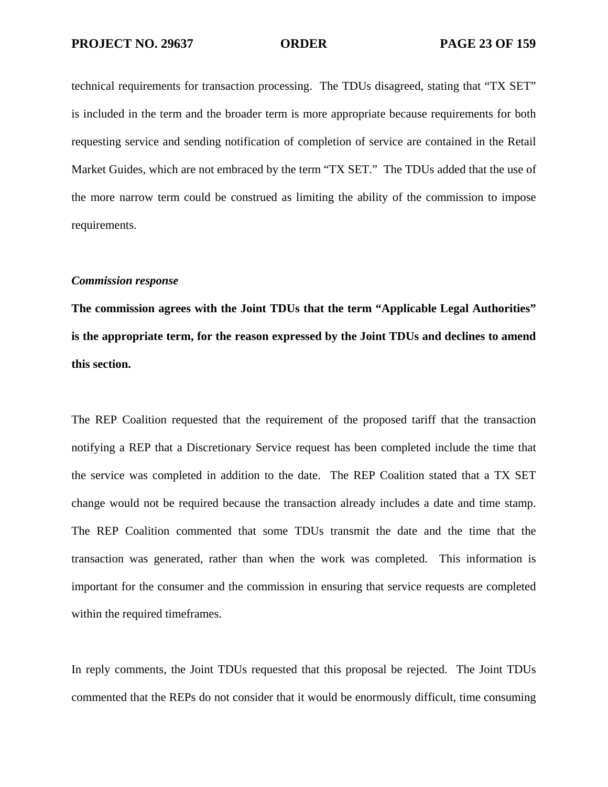technical requirements for transaction processing. The TDUs disagreed, stating that "TX SET" is included in the term and the broader term is more appropriate because requirements for both requesting service and sending notification of completion of service are contained in the Retail Market Guides, which are not embraced by the term "TX SET." The TDUs added that the use of the more narrow term could be construed as limiting the ability of the commission to impose requirements.

## *Commission response*

**The commission agrees with the Joint TDUs that the term "Applicable Legal Authorities" is the appropriate term, for the reason expressed by the Joint TDUs and declines to amend this section.** 

The REP Coalition requested that the requirement of the proposed tariff that the transaction notifying a REP that a Discretionary Service request has been completed include the time that the service was completed in addition to the date. The REP Coalition stated that a TX SET change would not be required because the transaction already includes a date and time stamp. The REP Coalition commented that some TDUs transmit the date and the time that the transaction was generated, rather than when the work was completed. This information is important for the consumer and the commission in ensuring that service requests are completed within the required timeframes.

In reply comments, the Joint TDUs requested that this proposal be rejected. The Joint TDUs commented that the REPs do not consider that it would be enormously difficult, time consuming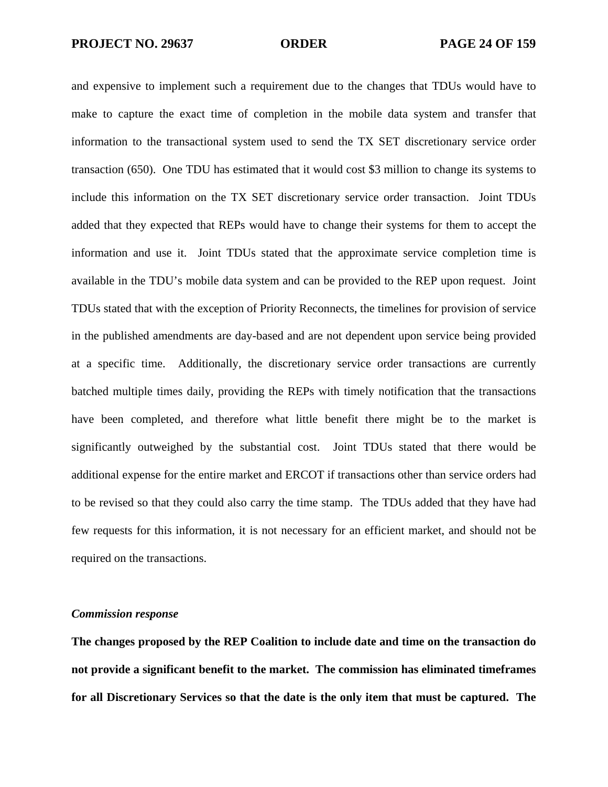and expensive to implement such a requirement due to the changes that TDUs would have to make to capture the exact time of completion in the mobile data system and transfer that information to the transactional system used to send the TX SET discretionary service order transaction (650). One TDU has estimated that it would cost \$3 million to change its systems to include this information on the TX SET discretionary service order transaction. Joint TDUs added that they expected that REPs would have to change their systems for them to accept the information and use it. Joint TDUs stated that the approximate service completion time is available in the TDU's mobile data system and can be provided to the REP upon request. Joint TDUs stated that with the exception of Priority Reconnects, the timelines for provision of service in the published amendments are day-based and are not dependent upon service being provided at a specific time. Additionally, the discretionary service order transactions are currently batched multiple times daily, providing the REPs with timely notification that the transactions have been completed, and therefore what little benefit there might be to the market is significantly outweighed by the substantial cost. Joint TDUs stated that there would be additional expense for the entire market and ERCOT if transactions other than service orders had to be revised so that they could also carry the time stamp. The TDUs added that they have had few requests for this information, it is not necessary for an efficient market, and should not be required on the transactions.

## *Commission response*

**The changes proposed by the REP Coalition to include date and time on the transaction do not provide a significant benefit to the market. The commission has eliminated timeframes for all Discretionary Services so that the date is the only item that must be captured. The**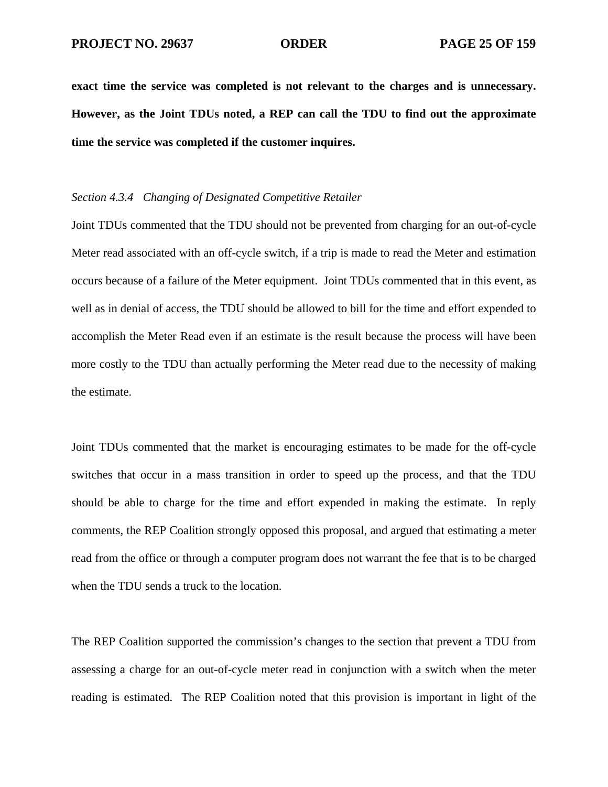**exact time the service was completed is not relevant to the charges and is unnecessary. However, as the Joint TDUs noted, a REP can call the TDU to find out the approximate time the service was completed if the customer inquires.** 

# *Section 4.3.4 Changing of Designated Competitive Retailer*

Joint TDUs commented that the TDU should not be prevented from charging for an out-of-cycle Meter read associated with an off-cycle switch, if a trip is made to read the Meter and estimation occurs because of a failure of the Meter equipment. Joint TDUs commented that in this event, as well as in denial of access, the TDU should be allowed to bill for the time and effort expended to accomplish the Meter Read even if an estimate is the result because the process will have been more costly to the TDU than actually performing the Meter read due to the necessity of making the estimate.

Joint TDUs commented that the market is encouraging estimates to be made for the off-cycle switches that occur in a mass transition in order to speed up the process, and that the TDU should be able to charge for the time and effort expended in making the estimate. In reply comments, the REP Coalition strongly opposed this proposal, and argued that estimating a meter read from the office or through a computer program does not warrant the fee that is to be charged when the TDU sends a truck to the location.

The REP Coalition supported the commission's changes to the section that prevent a TDU from assessing a charge for an out-of-cycle meter read in conjunction with a switch when the meter reading is estimated. The REP Coalition noted that this provision is important in light of the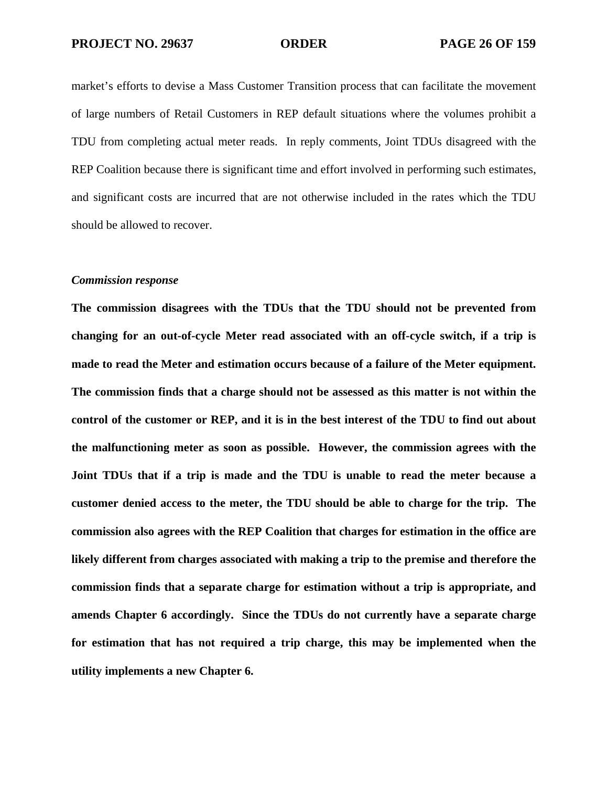market's efforts to devise a Mass Customer Transition process that can facilitate the movement of large numbers of Retail Customers in REP default situations where the volumes prohibit a TDU from completing actual meter reads. In reply comments, Joint TDUs disagreed with the REP Coalition because there is significant time and effort involved in performing such estimates, and significant costs are incurred that are not otherwise included in the rates which the TDU should be allowed to recover.

### *Commission response*

**The commission disagrees with the TDUs that the TDU should not be prevented from changing for an out-of-cycle Meter read associated with an off-cycle switch, if a trip is made to read the Meter and estimation occurs because of a failure of the Meter equipment. The commission finds that a charge should not be assessed as this matter is not within the control of the customer or REP, and it is in the best interest of the TDU to find out about the malfunctioning meter as soon as possible. However, the commission agrees with the Joint TDUs that if a trip is made and the TDU is unable to read the meter because a customer denied access to the meter, the TDU should be able to charge for the trip. The commission also agrees with the REP Coalition that charges for estimation in the office are likely different from charges associated with making a trip to the premise and therefore the commission finds that a separate charge for estimation without a trip is appropriate, and amends Chapter 6 accordingly. Since the TDUs do not currently have a separate charge for estimation that has not required a trip charge, this may be implemented when the utility implements a new Chapter 6.**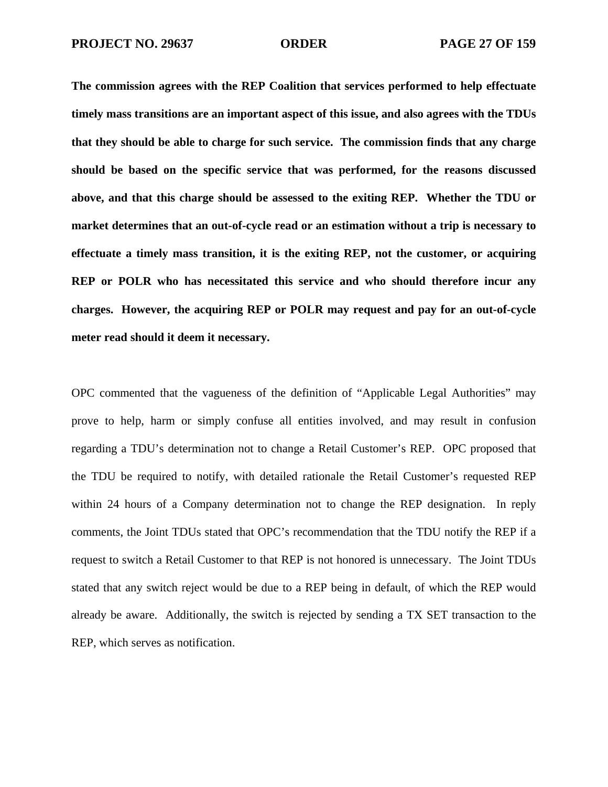**The commission agrees with the REP Coalition that services performed to help effectuate timely mass transitions are an important aspect of this issue, and also agrees with the TDUs that they should be able to charge for such service. The commission finds that any charge should be based on the specific service that was performed, for the reasons discussed above, and that this charge should be assessed to the exiting REP. Whether the TDU or market determines that an out-of-cycle read or an estimation without a trip is necessary to effectuate a timely mass transition, it is the exiting REP, not the customer, or acquiring REP or POLR who has necessitated this service and who should therefore incur any charges. However, the acquiring REP or POLR may request and pay for an out-of-cycle meter read should it deem it necessary.** 

OPC commented that the vagueness of the definition of "Applicable Legal Authorities" may prove to help, harm or simply confuse all entities involved, and may result in confusion regarding a TDU's determination not to change a Retail Customer's REP. OPC proposed that the TDU be required to notify, with detailed rationale the Retail Customer's requested REP within 24 hours of a Company determination not to change the REP designation. In reply comments, the Joint TDUs stated that OPC's recommendation that the TDU notify the REP if a request to switch a Retail Customer to that REP is not honored is unnecessary. The Joint TDUs stated that any switch reject would be due to a REP being in default, of which the REP would already be aware. Additionally, the switch is rejected by sending a TX SET transaction to the REP, which serves as notification.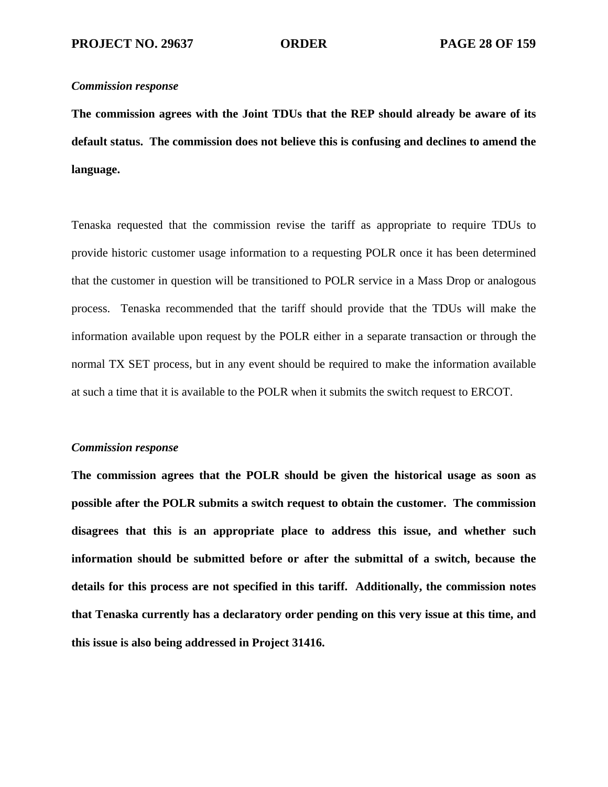# *Commission response*

**The commission agrees with the Joint TDUs that the REP should already be aware of its default status. The commission does not believe this is confusing and declines to amend the language.** 

Tenaska requested that the commission revise the tariff as appropriate to require TDUs to provide historic customer usage information to a requesting POLR once it has been determined that the customer in question will be transitioned to POLR service in a Mass Drop or analogous process. Tenaska recommended that the tariff should provide that the TDUs will make the information available upon request by the POLR either in a separate transaction or through the normal TX SET process, but in any event should be required to make the information available at such a time that it is available to the POLR when it submits the switch request to ERCOT.

# *Commission response*

**The commission agrees that the POLR should be given the historical usage as soon as possible after the POLR submits a switch request to obtain the customer. The commission disagrees that this is an appropriate place to address this issue, and whether such information should be submitted before or after the submittal of a switch, because the details for this process are not specified in this tariff. Additionally, the commission notes that Tenaska currently has a declaratory order pending on this very issue at this time, and this issue is also being addressed in Project 31416.**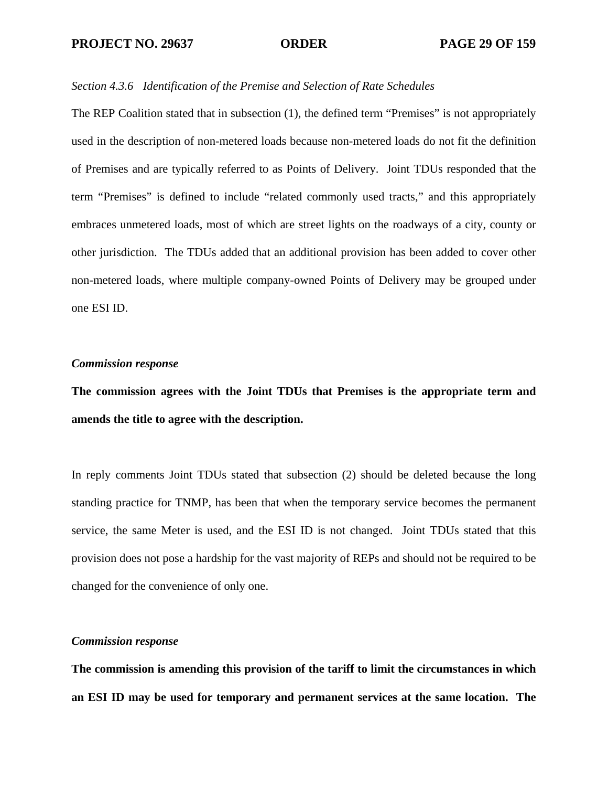# *Section 4.3.6 Identification of the Premise and Selection of Rate Schedules*

The REP Coalition stated that in subsection (1), the defined term "Premises" is not appropriately used in the description of non-metered loads because non-metered loads do not fit the definition of Premises and are typically referred to as Points of Delivery. Joint TDUs responded that the term "Premises" is defined to include "related commonly used tracts," and this appropriately embraces unmetered loads, most of which are street lights on the roadways of a city, county or other jurisdiction. The TDUs added that an additional provision has been added to cover other non-metered loads, where multiple company-owned Points of Delivery may be grouped under one ESI ID.

# *Commission response*

**The commission agrees with the Joint TDUs that Premises is the appropriate term and amends the title to agree with the description.** 

In reply comments Joint TDUs stated that subsection (2) should be deleted because the long standing practice for TNMP, has been that when the temporary service becomes the permanent service, the same Meter is used, and the ESI ID is not changed. Joint TDUs stated that this provision does not pose a hardship for the vast majority of REPs and should not be required to be changed for the convenience of only one.

# *Commission response*

**The commission is amending this provision of the tariff to limit the circumstances in which an ESI ID may be used for temporary and permanent services at the same location. The**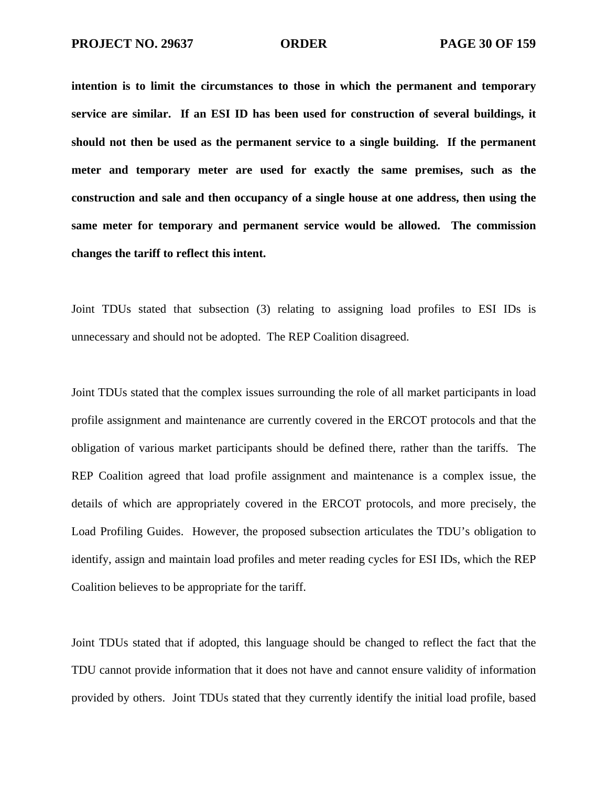**intention is to limit the circumstances to those in which the permanent and temporary service are similar. If an ESI ID has been used for construction of several buildings, it should not then be used as the permanent service to a single building. If the permanent meter and temporary meter are used for exactly the same premises, such as the construction and sale and then occupancy of a single house at one address, then using the same meter for temporary and permanent service would be allowed. The commission changes the tariff to reflect this intent.** 

Joint TDUs stated that subsection (3) relating to assigning load profiles to ESI IDs is unnecessary and should not be adopted. The REP Coalition disagreed.

Joint TDUs stated that the complex issues surrounding the role of all market participants in load profile assignment and maintenance are currently covered in the ERCOT protocols and that the obligation of various market participants should be defined there, rather than the tariffs. The REP Coalition agreed that load profile assignment and maintenance is a complex issue, the details of which are appropriately covered in the ERCOT protocols, and more precisely, the Load Profiling Guides. However, the proposed subsection articulates the TDU's obligation to identify, assign and maintain load profiles and meter reading cycles for ESI IDs, which the REP Coalition believes to be appropriate for the tariff.

Joint TDUs stated that if adopted, this language should be changed to reflect the fact that the TDU cannot provide information that it does not have and cannot ensure validity of information provided by others. Joint TDUs stated that they currently identify the initial load profile, based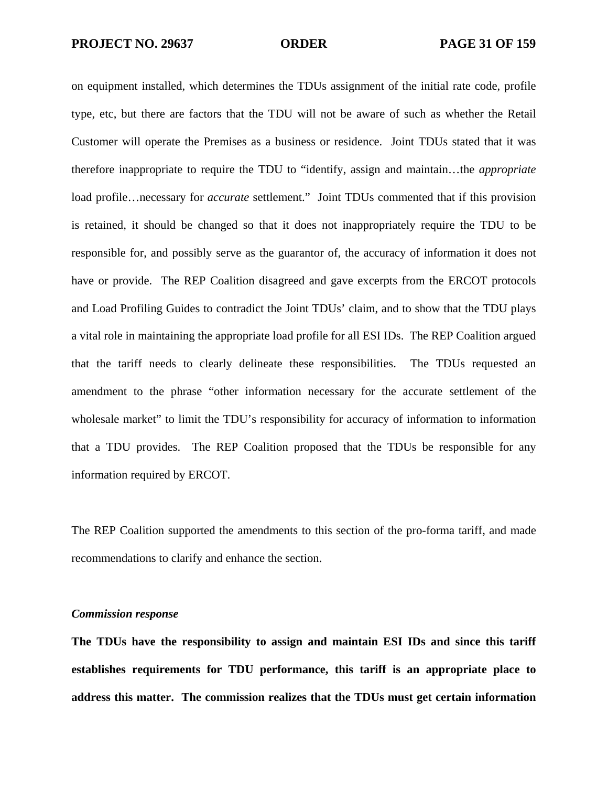on equipment installed, which determines the TDUs assignment of the initial rate code, profile type, etc, but there are factors that the TDU will not be aware of such as whether the Retail Customer will operate the Premises as a business or residence. Joint TDUs stated that it was therefore inappropriate to require the TDU to "identify, assign and maintain…the *appropriate* load profile…necessary for *accurate* settlement." Joint TDUs commented that if this provision is retained, it should be changed so that it does not inappropriately require the TDU to be responsible for, and possibly serve as the guarantor of, the accuracy of information it does not have or provide. The REP Coalition disagreed and gave excerpts from the ERCOT protocols and Load Profiling Guides to contradict the Joint TDUs' claim, and to show that the TDU plays a vital role in maintaining the appropriate load profile for all ESI IDs. The REP Coalition argued that the tariff needs to clearly delineate these responsibilities. The TDUs requested an amendment to the phrase "other information necessary for the accurate settlement of the wholesale market" to limit the TDU's responsibility for accuracy of information to information that a TDU provides. The REP Coalition proposed that the TDUs be responsible for any information required by ERCOT.

The REP Coalition supported the amendments to this section of the pro-forma tariff, and made recommendations to clarify and enhance the section.

## *Commission response*

**The TDUs have the responsibility to assign and maintain ESI IDs and since this tariff establishes requirements for TDU performance, this tariff is an appropriate place to address this matter. The commission realizes that the TDUs must get certain information**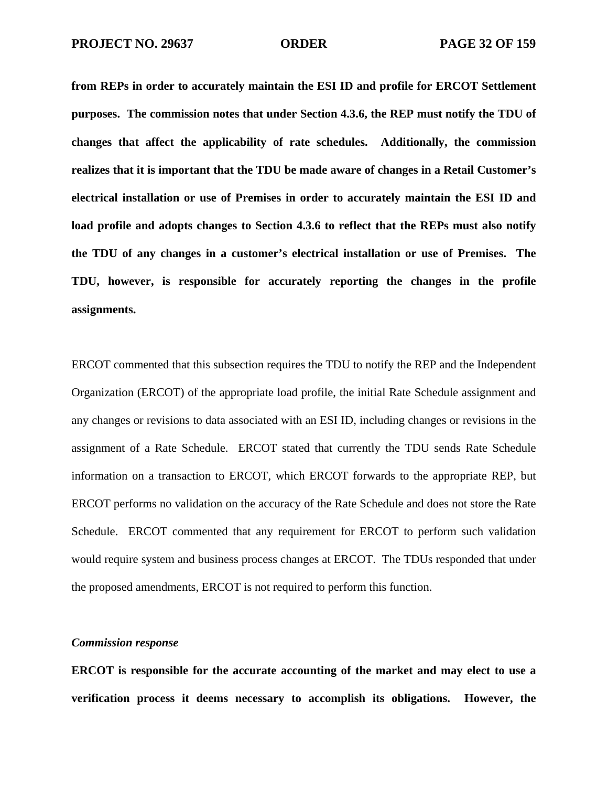**from REPs in order to accurately maintain the ESI ID and profile for ERCOT Settlement purposes. The commission notes that under Section 4.3.6, the REP must notify the TDU of changes that affect the applicability of rate schedules. Additionally, the commission realizes that it is important that the TDU be made aware of changes in a Retail Customer's electrical installation or use of Premises in order to accurately maintain the ESI ID and load profile and adopts changes to Section 4.3.6 to reflect that the REPs must also notify the TDU of any changes in a customer's electrical installation or use of Premises. The TDU, however, is responsible for accurately reporting the changes in the profile assignments.** 

ERCOT commented that this subsection requires the TDU to notify the REP and the Independent Organization (ERCOT) of the appropriate load profile, the initial Rate Schedule assignment and any changes or revisions to data associated with an ESI ID, including changes or revisions in the assignment of a Rate Schedule. ERCOT stated that currently the TDU sends Rate Schedule information on a transaction to ERCOT, which ERCOT forwards to the appropriate REP, but ERCOT performs no validation on the accuracy of the Rate Schedule and does not store the Rate Schedule. ERCOT commented that any requirement for ERCOT to perform such validation would require system and business process changes at ERCOT. The TDUs responded that under the proposed amendments, ERCOT is not required to perform this function.

## *Commission response*

**ERCOT is responsible for the accurate accounting of the market and may elect to use a verification process it deems necessary to accomplish its obligations. However, the**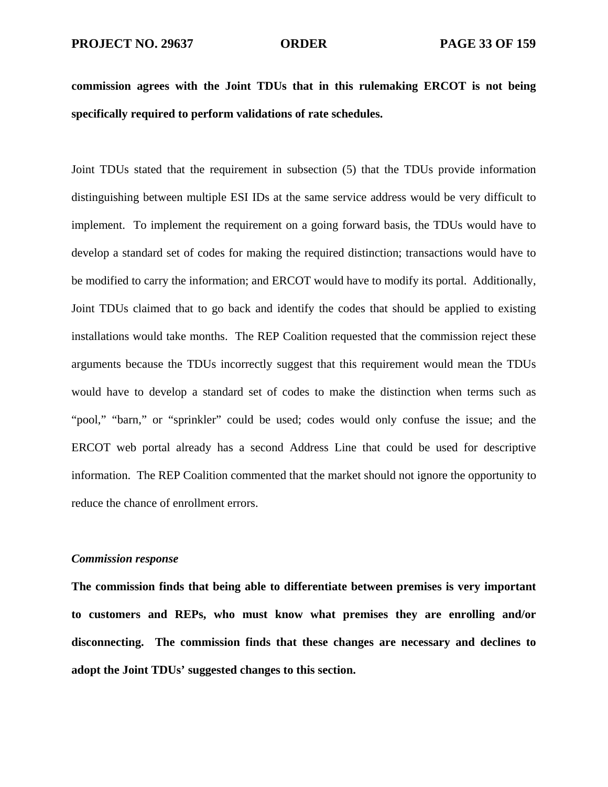**commission agrees with the Joint TDUs that in this rulemaking ERCOT is not being specifically required to perform validations of rate schedules.** 

Joint TDUs stated that the requirement in subsection (5) that the TDUs provide information distinguishing between multiple ESI IDs at the same service address would be very difficult to implement. To implement the requirement on a going forward basis, the TDUs would have to develop a standard set of codes for making the required distinction; transactions would have to be modified to carry the information; and ERCOT would have to modify its portal. Additionally, Joint TDUs claimed that to go back and identify the codes that should be applied to existing installations would take months. The REP Coalition requested that the commission reject these arguments because the TDUs incorrectly suggest that this requirement would mean the TDUs would have to develop a standard set of codes to make the distinction when terms such as "pool," "barn," or "sprinkler" could be used; codes would only confuse the issue; and the ERCOT web portal already has a second Address Line that could be used for descriptive information. The REP Coalition commented that the market should not ignore the opportunity to reduce the chance of enrollment errors.

## *Commission response*

**The commission finds that being able to differentiate between premises is very important to customers and REPs, who must know what premises they are enrolling and/or disconnecting. The commission finds that these changes are necessary and declines to adopt the Joint TDUs' suggested changes to this section.**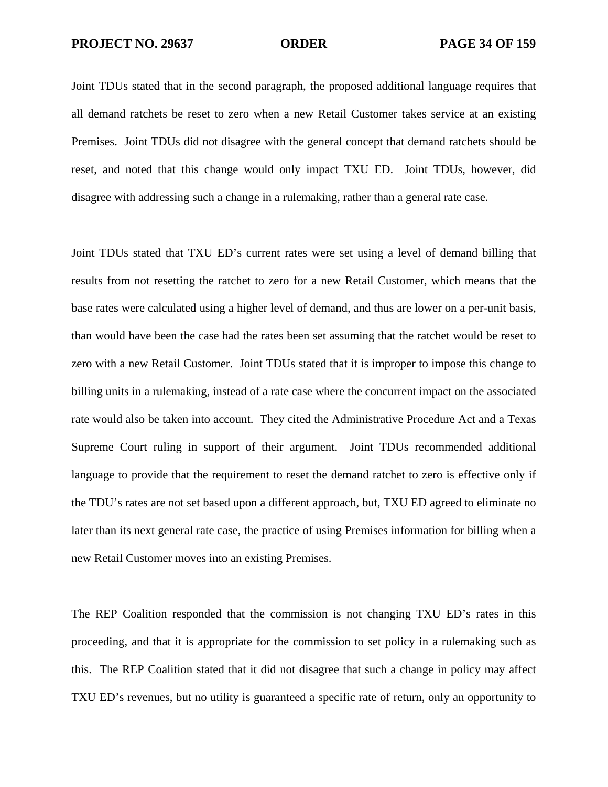Joint TDUs stated that in the second paragraph, the proposed additional language requires that all demand ratchets be reset to zero when a new Retail Customer takes service at an existing Premises. Joint TDUs did not disagree with the general concept that demand ratchets should be reset, and noted that this change would only impact TXU ED. Joint TDUs, however, did disagree with addressing such a change in a rulemaking, rather than a general rate case.

Joint TDUs stated that TXU ED's current rates were set using a level of demand billing that results from not resetting the ratchet to zero for a new Retail Customer, which means that the base rates were calculated using a higher level of demand, and thus are lower on a per-unit basis, than would have been the case had the rates been set assuming that the ratchet would be reset to zero with a new Retail Customer. Joint TDUs stated that it is improper to impose this change to billing units in a rulemaking, instead of a rate case where the concurrent impact on the associated rate would also be taken into account. They cited the Administrative Procedure Act and a Texas Supreme Court ruling in support of their argument. Joint TDUs recommended additional language to provide that the requirement to reset the demand ratchet to zero is effective only if the TDU's rates are not set based upon a different approach, but, TXU ED agreed to eliminate no later than its next general rate case, the practice of using Premises information for billing when a new Retail Customer moves into an existing Premises.

The REP Coalition responded that the commission is not changing TXU ED's rates in this proceeding, and that it is appropriate for the commission to set policy in a rulemaking such as this. The REP Coalition stated that it did not disagree that such a change in policy may affect TXU ED's revenues, but no utility is guaranteed a specific rate of return, only an opportunity to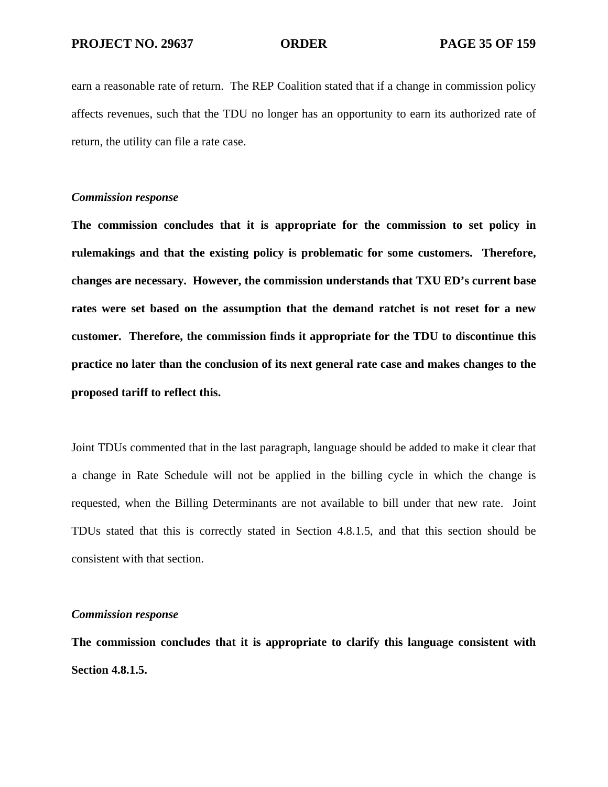earn a reasonable rate of return. The REP Coalition stated that if a change in commission policy affects revenues, such that the TDU no longer has an opportunity to earn its authorized rate of return, the utility can file a rate case.

## *Commission response*

**The commission concludes that it is appropriate for the commission to set policy in rulemakings and that the existing policy is problematic for some customers. Therefore, changes are necessary. However, the commission understands that TXU ED's current base rates were set based on the assumption that the demand ratchet is not reset for a new customer. Therefore, the commission finds it appropriate for the TDU to discontinue this practice no later than the conclusion of its next general rate case and makes changes to the proposed tariff to reflect this.** 

Joint TDUs commented that in the last paragraph, language should be added to make it clear that a change in Rate Schedule will not be applied in the billing cycle in which the change is requested, when the Billing Determinants are not available to bill under that new rate. Joint TDUs stated that this is correctly stated in Section 4.8.1.5, and that this section should be consistent with that section.

## *Commission response*

**The commission concludes that it is appropriate to clarify this language consistent with Section 4.8.1.5.**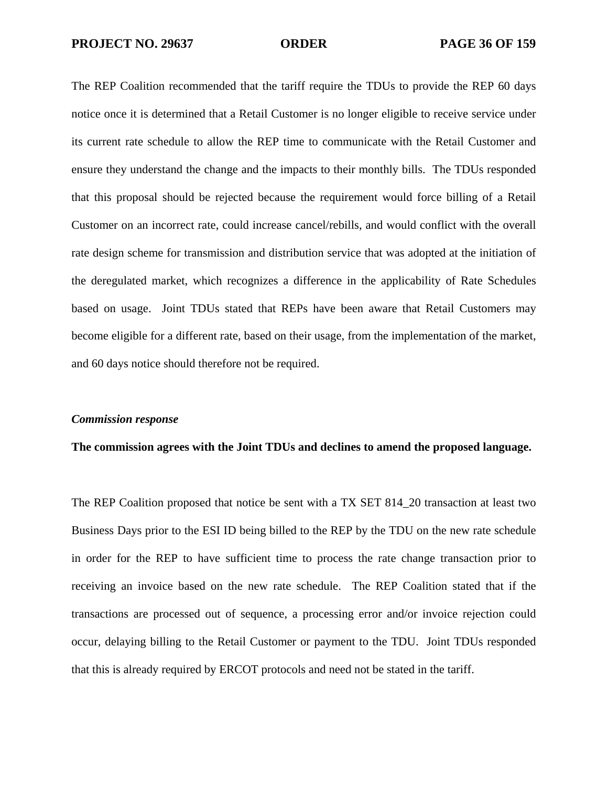The REP Coalition recommended that the tariff require the TDUs to provide the REP 60 days notice once it is determined that a Retail Customer is no longer eligible to receive service under its current rate schedule to allow the REP time to communicate with the Retail Customer and ensure they understand the change and the impacts to their monthly bills. The TDUs responded that this proposal should be rejected because the requirement would force billing of a Retail Customer on an incorrect rate, could increase cancel/rebills, and would conflict with the overall rate design scheme for transmission and distribution service that was adopted at the initiation of the deregulated market, which recognizes a difference in the applicability of Rate Schedules based on usage. Joint TDUs stated that REPs have been aware that Retail Customers may become eligible for a different rate, based on their usage, from the implementation of the market, and 60 days notice should therefore not be required.

### *Commission response*

### **The commission agrees with the Joint TDUs and declines to amend the proposed language.**

The REP Coalition proposed that notice be sent with a TX SET 814\_20 transaction at least two Business Days prior to the ESI ID being billed to the REP by the TDU on the new rate schedule in order for the REP to have sufficient time to process the rate change transaction prior to receiving an invoice based on the new rate schedule. The REP Coalition stated that if the transactions are processed out of sequence, a processing error and/or invoice rejection could occur, delaying billing to the Retail Customer or payment to the TDU. Joint TDUs responded that this is already required by ERCOT protocols and need not be stated in the tariff.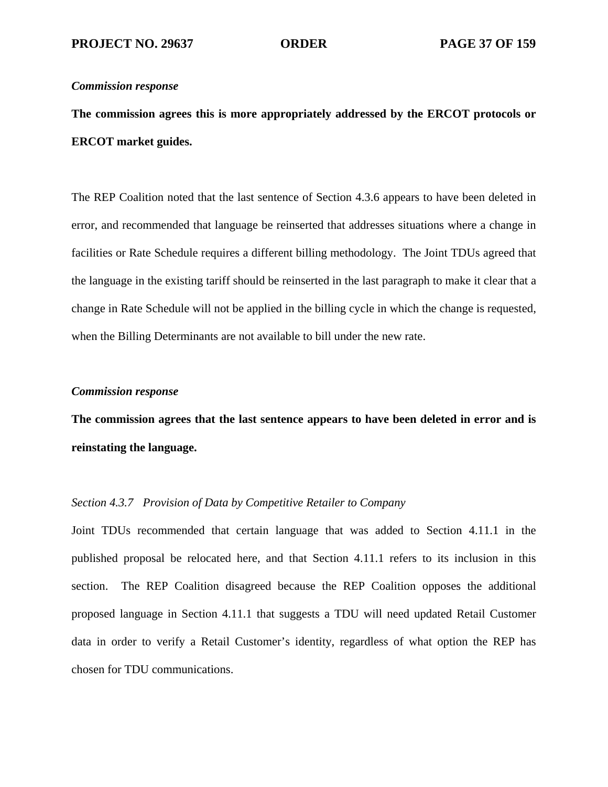**The commission agrees this is more appropriately addressed by the ERCOT protocols or ERCOT market guides.** 

The REP Coalition noted that the last sentence of Section 4.3.6 appears to have been deleted in error, and recommended that language be reinserted that addresses situations where a change in facilities or Rate Schedule requires a different billing methodology. The Joint TDUs agreed that the language in the existing tariff should be reinserted in the last paragraph to make it clear that a change in Rate Schedule will not be applied in the billing cycle in which the change is requested, when the Billing Determinants are not available to bill under the new rate.

### *Commission response*

**The commission agrees that the last sentence appears to have been deleted in error and is reinstating the language.** 

# *Section 4.3.7 Provision of Data by Competitive Retailer to Company*

Joint TDUs recommended that certain language that was added to Section 4.11.1 in the published proposal be relocated here, and that Section 4.11.1 refers to its inclusion in this section. The REP Coalition disagreed because the REP Coalition opposes the additional proposed language in Section 4.11.1 that suggests a TDU will need updated Retail Customer data in order to verify a Retail Customer's identity, regardless of what option the REP has chosen for TDU communications.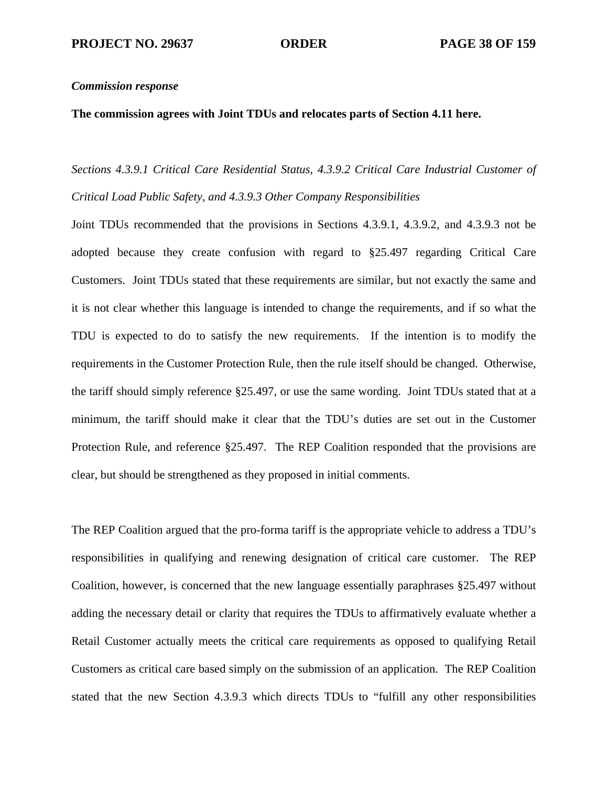### **The commission agrees with Joint TDUs and relocates parts of Section 4.11 here.**

*Sections 4.3.9.1 Critical Care Residential Status, 4.3.9.2 Critical Care Industrial Customer of Critical Load Public Safety, and 4.3.9.3 Other Company Responsibilities* 

Joint TDUs recommended that the provisions in Sections 4.3.9.1, 4.3.9.2, and 4.3.9.3 not be adopted because they create confusion with regard to §25.497 regarding Critical Care Customers. Joint TDUs stated that these requirements are similar, but not exactly the same and it is not clear whether this language is intended to change the requirements, and if so what the TDU is expected to do to satisfy the new requirements. If the intention is to modify the requirements in the Customer Protection Rule, then the rule itself should be changed. Otherwise, the tariff should simply reference §25.497, or use the same wording. Joint TDUs stated that at a minimum, the tariff should make it clear that the TDU's duties are set out in the Customer Protection Rule, and reference §25.497. The REP Coalition responded that the provisions are clear, but should be strengthened as they proposed in initial comments.

The REP Coalition argued that the pro-forma tariff is the appropriate vehicle to address a TDU's responsibilities in qualifying and renewing designation of critical care customer. The REP Coalition, however, is concerned that the new language essentially paraphrases §25.497 without adding the necessary detail or clarity that requires the TDUs to affirmatively evaluate whether a Retail Customer actually meets the critical care requirements as opposed to qualifying Retail Customers as critical care based simply on the submission of an application. The REP Coalition stated that the new Section 4.3.9.3 which directs TDUs to "fulfill any other responsibilities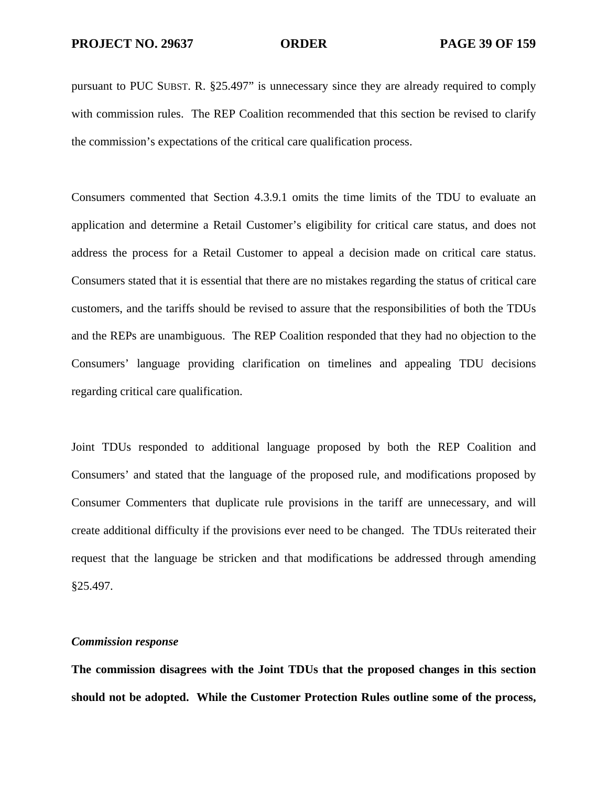pursuant to PUC SUBST. R. §25.497" is unnecessary since they are already required to comply with commission rules. The REP Coalition recommended that this section be revised to clarify the commission's expectations of the critical care qualification process.

Consumers commented that Section 4.3.9.1 omits the time limits of the TDU to evaluate an application and determine a Retail Customer's eligibility for critical care status, and does not address the process for a Retail Customer to appeal a decision made on critical care status. Consumers stated that it is essential that there are no mistakes regarding the status of critical care customers, and the tariffs should be revised to assure that the responsibilities of both the TDUs and the REPs are unambiguous. The REP Coalition responded that they had no objection to the Consumers' language providing clarification on timelines and appealing TDU decisions regarding critical care qualification.

Joint TDUs responded to additional language proposed by both the REP Coalition and Consumers' and stated that the language of the proposed rule, and modifications proposed by Consumer Commenters that duplicate rule provisions in the tariff are unnecessary, and will create additional difficulty if the provisions ever need to be changed. The TDUs reiterated their request that the language be stricken and that modifications be addressed through amending §25.497.

## *Commission response*

**The commission disagrees with the Joint TDUs that the proposed changes in this section should not be adopted. While the Customer Protection Rules outline some of the process,**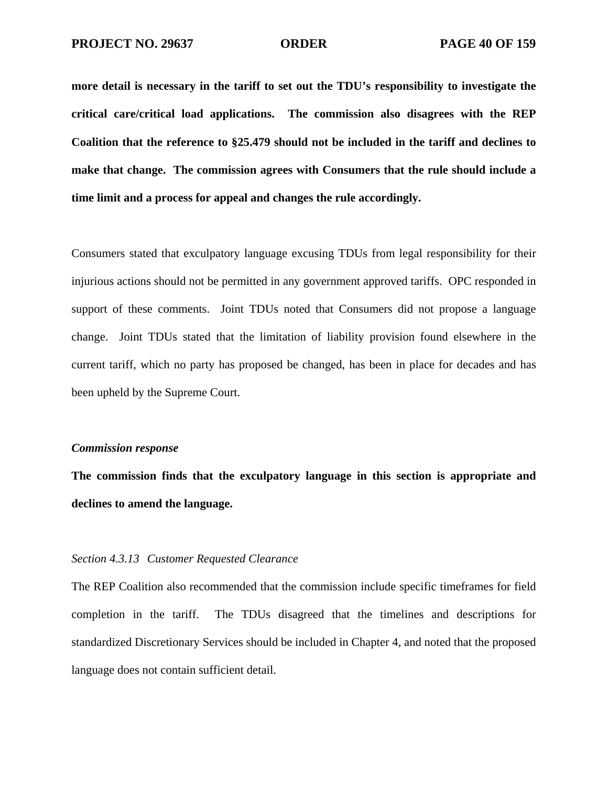**more detail is necessary in the tariff to set out the TDU's responsibility to investigate the critical care/critical load applications. The commission also disagrees with the REP Coalition that the reference to §25.479 should not be included in the tariff and declines to make that change. The commission agrees with Consumers that the rule should include a time limit and a process for appeal and changes the rule accordingly.** 

Consumers stated that exculpatory language excusing TDUs from legal responsibility for their injurious actions should not be permitted in any government approved tariffs. OPC responded in support of these comments. Joint TDUs noted that Consumers did not propose a language change. Joint TDUs stated that the limitation of liability provision found elsewhere in the current tariff, which no party has proposed be changed, has been in place for decades and has been upheld by the Supreme Court.

## *Commission response*

**The commission finds that the exculpatory language in this section is appropriate and declines to amend the language.** 

### *Section 4.3.13 Customer Requested Clearance*

The REP Coalition also recommended that the commission include specific timeframes for field completion in the tariff. The TDUs disagreed that the timelines and descriptions for standardized Discretionary Services should be included in Chapter 4, and noted that the proposed language does not contain sufficient detail.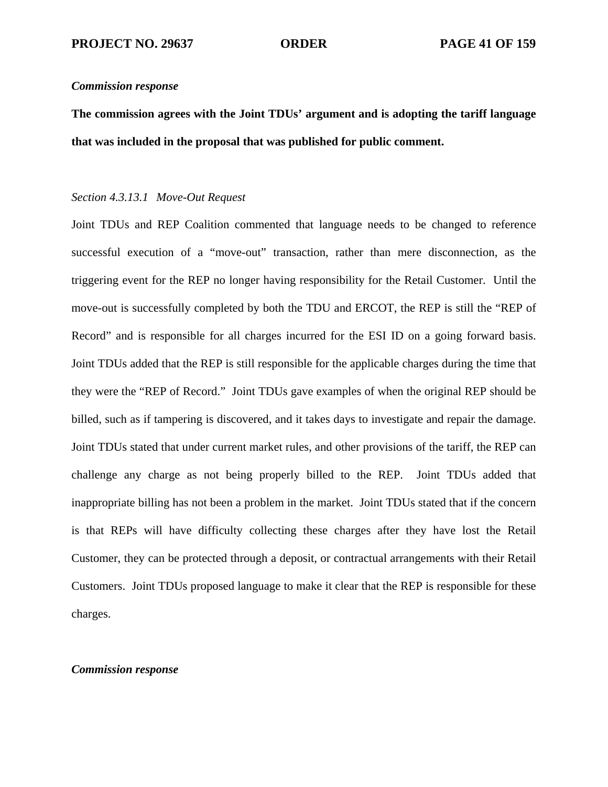**The commission agrees with the Joint TDUs' argument and is adopting the tariff language that was included in the proposal that was published for public comment.** 

## *Section 4.3.13.1 Move-Out Request*

Joint TDUs and REP Coalition commented that language needs to be changed to reference successful execution of a "move-out" transaction, rather than mere disconnection, as the triggering event for the REP no longer having responsibility for the Retail Customer. Until the move-out is successfully completed by both the TDU and ERCOT, the REP is still the "REP of Record" and is responsible for all charges incurred for the ESI ID on a going forward basis. Joint TDUs added that the REP is still responsible for the applicable charges during the time that they were the "REP of Record." Joint TDUs gave examples of when the original REP should be billed, such as if tampering is discovered, and it takes days to investigate and repair the damage. Joint TDUs stated that under current market rules, and other provisions of the tariff, the REP can challenge any charge as not being properly billed to the REP. Joint TDUs added that inappropriate billing has not been a problem in the market. Joint TDUs stated that if the concern is that REPs will have difficulty collecting these charges after they have lost the Retail Customer, they can be protected through a deposit, or contractual arrangements with their Retail Customers. Joint TDUs proposed language to make it clear that the REP is responsible for these charges.

## *Commission response*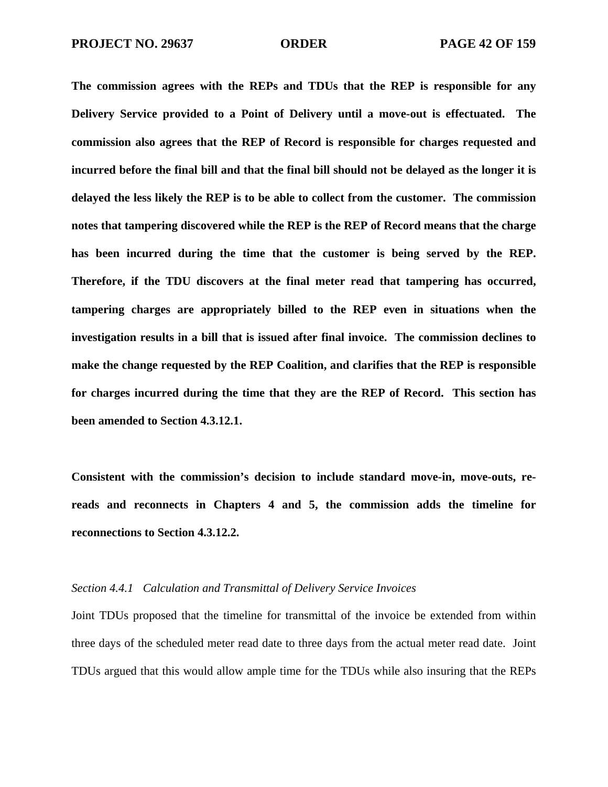**The commission agrees with the REPs and TDUs that the REP is responsible for any Delivery Service provided to a Point of Delivery until a move-out is effectuated. The commission also agrees that the REP of Record is responsible for charges requested and incurred before the final bill and that the final bill should not be delayed as the longer it is delayed the less likely the REP is to be able to collect from the customer. The commission notes that tampering discovered while the REP is the REP of Record means that the charge has been incurred during the time that the customer is being served by the REP. Therefore, if the TDU discovers at the final meter read that tampering has occurred, tampering charges are appropriately billed to the REP even in situations when the investigation results in a bill that is issued after final invoice. The commission declines to make the change requested by the REP Coalition, and clarifies that the REP is responsible for charges incurred during the time that they are the REP of Record. This section has been amended to Section 4.3.12.1.** 

**Consistent with the commission's decision to include standard move-in, move-outs, rereads and reconnects in Chapters 4 and 5, the commission adds the timeline for reconnections to Section 4.3.12.2.** 

# *Section 4.4.1 Calculation and Transmittal of Delivery Service Invoices*

Joint TDUs proposed that the timeline for transmittal of the invoice be extended from within three days of the scheduled meter read date to three days from the actual meter read date. Joint TDUs argued that this would allow ample time for the TDUs while also insuring that the REPs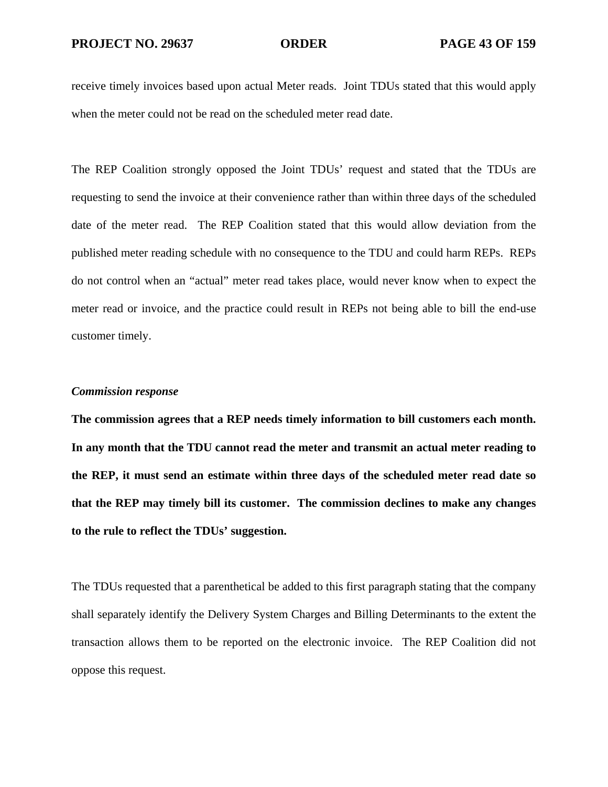receive timely invoices based upon actual Meter reads. Joint TDUs stated that this would apply when the meter could not be read on the scheduled meter read date.

The REP Coalition strongly opposed the Joint TDUs' request and stated that the TDUs are requesting to send the invoice at their convenience rather than within three days of the scheduled date of the meter read. The REP Coalition stated that this would allow deviation from the published meter reading schedule with no consequence to the TDU and could harm REPs. REPs do not control when an "actual" meter read takes place, would never know when to expect the meter read or invoice, and the practice could result in REPs not being able to bill the end-use customer timely.

## *Commission response*

**The commission agrees that a REP needs timely information to bill customers each month. In any month that the TDU cannot read the meter and transmit an actual meter reading to the REP, it must send an estimate within three days of the scheduled meter read date so that the REP may timely bill its customer. The commission declines to make any changes to the rule to reflect the TDUs' suggestion.** 

The TDUs requested that a parenthetical be added to this first paragraph stating that the company shall separately identify the Delivery System Charges and Billing Determinants to the extent the transaction allows them to be reported on the electronic invoice. The REP Coalition did not oppose this request.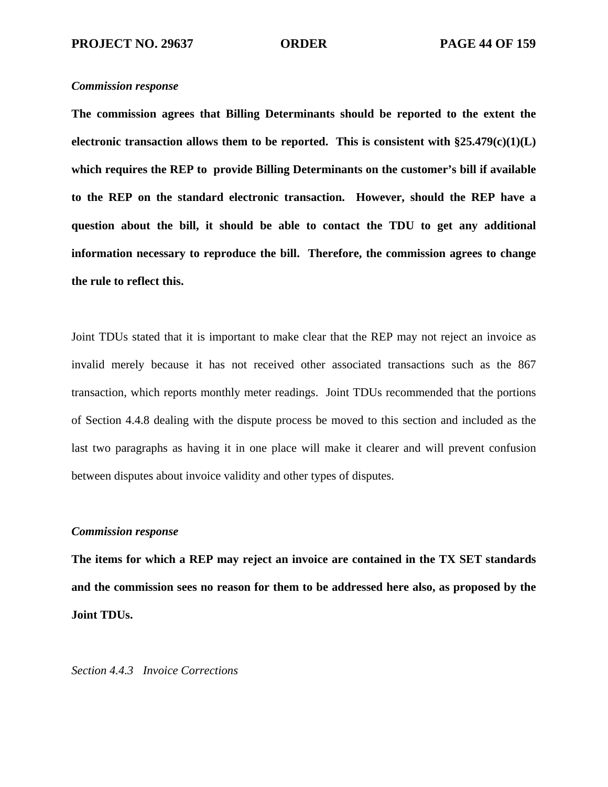**The commission agrees that Billing Determinants should be reported to the extent the electronic transaction allows them to be reported. This is consistent with §25.479(c)(1)(L) which requires the REP to provide Billing Determinants on the customer's bill if available to the REP on the standard electronic transaction. However, should the REP have a question about the bill, it should be able to contact the TDU to get any additional information necessary to reproduce the bill. Therefore, the commission agrees to change the rule to reflect this.** 

Joint TDUs stated that it is important to make clear that the REP may not reject an invoice as invalid merely because it has not received other associated transactions such as the 867 transaction, which reports monthly meter readings. Joint TDUs recommended that the portions of Section 4.4.8 dealing with the dispute process be moved to this section and included as the last two paragraphs as having it in one place will make it clearer and will prevent confusion between disputes about invoice validity and other types of disputes.

## *Commission response*

**The items for which a REP may reject an invoice are contained in the TX SET standards and the commission sees no reason for them to be addressed here also, as proposed by the Joint TDUs.** 

*Section 4.4.3 Invoice Corrections*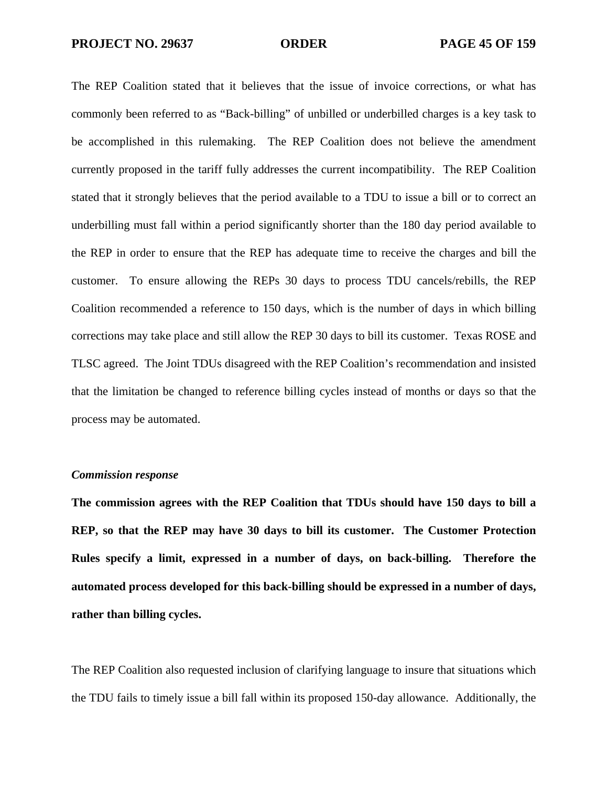The REP Coalition stated that it believes that the issue of invoice corrections, or what has commonly been referred to as "Back-billing" of unbilled or underbilled charges is a key task to be accomplished in this rulemaking. The REP Coalition does not believe the amendment currently proposed in the tariff fully addresses the current incompatibility. The REP Coalition stated that it strongly believes that the period available to a TDU to issue a bill or to correct an underbilling must fall within a period significantly shorter than the 180 day period available to the REP in order to ensure that the REP has adequate time to receive the charges and bill the customer. To ensure allowing the REPs 30 days to process TDU cancels/rebills, the REP Coalition recommended a reference to 150 days, which is the number of days in which billing corrections may take place and still allow the REP 30 days to bill its customer. Texas ROSE and TLSC agreed. The Joint TDUs disagreed with the REP Coalition's recommendation and insisted that the limitation be changed to reference billing cycles instead of months or days so that the process may be automated.

### *Commission response*

**The commission agrees with the REP Coalition that TDUs should have 150 days to bill a REP, so that the REP may have 30 days to bill its customer. The Customer Protection Rules specify a limit, expressed in a number of days, on back-billing. Therefore the automated process developed for this back-billing should be expressed in a number of days, rather than billing cycles.** 

The REP Coalition also requested inclusion of clarifying language to insure that situations which the TDU fails to timely issue a bill fall within its proposed 150-day allowance. Additionally, the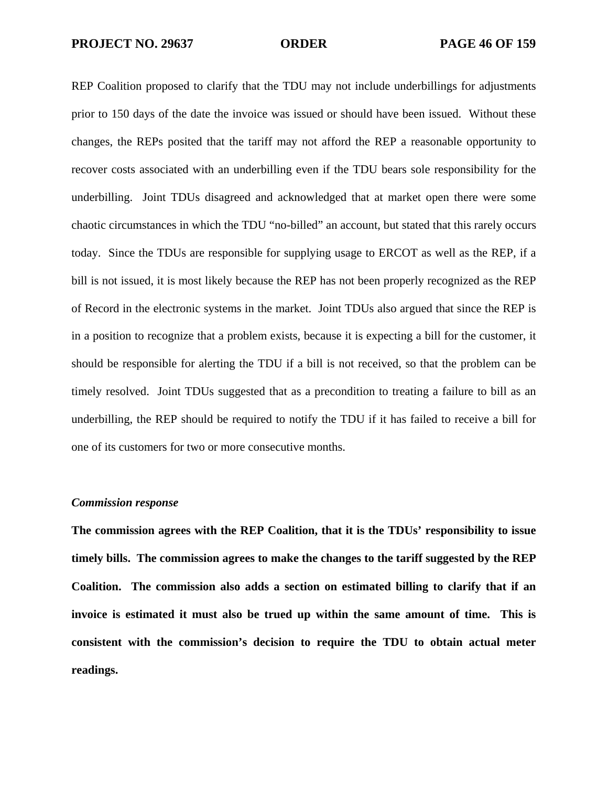REP Coalition proposed to clarify that the TDU may not include underbillings for adjustments prior to 150 days of the date the invoice was issued or should have been issued. Without these changes, the REPs posited that the tariff may not afford the REP a reasonable opportunity to recover costs associated with an underbilling even if the TDU bears sole responsibility for the underbilling. Joint TDUs disagreed and acknowledged that at market open there were some chaotic circumstances in which the TDU "no-billed" an account, but stated that this rarely occurs today. Since the TDUs are responsible for supplying usage to ERCOT as well as the REP, if a bill is not issued, it is most likely because the REP has not been properly recognized as the REP of Record in the electronic systems in the market. Joint TDUs also argued that since the REP is in a position to recognize that a problem exists, because it is expecting a bill for the customer, it should be responsible for alerting the TDU if a bill is not received, so that the problem can be timely resolved. Joint TDUs suggested that as a precondition to treating a failure to bill as an underbilling, the REP should be required to notify the TDU if it has failed to receive a bill for one of its customers for two or more consecutive months.

## *Commission response*

**The commission agrees with the REP Coalition, that it is the TDUs' responsibility to issue timely bills. The commission agrees to make the changes to the tariff suggested by the REP Coalition. The commission also adds a section on estimated billing to clarify that if an invoice is estimated it must also be trued up within the same amount of time. This is consistent with the commission's decision to require the TDU to obtain actual meter readings.**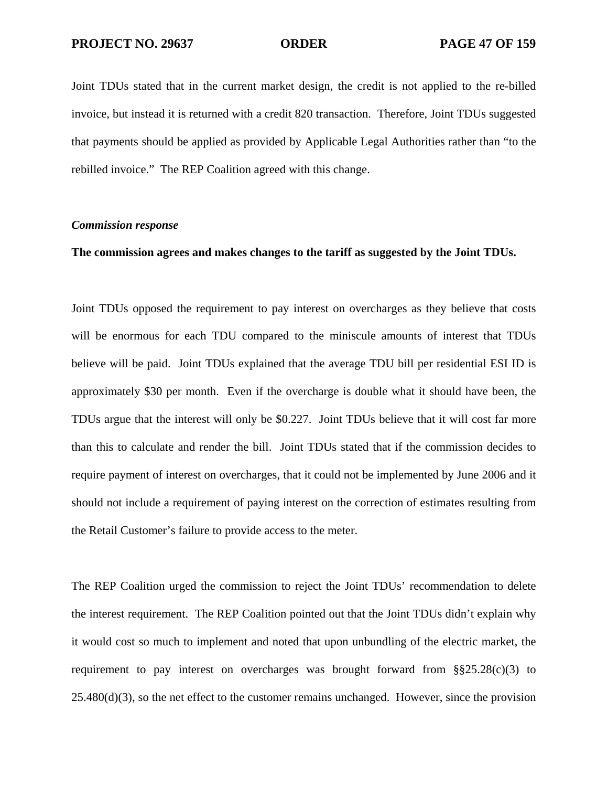Joint TDUs stated that in the current market design, the credit is not applied to the re-billed invoice, but instead it is returned with a credit 820 transaction. Therefore, Joint TDUs suggested that payments should be applied as provided by Applicable Legal Authorities rather than "to the rebilled invoice." The REP Coalition agreed with this change.

## *Commission response*

## **The commission agrees and makes changes to the tariff as suggested by the Joint TDUs.**

Joint TDUs opposed the requirement to pay interest on overcharges as they believe that costs will be enormous for each TDU compared to the miniscule amounts of interest that TDUs believe will be paid. Joint TDUs explained that the average TDU bill per residential ESI ID is approximately \$30 per month. Even if the overcharge is double what it should have been, the TDUs argue that the interest will only be \$0.227. Joint TDUs believe that it will cost far more than this to calculate and render the bill. Joint TDUs stated that if the commission decides to require payment of interest on overcharges, that it could not be implemented by June 2006 and it should not include a requirement of paying interest on the correction of estimates resulting from the Retail Customer's failure to provide access to the meter.

The REP Coalition urged the commission to reject the Joint TDUs' recommendation to delete the interest requirement. The REP Coalition pointed out that the Joint TDUs didn't explain why it would cost so much to implement and noted that upon unbundling of the electric market, the requirement to pay interest on overcharges was brought forward from  $\S$ §25.28(c)(3) to  $25.480(d)(3)$ , so the net effect to the customer remains unchanged. However, since the provision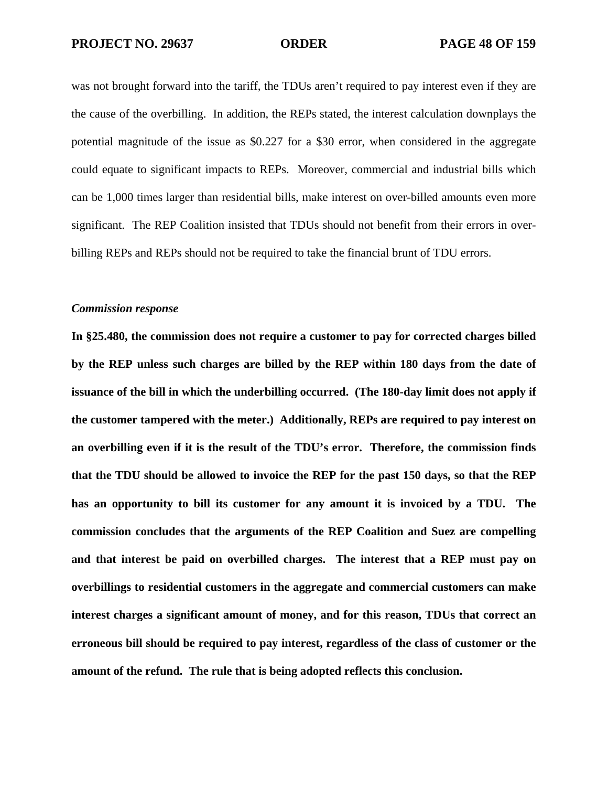was not brought forward into the tariff, the TDUs aren't required to pay interest even if they are the cause of the overbilling. In addition, the REPs stated, the interest calculation downplays the potential magnitude of the issue as \$0.227 for a \$30 error, when considered in the aggregate could equate to significant impacts to REPs. Moreover, commercial and industrial bills which can be 1,000 times larger than residential bills, make interest on over-billed amounts even more significant. The REP Coalition insisted that TDUs should not benefit from their errors in overbilling REPs and REPs should not be required to take the financial brunt of TDU errors.

# *Commission response*

**In §25.480, the commission does not require a customer to pay for corrected charges billed by the REP unless such charges are billed by the REP within 180 days from the date of issuance of the bill in which the underbilling occurred. (The 180-day limit does not apply if the customer tampered with the meter.) Additionally, REPs are required to pay interest on an overbilling even if it is the result of the TDU's error. Therefore, the commission finds that the TDU should be allowed to invoice the REP for the past 150 days, so that the REP has an opportunity to bill its customer for any amount it is invoiced by a TDU. The commission concludes that the arguments of the REP Coalition and Suez are compelling and that interest be paid on overbilled charges. The interest that a REP must pay on overbillings to residential customers in the aggregate and commercial customers can make interest charges a significant amount of money, and for this reason, TDUs that correct an erroneous bill should be required to pay interest, regardless of the class of customer or the amount of the refund. The rule that is being adopted reflects this conclusion.**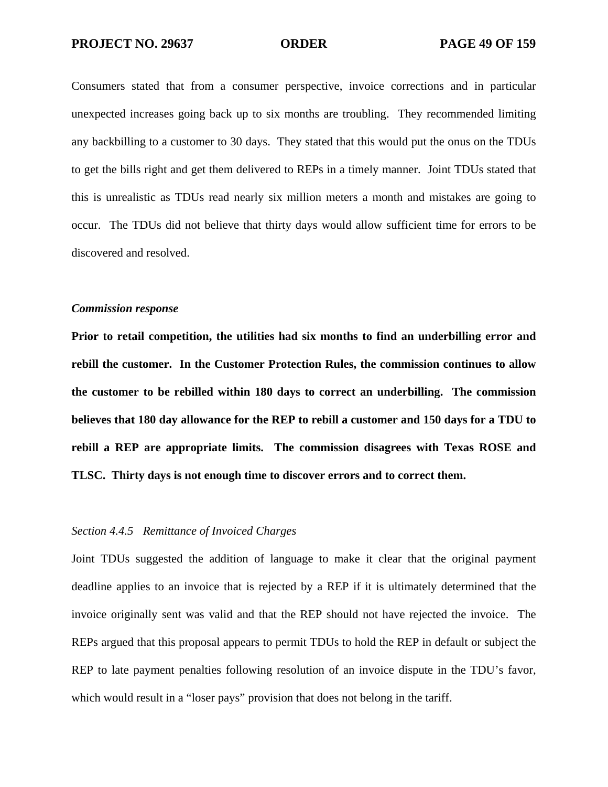Consumers stated that from a consumer perspective, invoice corrections and in particular unexpected increases going back up to six months are troubling. They recommended limiting any backbilling to a customer to 30 days. They stated that this would put the onus on the TDUs to get the bills right and get them delivered to REPs in a timely manner. Joint TDUs stated that this is unrealistic as TDUs read nearly six million meters a month and mistakes are going to occur. The TDUs did not believe that thirty days would allow sufficient time for errors to be discovered and resolved.

# *Commission response*

**Prior to retail competition, the utilities had six months to find an underbilling error and rebill the customer. In the Customer Protection Rules, the commission continues to allow the customer to be rebilled within 180 days to correct an underbilling. The commission believes that 180 day allowance for the REP to rebill a customer and 150 days for a TDU to rebill a REP are appropriate limits. The commission disagrees with Texas ROSE and TLSC. Thirty days is not enough time to discover errors and to correct them.** 

# *Section 4.4.5 Remittance of Invoiced Charges*

Joint TDUs suggested the addition of language to make it clear that the original payment deadline applies to an invoice that is rejected by a REP if it is ultimately determined that the invoice originally sent was valid and that the REP should not have rejected the invoice. The REPs argued that this proposal appears to permit TDUs to hold the REP in default or subject the REP to late payment penalties following resolution of an invoice dispute in the TDU's favor, which would result in a "loser pays" provision that does not belong in the tariff.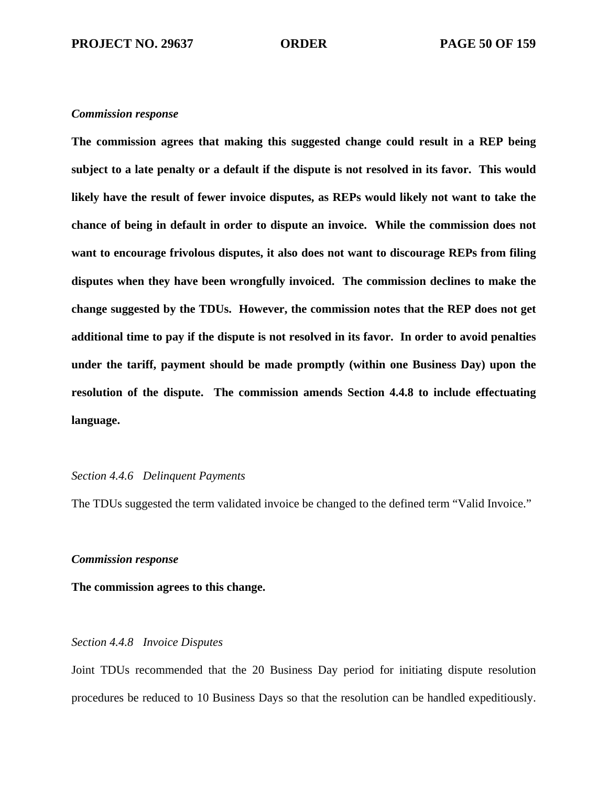**The commission agrees that making this suggested change could result in a REP being subject to a late penalty or a default if the dispute is not resolved in its favor. This would likely have the result of fewer invoice disputes, as REPs would likely not want to take the chance of being in default in order to dispute an invoice. While the commission does not want to encourage frivolous disputes, it also does not want to discourage REPs from filing disputes when they have been wrongfully invoiced. The commission declines to make the change suggested by the TDUs. However, the commission notes that the REP does not get additional time to pay if the dispute is not resolved in its favor. In order to avoid penalties under the tariff, payment should be made promptly (within one Business Day) upon the resolution of the dispute. The commission amends Section 4.4.8 to include effectuating language.** 

## *Section 4.4.6 Delinquent Payments*

The TDUs suggested the term validated invoice be changed to the defined term "Valid Invoice."

# *Commission response*

**The commission agrees to this change.** 

# *Section 4.4.8 Invoice Disputes*

Joint TDUs recommended that the 20 Business Day period for initiating dispute resolution procedures be reduced to 10 Business Days so that the resolution can be handled expeditiously.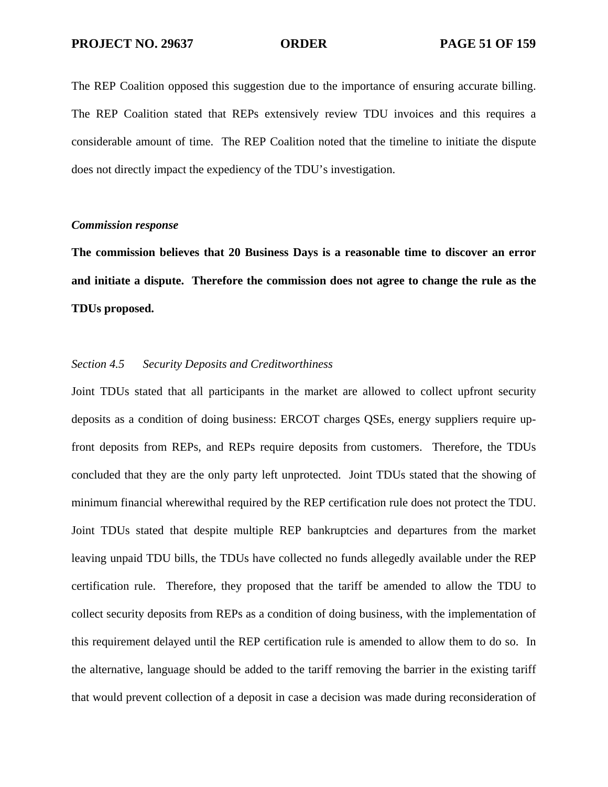The REP Coalition opposed this suggestion due to the importance of ensuring accurate billing. The REP Coalition stated that REPs extensively review TDU invoices and this requires a considerable amount of time. The REP Coalition noted that the timeline to initiate the dispute does not directly impact the expediency of the TDU's investigation.

# *Commission response*

**The commission believes that 20 Business Days is a reasonable time to discover an error and initiate a dispute. Therefore the commission does not agree to change the rule as the TDUs proposed.** 

## *Section 4.5 Security Deposits and Creditworthiness*

Joint TDUs stated that all participants in the market are allowed to collect upfront security deposits as a condition of doing business: ERCOT charges QSEs, energy suppliers require upfront deposits from REPs, and REPs require deposits from customers. Therefore, the TDUs concluded that they are the only party left unprotected. Joint TDUs stated that the showing of minimum financial wherewithal required by the REP certification rule does not protect the TDU. Joint TDUs stated that despite multiple REP bankruptcies and departures from the market leaving unpaid TDU bills, the TDUs have collected no funds allegedly available under the REP certification rule. Therefore, they proposed that the tariff be amended to allow the TDU to collect security deposits from REPs as a condition of doing business, with the implementation of this requirement delayed until the REP certification rule is amended to allow them to do so. In the alternative, language should be added to the tariff removing the barrier in the existing tariff that would prevent collection of a deposit in case a decision was made during reconsideration of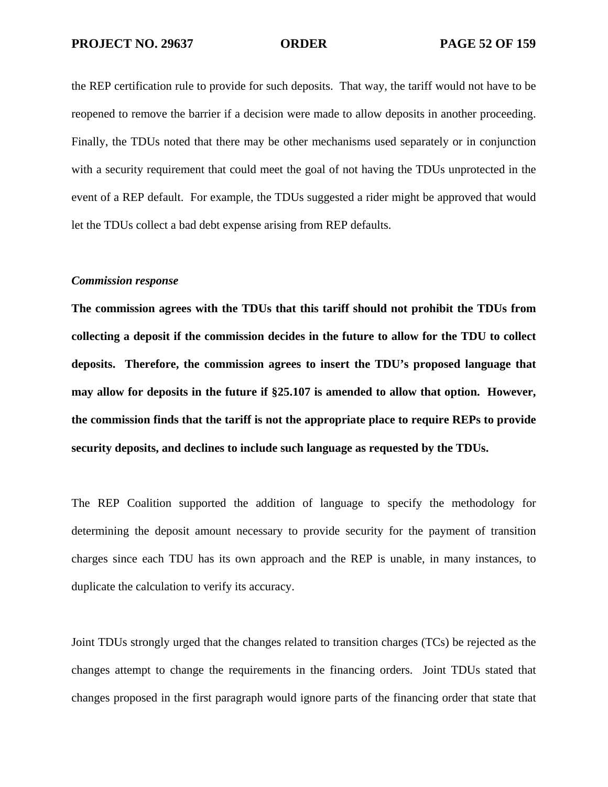the REP certification rule to provide for such deposits. That way, the tariff would not have to be reopened to remove the barrier if a decision were made to allow deposits in another proceeding. Finally, the TDUs noted that there may be other mechanisms used separately or in conjunction with a security requirement that could meet the goal of not having the TDUs unprotected in the event of a REP default. For example, the TDUs suggested a rider might be approved that would let the TDUs collect a bad debt expense arising from REP defaults.

# *Commission response*

**The commission agrees with the TDUs that this tariff should not prohibit the TDUs from collecting a deposit if the commission decides in the future to allow for the TDU to collect deposits. Therefore, the commission agrees to insert the TDU's proposed language that may allow for deposits in the future if §25.107 is amended to allow that option. However, the commission finds that the tariff is not the appropriate place to require REPs to provide security deposits, and declines to include such language as requested by the TDUs.** 

The REP Coalition supported the addition of language to specify the methodology for determining the deposit amount necessary to provide security for the payment of transition charges since each TDU has its own approach and the REP is unable, in many instances, to duplicate the calculation to verify its accuracy.

Joint TDUs strongly urged that the changes related to transition charges (TCs) be rejected as the changes attempt to change the requirements in the financing orders. Joint TDUs stated that changes proposed in the first paragraph would ignore parts of the financing order that state that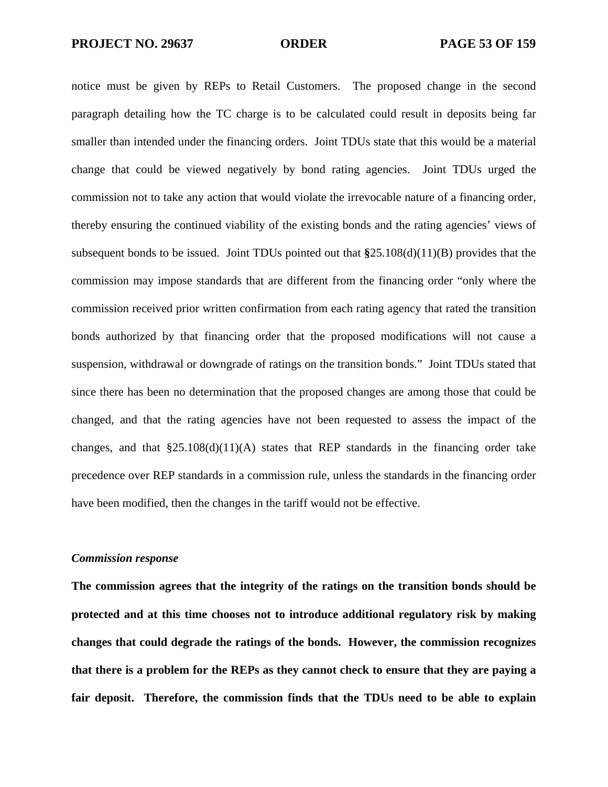notice must be given by REPs to Retail Customers. The proposed change in the second paragraph detailing how the TC charge is to be calculated could result in deposits being far smaller than intended under the financing orders. Joint TDUs state that this would be a material change that could be viewed negatively by bond rating agencies. Joint TDUs urged the commission not to take any action that would violate the irrevocable nature of a financing order, thereby ensuring the continued viability of the existing bonds and the rating agencies' views of subsequent bonds to be issued. Joint TDUs pointed out that **§**25.108(d)(11)(B) provides that the commission may impose standards that are different from the financing order "only where the commission received prior written confirmation from each rating agency that rated the transition bonds authorized by that financing order that the proposed modifications will not cause a suspension, withdrawal or downgrade of ratings on the transition bonds." Joint TDUs stated that since there has been no determination that the proposed changes are among those that could be changed, and that the rating agencies have not been requested to assess the impact of the changes, and that  $$25.108(d)(11)(A)$  states that REP standards in the financing order take precedence over REP standards in a commission rule, unless the standards in the financing order have been modified, then the changes in the tariff would not be effective.

# *Commission response*

**The commission agrees that the integrity of the ratings on the transition bonds should be protected and at this time chooses not to introduce additional regulatory risk by making changes that could degrade the ratings of the bonds. However, the commission recognizes that there is a problem for the REPs as they cannot check to ensure that they are paying a fair deposit. Therefore, the commission finds that the TDUs need to be able to explain**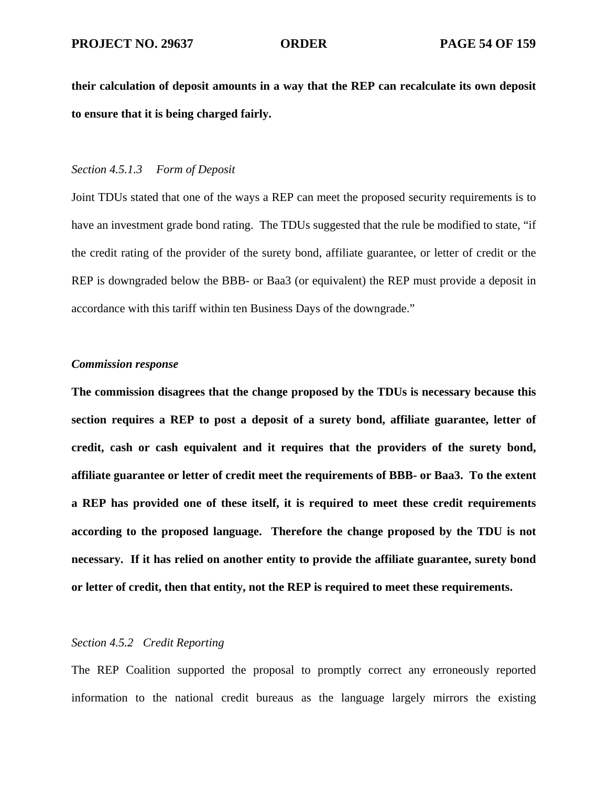**their calculation of deposit amounts in a way that the REP can recalculate its own deposit to ensure that it is being charged fairly.** 

# *Section 4.5.1.3 Form of Deposit*

Joint TDUs stated that one of the ways a REP can meet the proposed security requirements is to have an investment grade bond rating. The TDUs suggested that the rule be modified to state, "if the credit rating of the provider of the surety bond, affiliate guarantee, or letter of credit or the REP is downgraded below the BBB- or Baa3 (or equivalent) the REP must provide a deposit in accordance with this tariff within ten Business Days of the downgrade."

# *Commission response*

**The commission disagrees that the change proposed by the TDUs is necessary because this section requires a REP to post a deposit of a surety bond, affiliate guarantee, letter of credit, cash or cash equivalent and it requires that the providers of the surety bond, affiliate guarantee or letter of credit meet the requirements of BBB- or Baa3. To the extent a REP has provided one of these itself, it is required to meet these credit requirements according to the proposed language. Therefore the change proposed by the TDU is not necessary. If it has relied on another entity to provide the affiliate guarantee, surety bond or letter of credit, then that entity, not the REP is required to meet these requirements.** 

## *Section 4.5.2 Credit Reporting*

The REP Coalition supported the proposal to promptly correct any erroneously reported information to the national credit bureaus as the language largely mirrors the existing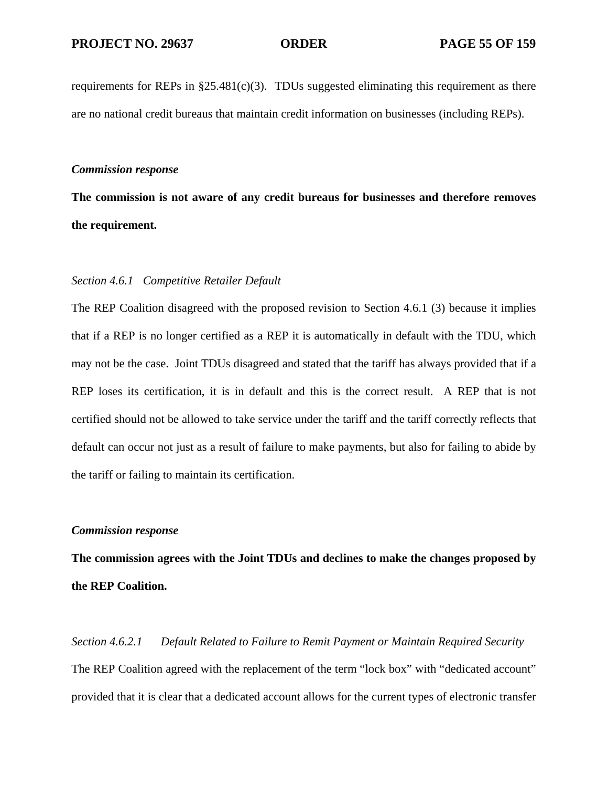requirements for REPs in §25.481(c)(3). TDUs suggested eliminating this requirement as there are no national credit bureaus that maintain credit information on businesses (including REPs).

## *Commission response*

**The commission is not aware of any credit bureaus for businesses and therefore removes the requirement.** 

# *Section 4.6.1 Competitive Retailer Default*

The REP Coalition disagreed with the proposed revision to Section 4.6.1 (3) because it implies that if a REP is no longer certified as a REP it is automatically in default with the TDU, which may not be the case. Joint TDUs disagreed and stated that the tariff has always provided that if a REP loses its certification, it is in default and this is the correct result. A REP that is not certified should not be allowed to take service under the tariff and the tariff correctly reflects that default can occur not just as a result of failure to make payments, but also for failing to abide by the tariff or failing to maintain its certification.

## *Commission response*

**The commission agrees with the Joint TDUs and declines to make the changes proposed by the REP Coalition.** 

*Section 4.6.2.1 Default Related to Failure to Remit Payment or Maintain Required Security*  The REP Coalition agreed with the replacement of the term "lock box" with "dedicated account" provided that it is clear that a dedicated account allows for the current types of electronic transfer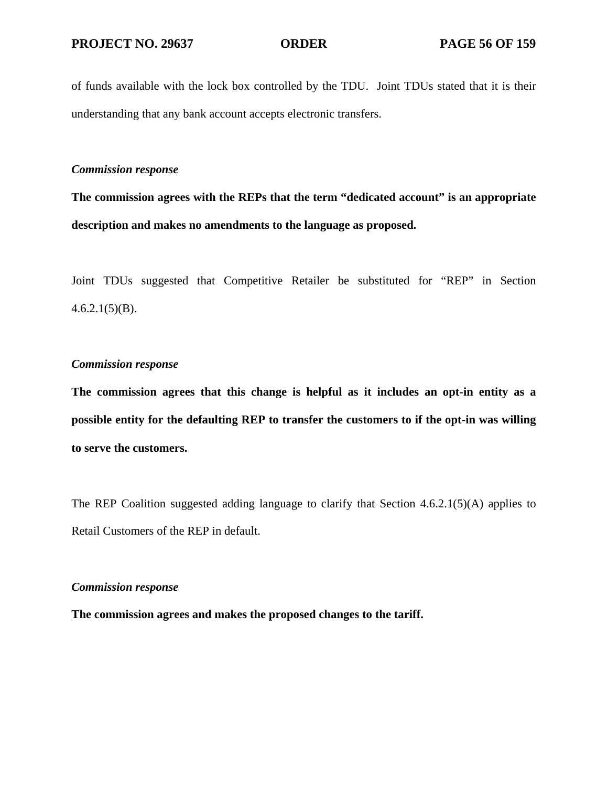of funds available with the lock box controlled by the TDU. Joint TDUs stated that it is their understanding that any bank account accepts electronic transfers.

# *Commission response*

**The commission agrees with the REPs that the term "dedicated account" is an appropriate description and makes no amendments to the language as proposed.** 

Joint TDUs suggested that Competitive Retailer be substituted for "REP" in Section  $4.6.2.1(5)(B)$ .

# *Commission response*

**The commission agrees that this change is helpful as it includes an opt-in entity as a possible entity for the defaulting REP to transfer the customers to if the opt-in was willing to serve the customers.** 

The REP Coalition suggested adding language to clarify that Section 4.6.2.1(5)(A) applies to Retail Customers of the REP in default.

# *Commission response*

**The commission agrees and makes the proposed changes to the tariff.**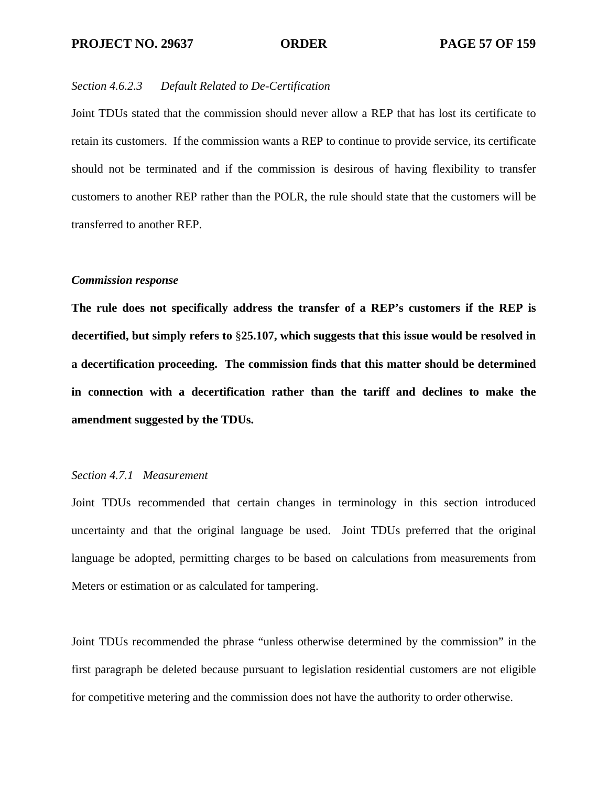# *Section 4.6.2.3 Default Related to De-Certification*

Joint TDUs stated that the commission should never allow a REP that has lost its certificate to retain its customers. If the commission wants a REP to continue to provide service, its certificate should not be terminated and if the commission is desirous of having flexibility to transfer customers to another REP rather than the POLR, the rule should state that the customers will be transferred to another REP.

## *Commission response*

**The rule does not specifically address the transfer of a REP's customers if the REP is decertified, but simply refers to** §**25.107, which suggests that this issue would be resolved in a decertification proceeding. The commission finds that this matter should be determined in connection with a decertification rather than the tariff and declines to make the amendment suggested by the TDUs.** 

# *Section 4.7.1 Measurement*

Joint TDUs recommended that certain changes in terminology in this section introduced uncertainty and that the original language be used. Joint TDUs preferred that the original language be adopted, permitting charges to be based on calculations from measurements from Meters or estimation or as calculated for tampering.

Joint TDUs recommended the phrase "unless otherwise determined by the commission" in the first paragraph be deleted because pursuant to legislation residential customers are not eligible for competitive metering and the commission does not have the authority to order otherwise.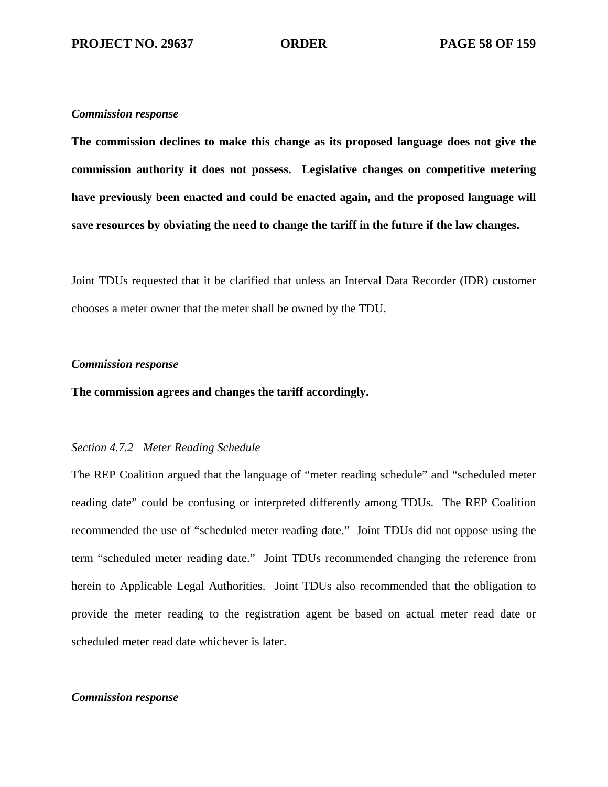**The commission declines to make this change as its proposed language does not give the commission authority it does not possess. Legislative changes on competitive metering have previously been enacted and could be enacted again, and the proposed language will save resources by obviating the need to change the tariff in the future if the law changes.** 

Joint TDUs requested that it be clarified that unless an Interval Data Recorder (IDR) customer chooses a meter owner that the meter shall be owned by the TDU.

## *Commission response*

**The commission agrees and changes the tariff accordingly.** 

## *Section 4.7.2 Meter Reading Schedule*

The REP Coalition argued that the language of "meter reading schedule" and "scheduled meter reading date" could be confusing or interpreted differently among TDUs. The REP Coalition recommended the use of "scheduled meter reading date." Joint TDUs did not oppose using the term "scheduled meter reading date." Joint TDUs recommended changing the reference from herein to Applicable Legal Authorities. Joint TDUs also recommended that the obligation to provide the meter reading to the registration agent be based on actual meter read date or scheduled meter read date whichever is later.

## *Commission response*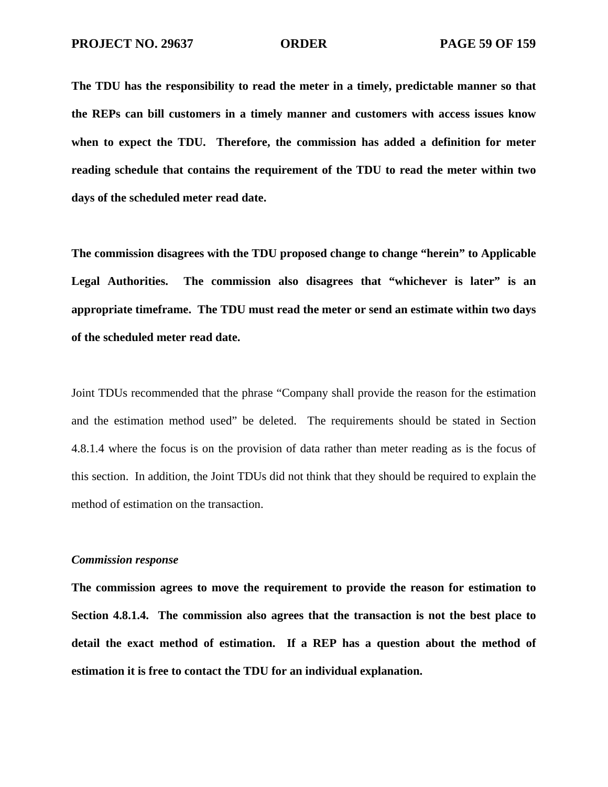**The TDU has the responsibility to read the meter in a timely, predictable manner so that the REPs can bill customers in a timely manner and customers with access issues know when to expect the TDU. Therefore, the commission has added a definition for meter reading schedule that contains the requirement of the TDU to read the meter within two days of the scheduled meter read date.** 

**The commission disagrees with the TDU proposed change to change "herein" to Applicable Legal Authorities. The commission also disagrees that "whichever is later" is an appropriate timeframe. The TDU must read the meter or send an estimate within two days of the scheduled meter read date.** 

Joint TDUs recommended that the phrase "Company shall provide the reason for the estimation and the estimation method used" be deleted. The requirements should be stated in Section 4.8.1.4 where the focus is on the provision of data rather than meter reading as is the focus of this section. In addition, the Joint TDUs did not think that they should be required to explain the method of estimation on the transaction.

## *Commission response*

**The commission agrees to move the requirement to provide the reason for estimation to Section 4.8.1.4. The commission also agrees that the transaction is not the best place to detail the exact method of estimation. If a REP has a question about the method of estimation it is free to contact the TDU for an individual explanation.**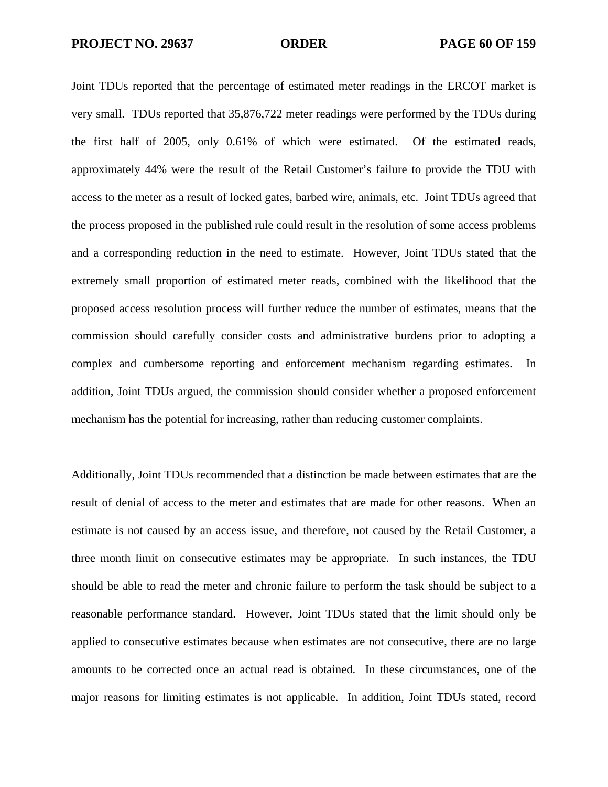Joint TDUs reported that the percentage of estimated meter readings in the ERCOT market is very small. TDUs reported that 35,876,722 meter readings were performed by the TDUs during the first half of 2005, only 0.61% of which were estimated. Of the estimated reads, approximately 44% were the result of the Retail Customer's failure to provide the TDU with access to the meter as a result of locked gates, barbed wire, animals, etc. Joint TDUs agreed that the process proposed in the published rule could result in the resolution of some access problems and a corresponding reduction in the need to estimate. However, Joint TDUs stated that the extremely small proportion of estimated meter reads, combined with the likelihood that the proposed access resolution process will further reduce the number of estimates, means that the commission should carefully consider costs and administrative burdens prior to adopting a complex and cumbersome reporting and enforcement mechanism regarding estimates. In addition, Joint TDUs argued, the commission should consider whether a proposed enforcement mechanism has the potential for increasing, rather than reducing customer complaints.

Additionally, Joint TDUs recommended that a distinction be made between estimates that are the result of denial of access to the meter and estimates that are made for other reasons. When an estimate is not caused by an access issue, and therefore, not caused by the Retail Customer, a three month limit on consecutive estimates may be appropriate. In such instances, the TDU should be able to read the meter and chronic failure to perform the task should be subject to a reasonable performance standard. However, Joint TDUs stated that the limit should only be applied to consecutive estimates because when estimates are not consecutive, there are no large amounts to be corrected once an actual read is obtained. In these circumstances, one of the major reasons for limiting estimates is not applicable. In addition, Joint TDUs stated, record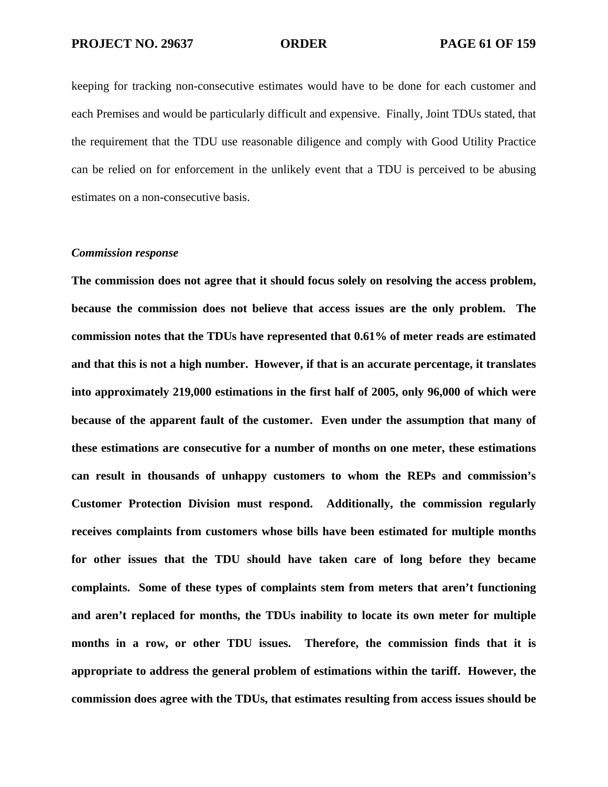keeping for tracking non-consecutive estimates would have to be done for each customer and each Premises and would be particularly difficult and expensive. Finally, Joint TDUs stated, that the requirement that the TDU use reasonable diligence and comply with Good Utility Practice can be relied on for enforcement in the unlikely event that a TDU is perceived to be abusing estimates on a non-consecutive basis.

### *Commission response*

**The commission does not agree that it should focus solely on resolving the access problem, because the commission does not believe that access issues are the only problem. The commission notes that the TDUs have represented that 0.61% of meter reads are estimated and that this is not a high number. However, if that is an accurate percentage, it translates into approximately 219,000 estimations in the first half of 2005, only 96,000 of which were because of the apparent fault of the customer. Even under the assumption that many of these estimations are consecutive for a number of months on one meter, these estimations can result in thousands of unhappy customers to whom the REPs and commission's Customer Protection Division must respond. Additionally, the commission regularly receives complaints from customers whose bills have been estimated for multiple months for other issues that the TDU should have taken care of long before they became complaints. Some of these types of complaints stem from meters that aren't functioning and aren't replaced for months, the TDUs inability to locate its own meter for multiple months in a row, or other TDU issues. Therefore, the commission finds that it is appropriate to address the general problem of estimations within the tariff. However, the commission does agree with the TDUs, that estimates resulting from access issues should be**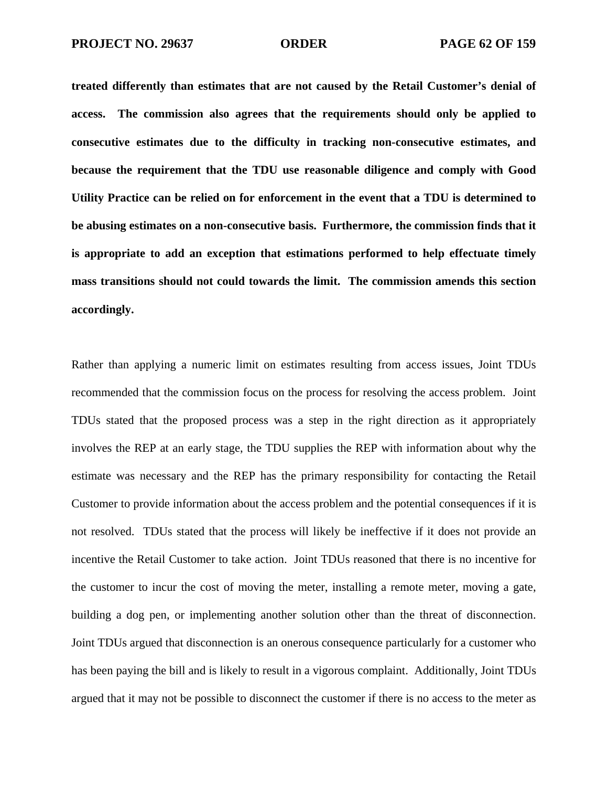**treated differently than estimates that are not caused by the Retail Customer's denial of access. The commission also agrees that the requirements should only be applied to consecutive estimates due to the difficulty in tracking non-consecutive estimates, and because the requirement that the TDU use reasonable diligence and comply with Good Utility Practice can be relied on for enforcement in the event that a TDU is determined to be abusing estimates on a non-consecutive basis. Furthermore, the commission finds that it is appropriate to add an exception that estimations performed to help effectuate timely mass transitions should not could towards the limit. The commission amends this section accordingly.** 

Rather than applying a numeric limit on estimates resulting from access issues, Joint TDUs recommended that the commission focus on the process for resolving the access problem. Joint TDUs stated that the proposed process was a step in the right direction as it appropriately involves the REP at an early stage, the TDU supplies the REP with information about why the estimate was necessary and the REP has the primary responsibility for contacting the Retail Customer to provide information about the access problem and the potential consequences if it is not resolved. TDUs stated that the process will likely be ineffective if it does not provide an incentive the Retail Customer to take action. Joint TDUs reasoned that there is no incentive for the customer to incur the cost of moving the meter, installing a remote meter, moving a gate, building a dog pen, or implementing another solution other than the threat of disconnection. Joint TDUs argued that disconnection is an onerous consequence particularly for a customer who has been paying the bill and is likely to result in a vigorous complaint. Additionally, Joint TDUs argued that it may not be possible to disconnect the customer if there is no access to the meter as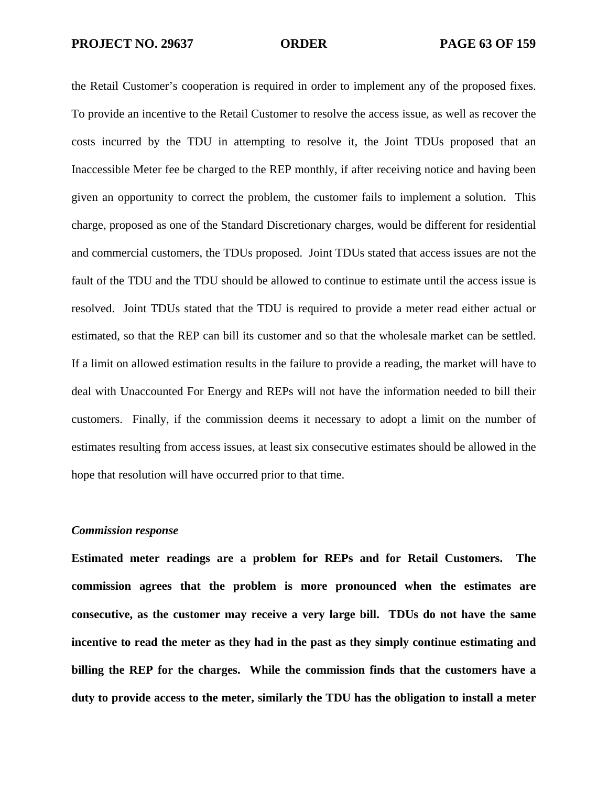the Retail Customer's cooperation is required in order to implement any of the proposed fixes. To provide an incentive to the Retail Customer to resolve the access issue, as well as recover the costs incurred by the TDU in attempting to resolve it, the Joint TDUs proposed that an Inaccessible Meter fee be charged to the REP monthly, if after receiving notice and having been given an opportunity to correct the problem, the customer fails to implement a solution. This charge, proposed as one of the Standard Discretionary charges, would be different for residential and commercial customers, the TDUs proposed. Joint TDUs stated that access issues are not the fault of the TDU and the TDU should be allowed to continue to estimate until the access issue is resolved. Joint TDUs stated that the TDU is required to provide a meter read either actual or estimated, so that the REP can bill its customer and so that the wholesale market can be settled. If a limit on allowed estimation results in the failure to provide a reading, the market will have to deal with Unaccounted For Energy and REPs will not have the information needed to bill their customers. Finally, if the commission deems it necessary to adopt a limit on the number of estimates resulting from access issues, at least six consecutive estimates should be allowed in the hope that resolution will have occurred prior to that time.

## *Commission response*

**Estimated meter readings are a problem for REPs and for Retail Customers. The commission agrees that the problem is more pronounced when the estimates are consecutive, as the customer may receive a very large bill. TDUs do not have the same incentive to read the meter as they had in the past as they simply continue estimating and billing the REP for the charges. While the commission finds that the customers have a duty to provide access to the meter, similarly the TDU has the obligation to install a meter**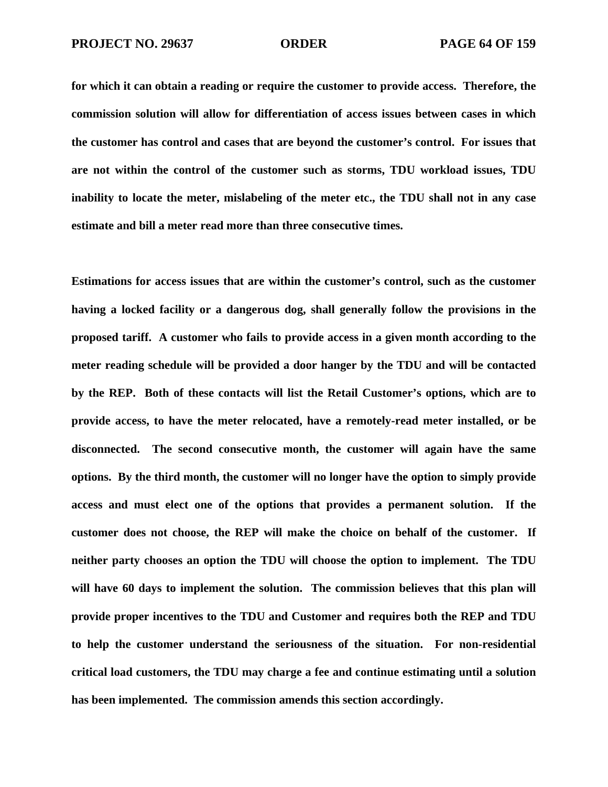**for which it can obtain a reading or require the customer to provide access. Therefore, the commission solution will allow for differentiation of access issues between cases in which the customer has control and cases that are beyond the customer's control. For issues that are not within the control of the customer such as storms, TDU workload issues, TDU inability to locate the meter, mislabeling of the meter etc., the TDU shall not in any case estimate and bill a meter read more than three consecutive times.** 

**Estimations for access issues that are within the customer's control, such as the customer having a locked facility or a dangerous dog, shall generally follow the provisions in the proposed tariff. A customer who fails to provide access in a given month according to the meter reading schedule will be provided a door hanger by the TDU and will be contacted by the REP. Both of these contacts will list the Retail Customer's options, which are to provide access, to have the meter relocated, have a remotely-read meter installed, or be disconnected. The second consecutive month, the customer will again have the same options. By the third month, the customer will no longer have the option to simply provide access and must elect one of the options that provides a permanent solution. If the customer does not choose, the REP will make the choice on behalf of the customer. If neither party chooses an option the TDU will choose the option to implement. The TDU**  will have 60 days to implement the solution. The commission believes that this plan will **provide proper incentives to the TDU and Customer and requires both the REP and TDU to help the customer understand the seriousness of the situation. For non-residential critical load customers, the TDU may charge a fee and continue estimating until a solution has been implemented. The commission amends this section accordingly.**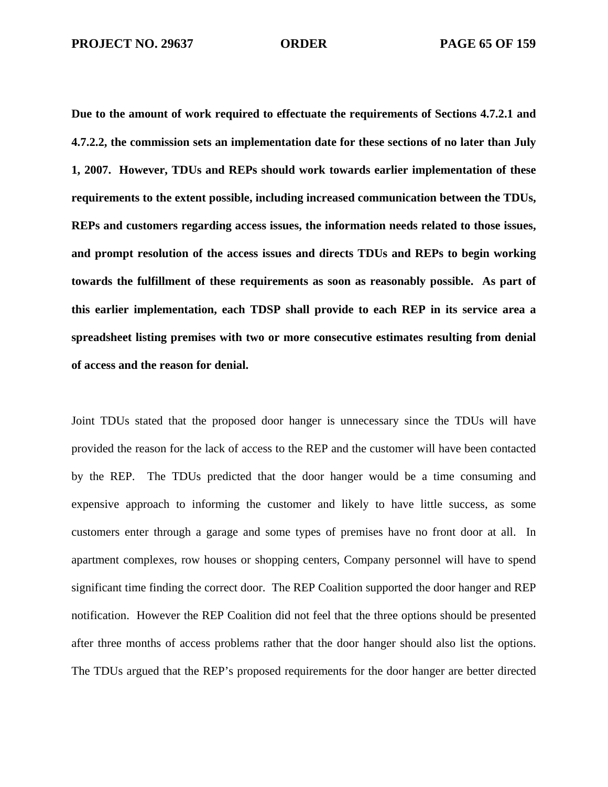**Due to the amount of work required to effectuate the requirements of Sections 4.7.2.1 and 4.7.2.2, the commission sets an implementation date for these sections of no later than July 1, 2007. However, TDUs and REPs should work towards earlier implementation of these requirements to the extent possible, including increased communication between the TDUs, REPs and customers regarding access issues, the information needs related to those issues, and prompt resolution of the access issues and directs TDUs and REPs to begin working towards the fulfillment of these requirements as soon as reasonably possible. As part of this earlier implementation, each TDSP shall provide to each REP in its service area a spreadsheet listing premises with two or more consecutive estimates resulting from denial of access and the reason for denial.** 

Joint TDUs stated that the proposed door hanger is unnecessary since the TDUs will have provided the reason for the lack of access to the REP and the customer will have been contacted by the REP. The TDUs predicted that the door hanger would be a time consuming and expensive approach to informing the customer and likely to have little success, as some customers enter through a garage and some types of premises have no front door at all. In apartment complexes, row houses or shopping centers, Company personnel will have to spend significant time finding the correct door. The REP Coalition supported the door hanger and REP notification. However the REP Coalition did not feel that the three options should be presented after three months of access problems rather that the door hanger should also list the options. The TDUs argued that the REP's proposed requirements for the door hanger are better directed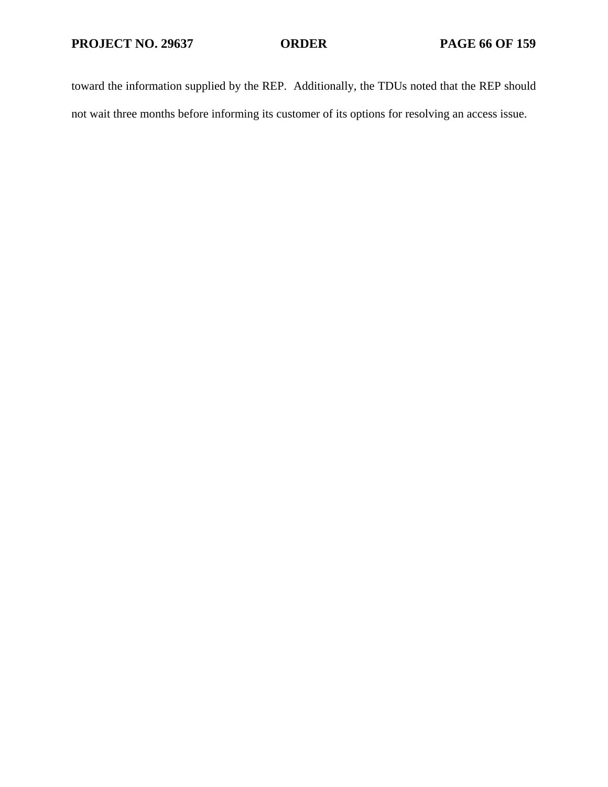toward the information supplied by the REP. Additionally, the TDUs noted that the REP should not wait three months before informing its customer of its options for resolving an access issue.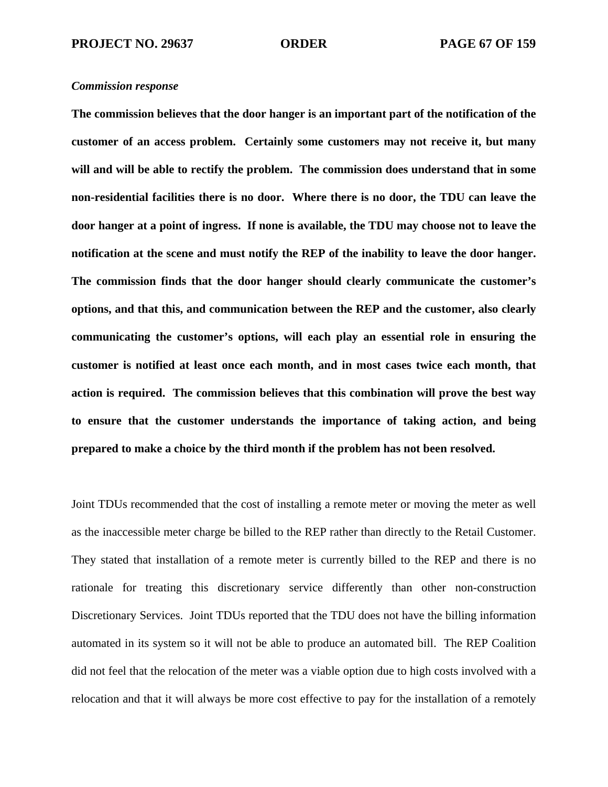**The commission believes that the door hanger is an important part of the notification of the customer of an access problem. Certainly some customers may not receive it, but many will and will be able to rectify the problem. The commission does understand that in some non-residential facilities there is no door. Where there is no door, the TDU can leave the door hanger at a point of ingress. If none is available, the TDU may choose not to leave the notification at the scene and must notify the REP of the inability to leave the door hanger. The commission finds that the door hanger should clearly communicate the customer's options, and that this, and communication between the REP and the customer, also clearly communicating the customer's options, will each play an essential role in ensuring the customer is notified at least once each month, and in most cases twice each month, that action is required. The commission believes that this combination will prove the best way to ensure that the customer understands the importance of taking action, and being prepared to make a choice by the third month if the problem has not been resolved.** 

Joint TDUs recommended that the cost of installing a remote meter or moving the meter as well as the inaccessible meter charge be billed to the REP rather than directly to the Retail Customer. They stated that installation of a remote meter is currently billed to the REP and there is no rationale for treating this discretionary service differently than other non-construction Discretionary Services. Joint TDUs reported that the TDU does not have the billing information automated in its system so it will not be able to produce an automated bill. The REP Coalition did not feel that the relocation of the meter was a viable option due to high costs involved with a relocation and that it will always be more cost effective to pay for the installation of a remotely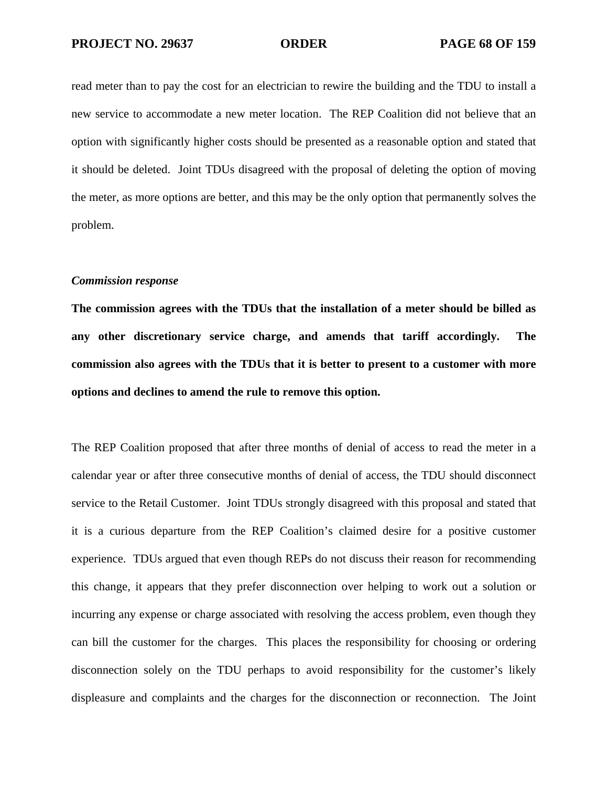read meter than to pay the cost for an electrician to rewire the building and the TDU to install a new service to accommodate a new meter location. The REP Coalition did not believe that an option with significantly higher costs should be presented as a reasonable option and stated that it should be deleted. Joint TDUs disagreed with the proposal of deleting the option of moving the meter, as more options are better, and this may be the only option that permanently solves the problem.

## *Commission response*

**The commission agrees with the TDUs that the installation of a meter should be billed as any other discretionary service charge, and amends that tariff accordingly. The commission also agrees with the TDUs that it is better to present to a customer with more options and declines to amend the rule to remove this option.** 

The REP Coalition proposed that after three months of denial of access to read the meter in a calendar year or after three consecutive months of denial of access, the TDU should disconnect service to the Retail Customer. Joint TDUs strongly disagreed with this proposal and stated that it is a curious departure from the REP Coalition's claimed desire for a positive customer experience. TDUs argued that even though REPs do not discuss their reason for recommending this change, it appears that they prefer disconnection over helping to work out a solution or incurring any expense or charge associated with resolving the access problem, even though they can bill the customer for the charges. This places the responsibility for choosing or ordering disconnection solely on the TDU perhaps to avoid responsibility for the customer's likely displeasure and complaints and the charges for the disconnection or reconnection. The Joint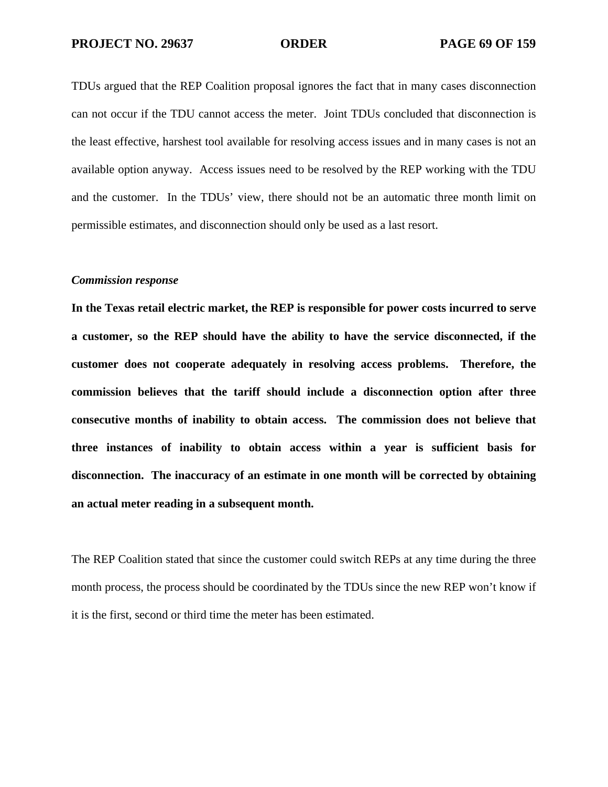TDUs argued that the REP Coalition proposal ignores the fact that in many cases disconnection can not occur if the TDU cannot access the meter. Joint TDUs concluded that disconnection is the least effective, harshest tool available for resolving access issues and in many cases is not an available option anyway. Access issues need to be resolved by the REP working with the TDU and the customer. In the TDUs' view, there should not be an automatic three month limit on permissible estimates, and disconnection should only be used as a last resort.

# *Commission response*

**In the Texas retail electric market, the REP is responsible for power costs incurred to serve a customer, so the REP should have the ability to have the service disconnected, if the customer does not cooperate adequately in resolving access problems. Therefore, the commission believes that the tariff should include a disconnection option after three consecutive months of inability to obtain access. The commission does not believe that three instances of inability to obtain access within a year is sufficient basis for disconnection. The inaccuracy of an estimate in one month will be corrected by obtaining an actual meter reading in a subsequent month.** 

The REP Coalition stated that since the customer could switch REPs at any time during the three month process, the process should be coordinated by the TDUs since the new REP won't know if it is the first, second or third time the meter has been estimated.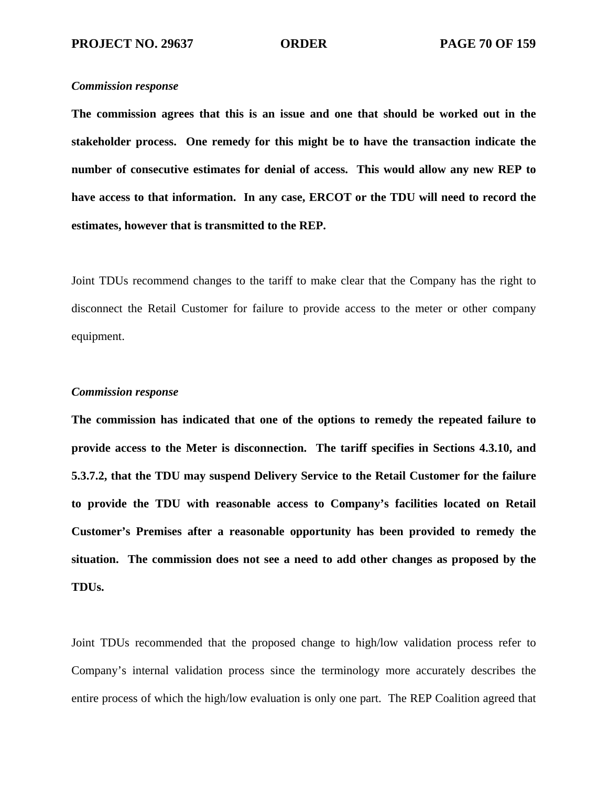**The commission agrees that this is an issue and one that should be worked out in the stakeholder process. One remedy for this might be to have the transaction indicate the number of consecutive estimates for denial of access. This would allow any new REP to have access to that information. In any case, ERCOT or the TDU will need to record the estimates, however that is transmitted to the REP.** 

Joint TDUs recommend changes to the tariff to make clear that the Company has the right to disconnect the Retail Customer for failure to provide access to the meter or other company equipment.

## *Commission response*

**The commission has indicated that one of the options to remedy the repeated failure to provide access to the Meter is disconnection. The tariff specifies in Sections 4.3.10, and 5.3.7.2, that the TDU may suspend Delivery Service to the Retail Customer for the failure to provide the TDU with reasonable access to Company's facilities located on Retail Customer's Premises after a reasonable opportunity has been provided to remedy the situation. The commission does not see a need to add other changes as proposed by the TDUs.** 

Joint TDUs recommended that the proposed change to high/low validation process refer to Company's internal validation process since the terminology more accurately describes the entire process of which the high/low evaluation is only one part. The REP Coalition agreed that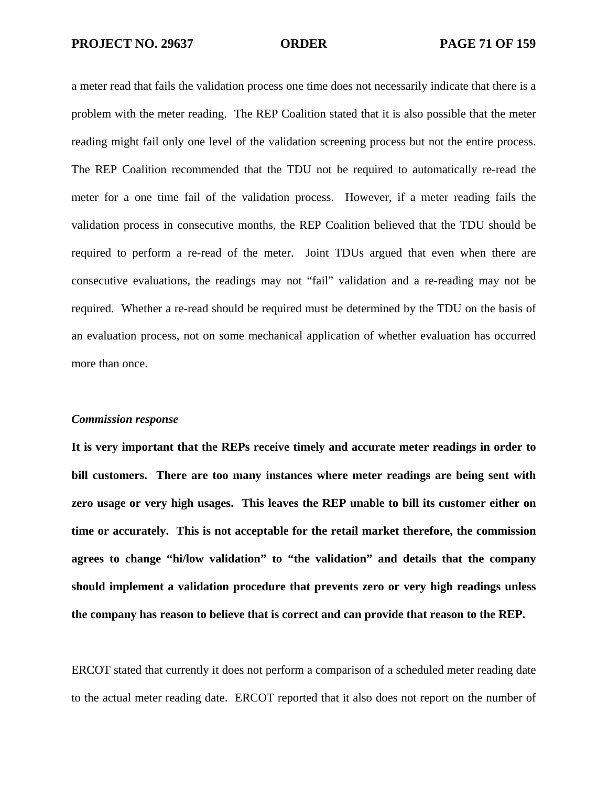a meter read that fails the validation process one time does not necessarily indicate that there is a problem with the meter reading. The REP Coalition stated that it is also possible that the meter reading might fail only one level of the validation screening process but not the entire process. The REP Coalition recommended that the TDU not be required to automatically re-read the meter for a one time fail of the validation process. However, if a meter reading fails the validation process in consecutive months, the REP Coalition believed that the TDU should be required to perform a re-read of the meter. Joint TDUs argued that even when there are consecutive evaluations, the readings may not "fail" validation and a re-reading may not be required. Whether a re-read should be required must be determined by the TDU on the basis of an evaluation process, not on some mechanical application of whether evaluation has occurred more than once.

### *Commission response*

**It is very important that the REPs receive timely and accurate meter readings in order to bill customers. There are too many instances where meter readings are being sent with zero usage or very high usages. This leaves the REP unable to bill its customer either on time or accurately. This is not acceptable for the retail market therefore, the commission agrees to change "hi/low validation" to "the validation" and details that the company should implement a validation procedure that prevents zero or very high readings unless the company has reason to believe that is correct and can provide that reason to the REP.** 

ERCOT stated that currently it does not perform a comparison of a scheduled meter reading date to the actual meter reading date. ERCOT reported that it also does not report on the number of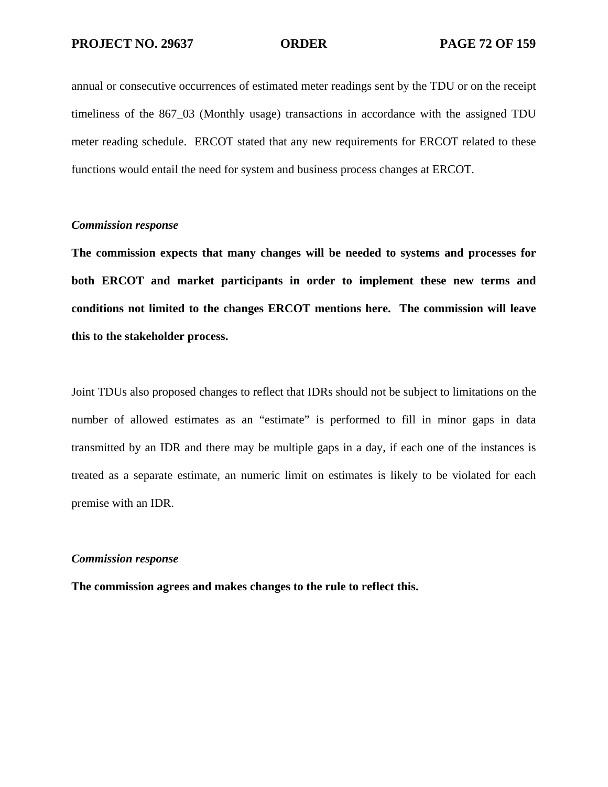annual or consecutive occurrences of estimated meter readings sent by the TDU or on the receipt timeliness of the 867–03 (Monthly usage) transactions in accordance with the assigned TDU meter reading schedule. ERCOT stated that any new requirements for ERCOT related to these functions would entail the need for system and business process changes at ERCOT.

## *Commission response*

**The commission expects that many changes will be needed to systems and processes for both ERCOT and market participants in order to implement these new terms and conditions not limited to the changes ERCOT mentions here. The commission will leave this to the stakeholder process.** 

Joint TDUs also proposed changes to reflect that IDRs should not be subject to limitations on the number of allowed estimates as an "estimate" is performed to fill in minor gaps in data transmitted by an IDR and there may be multiple gaps in a day, if each one of the instances is treated as a separate estimate, an numeric limit on estimates is likely to be violated for each premise with an IDR.

# *Commission response*

**The commission agrees and makes changes to the rule to reflect this.**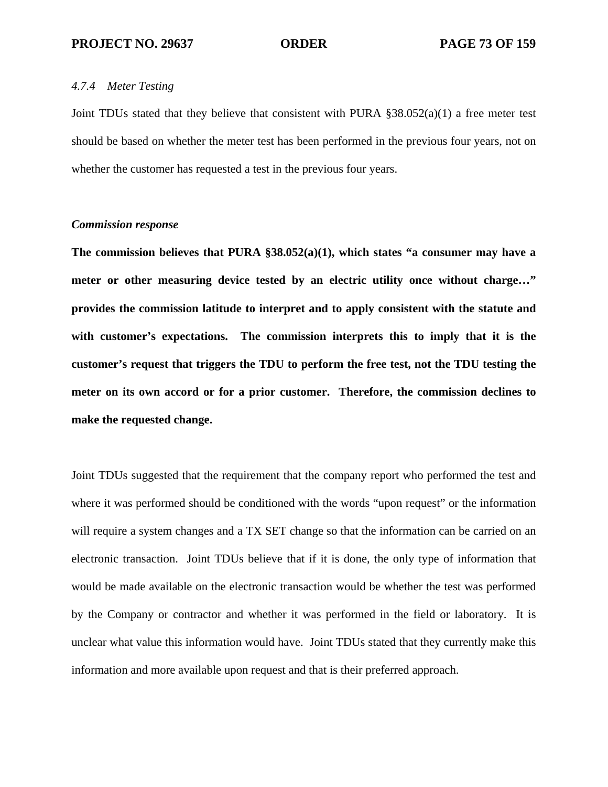# *4.7.4 Meter Testing*

Joint TDUs stated that they believe that consistent with PURA §38.052(a)(1) a free meter test should be based on whether the meter test has been performed in the previous four years, not on whether the customer has requested a test in the previous four years.

# *Commission response*

**The commission believes that PURA §38.052(a)(1), which states "a consumer may have a meter or other measuring device tested by an electric utility once without charge…" provides the commission latitude to interpret and to apply consistent with the statute and with customer's expectations. The commission interprets this to imply that it is the customer's request that triggers the TDU to perform the free test, not the TDU testing the meter on its own accord or for a prior customer. Therefore, the commission declines to make the requested change.** 

Joint TDUs suggested that the requirement that the company report who performed the test and where it was performed should be conditioned with the words "upon request" or the information will require a system changes and a TX SET change so that the information can be carried on an electronic transaction. Joint TDUs believe that if it is done, the only type of information that would be made available on the electronic transaction would be whether the test was performed by the Company or contractor and whether it was performed in the field or laboratory. It is unclear what value this information would have. Joint TDUs stated that they currently make this information and more available upon request and that is their preferred approach.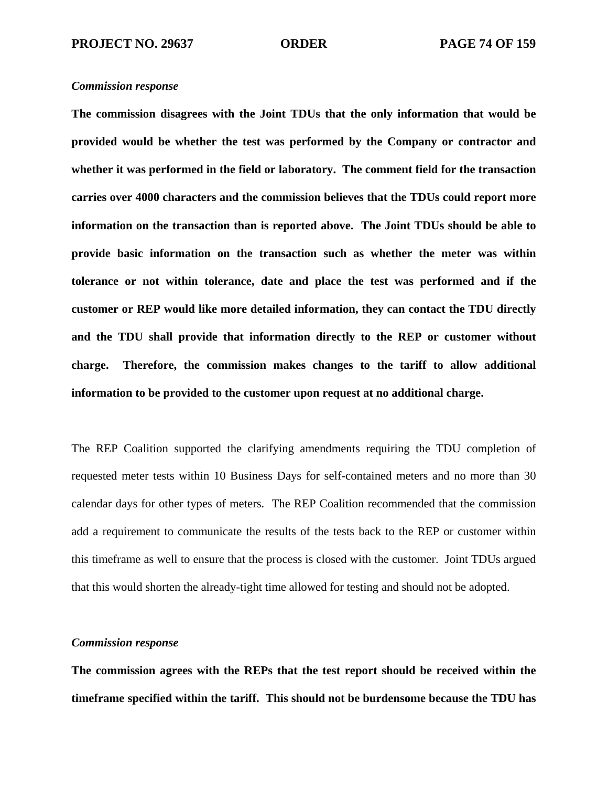**The commission disagrees with the Joint TDUs that the only information that would be provided would be whether the test was performed by the Company or contractor and whether it was performed in the field or laboratory. The comment field for the transaction carries over 4000 characters and the commission believes that the TDUs could report more information on the transaction than is reported above. The Joint TDUs should be able to provide basic information on the transaction such as whether the meter was within tolerance or not within tolerance, date and place the test was performed and if the customer or REP would like more detailed information, they can contact the TDU directly and the TDU shall provide that information directly to the REP or customer without charge. Therefore, the commission makes changes to the tariff to allow additional information to be provided to the customer upon request at no additional charge.** 

The REP Coalition supported the clarifying amendments requiring the TDU completion of requested meter tests within 10 Business Days for self-contained meters and no more than 30 calendar days for other types of meters. The REP Coalition recommended that the commission add a requirement to communicate the results of the tests back to the REP or customer within this timeframe as well to ensure that the process is closed with the customer. Joint TDUs argued that this would shorten the already-tight time allowed for testing and should not be adopted.

### *Commission response*

**The commission agrees with the REPs that the test report should be received within the timeframe specified within the tariff. This should not be burdensome because the TDU has**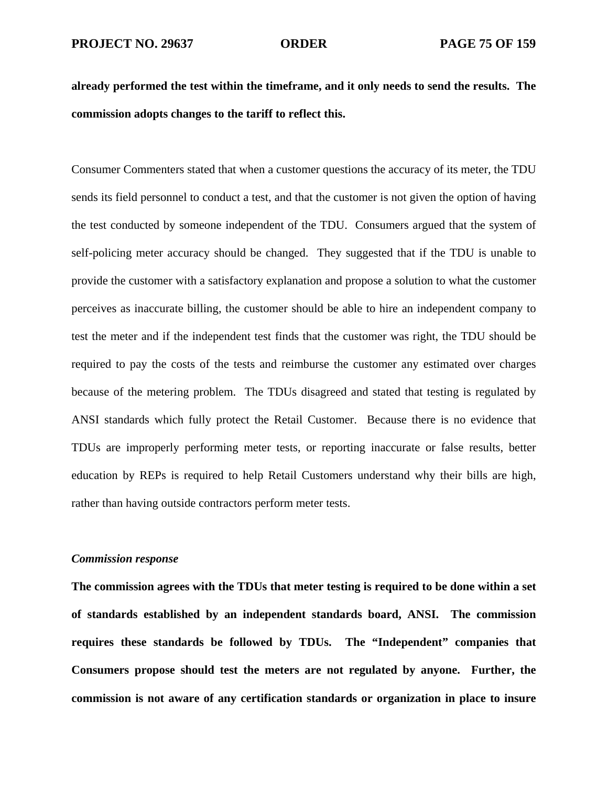**already performed the test within the timeframe, and it only needs to send the results. The commission adopts changes to the tariff to reflect this.** 

Consumer Commenters stated that when a customer questions the accuracy of its meter, the TDU sends its field personnel to conduct a test, and that the customer is not given the option of having the test conducted by someone independent of the TDU. Consumers argued that the system of self-policing meter accuracy should be changed. They suggested that if the TDU is unable to provide the customer with a satisfactory explanation and propose a solution to what the customer perceives as inaccurate billing, the customer should be able to hire an independent company to test the meter and if the independent test finds that the customer was right, the TDU should be required to pay the costs of the tests and reimburse the customer any estimated over charges because of the metering problem. The TDUs disagreed and stated that testing is regulated by ANSI standards which fully protect the Retail Customer. Because there is no evidence that TDUs are improperly performing meter tests, or reporting inaccurate or false results, better education by REPs is required to help Retail Customers understand why their bills are high, rather than having outside contractors perform meter tests.

# *Commission response*

**The commission agrees with the TDUs that meter testing is required to be done within a set of standards established by an independent standards board, ANSI. The commission requires these standards be followed by TDUs. The "Independent" companies that Consumers propose should test the meters are not regulated by anyone. Further, the commission is not aware of any certification standards or organization in place to insure**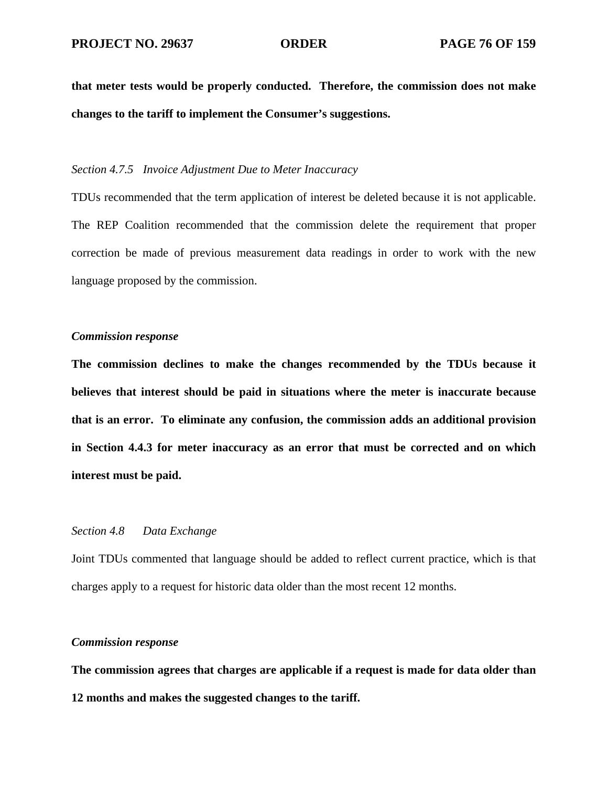**that meter tests would be properly conducted. Therefore, the commission does not make changes to the tariff to implement the Consumer's suggestions.** 

# *Section 4.7.5 Invoice Adjustment Due to Meter Inaccuracy*

TDUs recommended that the term application of interest be deleted because it is not applicable. The REP Coalition recommended that the commission delete the requirement that proper correction be made of previous measurement data readings in order to work with the new language proposed by the commission.

### *Commission response*

**The commission declines to make the changes recommended by the TDUs because it believes that interest should be paid in situations where the meter is inaccurate because that is an error. To eliminate any confusion, the commission adds an additional provision in Section 4.4.3 for meter inaccuracy as an error that must be corrected and on which interest must be paid.** 

# *Section 4.8 Data Exchange*

Joint TDUs commented that language should be added to reflect current practice, which is that charges apply to a request for historic data older than the most recent 12 months.

# *Commission response*

**The commission agrees that charges are applicable if a request is made for data older than 12 months and makes the suggested changes to the tariff.**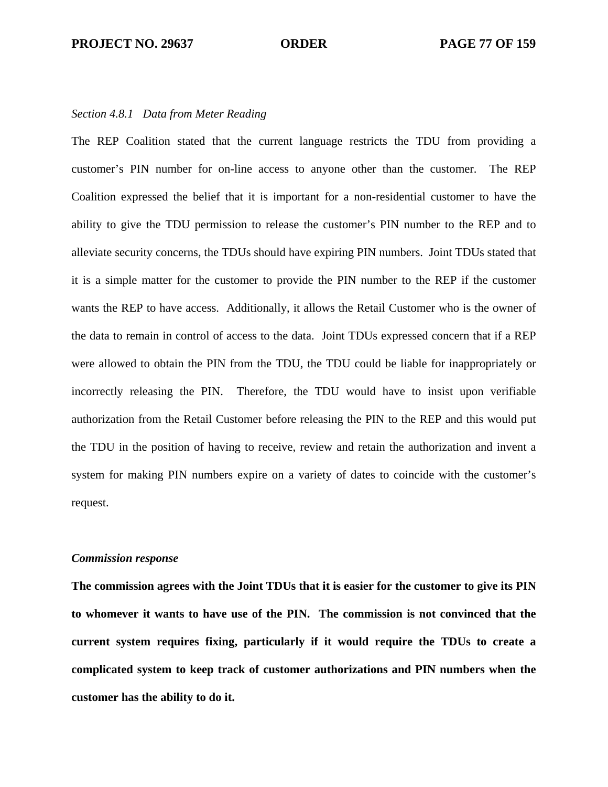### *Section 4.8.1 Data from Meter Reading*

The REP Coalition stated that the current language restricts the TDU from providing a customer's PIN number for on-line access to anyone other than the customer. The REP Coalition expressed the belief that it is important for a non-residential customer to have the ability to give the TDU permission to release the customer's PIN number to the REP and to alleviate security concerns, the TDUs should have expiring PIN numbers. Joint TDUs stated that it is a simple matter for the customer to provide the PIN number to the REP if the customer wants the REP to have access. Additionally, it allows the Retail Customer who is the owner of the data to remain in control of access to the data. Joint TDUs expressed concern that if a REP were allowed to obtain the PIN from the TDU, the TDU could be liable for inappropriately or incorrectly releasing the PIN. Therefore, the TDU would have to insist upon verifiable authorization from the Retail Customer before releasing the PIN to the REP and this would put the TDU in the position of having to receive, review and retain the authorization and invent a system for making PIN numbers expire on a variety of dates to coincide with the customer's request.

#### *Commission response*

**The commission agrees with the Joint TDUs that it is easier for the customer to give its PIN to whomever it wants to have use of the PIN. The commission is not convinced that the current system requires fixing, particularly if it would require the TDUs to create a complicated system to keep track of customer authorizations and PIN numbers when the customer has the ability to do it.**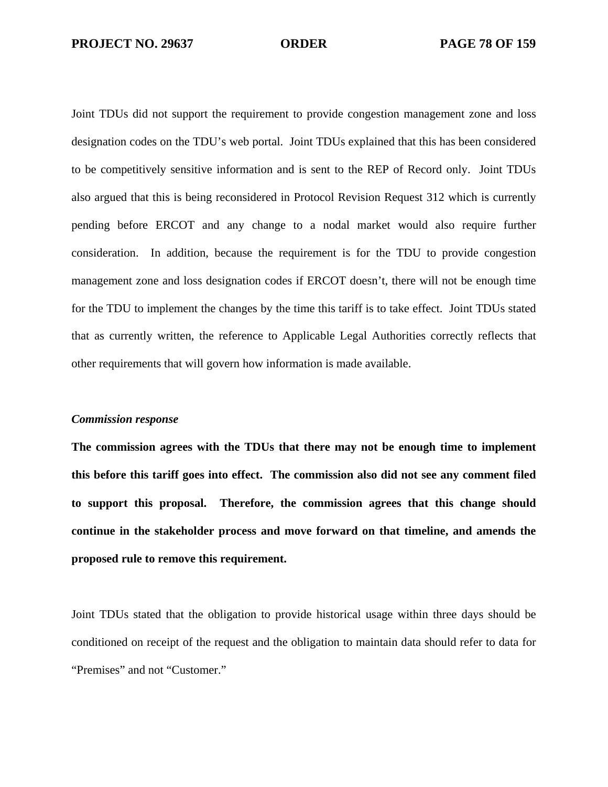Joint TDUs did not support the requirement to provide congestion management zone and loss designation codes on the TDU's web portal. Joint TDUs explained that this has been considered to be competitively sensitive information and is sent to the REP of Record only. Joint TDUs also argued that this is being reconsidered in Protocol Revision Request 312 which is currently pending before ERCOT and any change to a nodal market would also require further consideration. In addition, because the requirement is for the TDU to provide congestion management zone and loss designation codes if ERCOT doesn't, there will not be enough time for the TDU to implement the changes by the time this tariff is to take effect. Joint TDUs stated that as currently written, the reference to Applicable Legal Authorities correctly reflects that other requirements that will govern how information is made available.

#### *Commission response*

**The commission agrees with the TDUs that there may not be enough time to implement this before this tariff goes into effect. The commission also did not see any comment filed to support this proposal. Therefore, the commission agrees that this change should continue in the stakeholder process and move forward on that timeline, and amends the proposed rule to remove this requirement.** 

Joint TDUs stated that the obligation to provide historical usage within three days should be conditioned on receipt of the request and the obligation to maintain data should refer to data for "Premises" and not "Customer."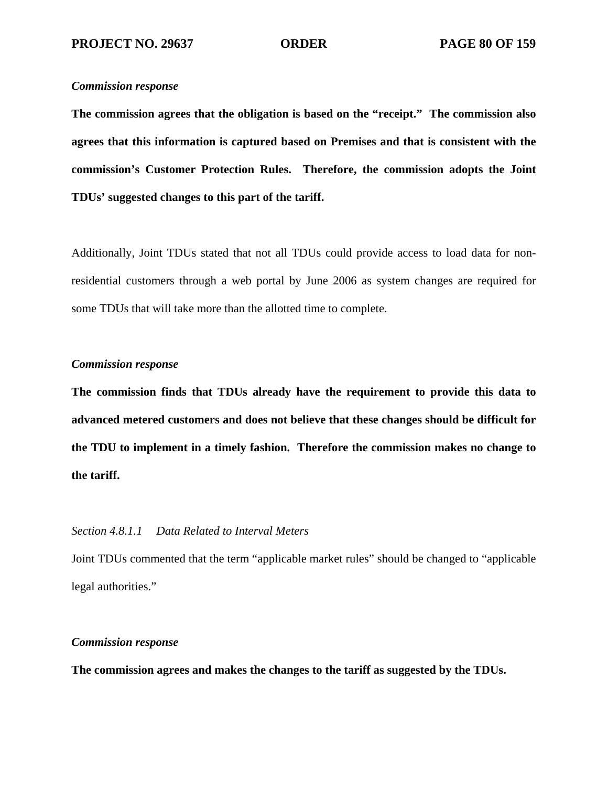**The commission agrees that the obligation is based on the "receipt." The commission also agrees that this information is captured based on Premises and that is consistent with the commission's Customer Protection Rules. Therefore, the commission adopts the Joint TDUs' suggested changes to this part of the tariff.** 

Additionally, Joint TDUs stated that not all TDUs could provide access to load data for nonresidential customers through a web portal by June 2006 as system changes are required for some TDUs that will take more than the allotted time to complete.

# *Commission response*

**The commission finds that TDUs already have the requirement to provide this data to advanced metered customers and does not believe that these changes should be difficult for the TDU to implement in a timely fashion. Therefore the commission makes no change to the tariff.** 

# *Section 4.8.1.1 Data Related to Interval Meters*

Joint TDUs commented that the term "applicable market rules" should be changed to "applicable legal authorities."

# *Commission response*

**The commission agrees and makes the changes to the tariff as suggested by the TDUs.**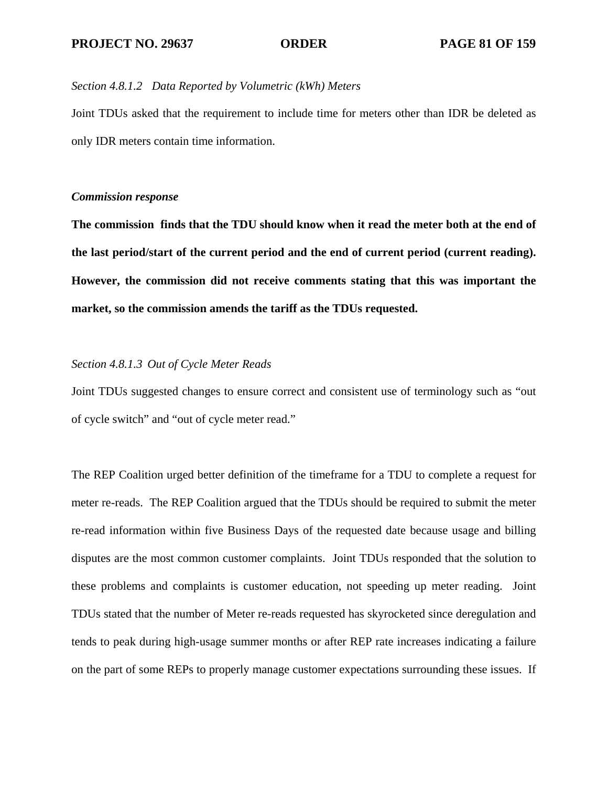# *Section 4.8.1.2 Data Reported by Volumetric (kWh) Meters*

Joint TDUs asked that the requirement to include time for meters other than IDR be deleted as only IDR meters contain time information.

# *Commission response*

**The commission finds that the TDU should know when it read the meter both at the end of the last period/start of the current period and the end of current period (current reading). However, the commission did not receive comments stating that this was important the market, so the commission amends the tariff as the TDUs requested.** 

# *Section 4.8.1.3 Out of Cycle Meter Reads*

Joint TDUs suggested changes to ensure correct and consistent use of terminology such as "out of cycle switch" and "out of cycle meter read."

The REP Coalition urged better definition of the timeframe for a TDU to complete a request for meter re-reads. The REP Coalition argued that the TDUs should be required to submit the meter re-read information within five Business Days of the requested date because usage and billing disputes are the most common customer complaints. Joint TDUs responded that the solution to these problems and complaints is customer education, not speeding up meter reading. Joint TDUs stated that the number of Meter re-reads requested has skyrocketed since deregulation and tends to peak during high-usage summer months or after REP rate increases indicating a failure on the part of some REPs to properly manage customer expectations surrounding these issues. If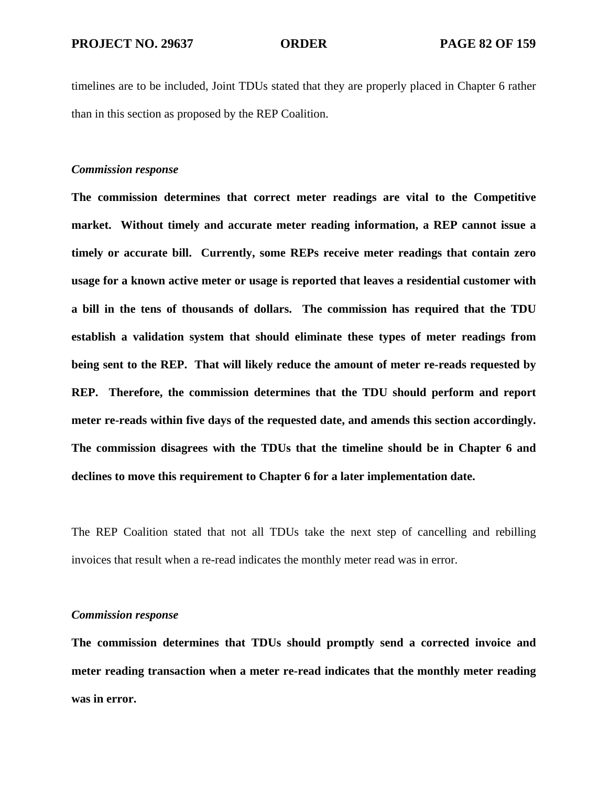timelines are to be included, Joint TDUs stated that they are properly placed in Chapter 6 rather than in this section as proposed by the REP Coalition.

# *Commission response*

**The commission determines that correct meter readings are vital to the Competitive market. Without timely and accurate meter reading information, a REP cannot issue a timely or accurate bill. Currently, some REPs receive meter readings that contain zero usage for a known active meter or usage is reported that leaves a residential customer with a bill in the tens of thousands of dollars. The commission has required that the TDU establish a validation system that should eliminate these types of meter readings from being sent to the REP. That will likely reduce the amount of meter re-reads requested by REP. Therefore, the commission determines that the TDU should perform and report meter re-reads within five days of the requested date, and amends this section accordingly. The commission disagrees with the TDUs that the timeline should be in Chapter 6 and declines to move this requirement to Chapter 6 for a later implementation date.** 

The REP Coalition stated that not all TDUs take the next step of cancelling and rebilling invoices that result when a re-read indicates the monthly meter read was in error.

#### *Commission response*

**The commission determines that TDUs should promptly send a corrected invoice and meter reading transaction when a meter re-read indicates that the monthly meter reading was in error.**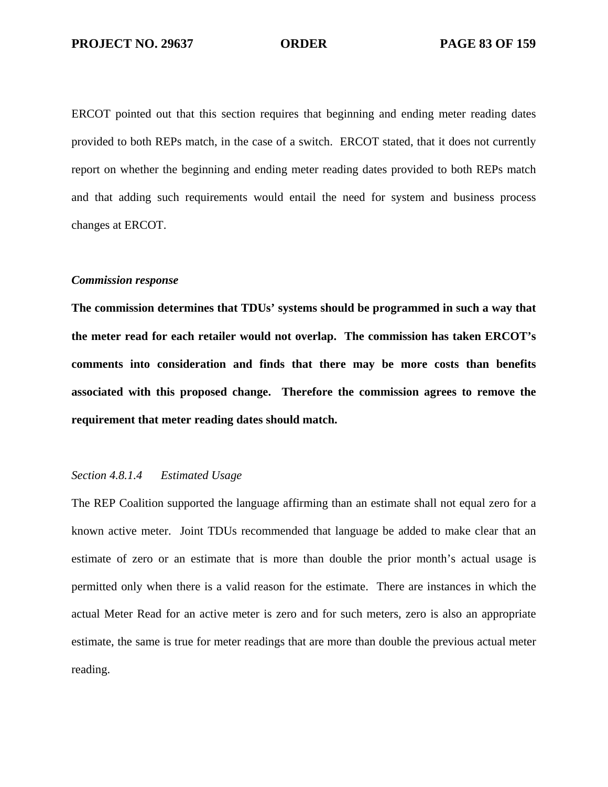ERCOT pointed out that this section requires that beginning and ending meter reading dates provided to both REPs match, in the case of a switch. ERCOT stated, that it does not currently report on whether the beginning and ending meter reading dates provided to both REPs match and that adding such requirements would entail the need for system and business process changes at ERCOT.

# *Commission response*

**The commission determines that TDUs' systems should be programmed in such a way that the meter read for each retailer would not overlap. The commission has taken ERCOT's comments into consideration and finds that there may be more costs than benefits associated with this proposed change. Therefore the commission agrees to remove the requirement that meter reading dates should match.** 

# *Section 4.8.1.4 Estimated Usage*

The REP Coalition supported the language affirming than an estimate shall not equal zero for a known active meter. Joint TDUs recommended that language be added to make clear that an estimate of zero or an estimate that is more than double the prior month's actual usage is permitted only when there is a valid reason for the estimate. There are instances in which the actual Meter Read for an active meter is zero and for such meters, zero is also an appropriate estimate, the same is true for meter readings that are more than double the previous actual meter reading.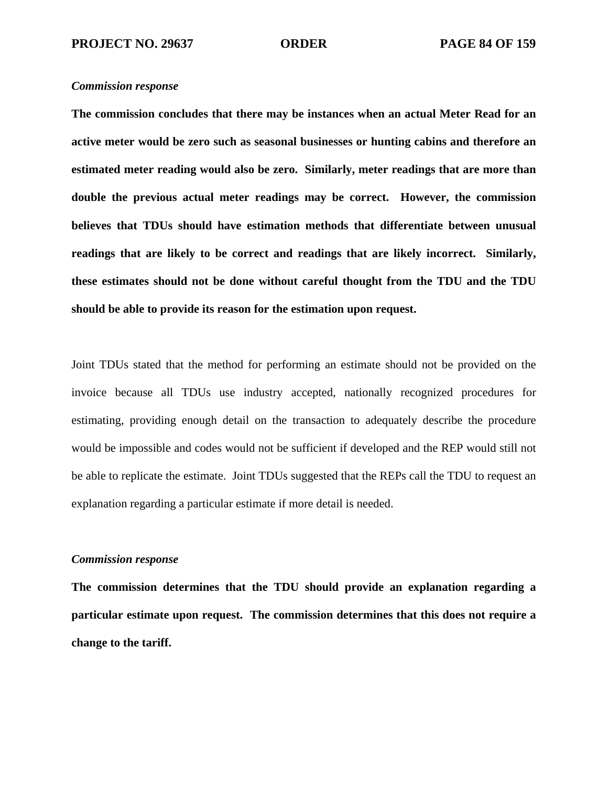**The commission concludes that there may be instances when an actual Meter Read for an active meter would be zero such as seasonal businesses or hunting cabins and therefore an estimated meter reading would also be zero. Similarly, meter readings that are more than double the previous actual meter readings may be correct. However, the commission believes that TDUs should have estimation methods that differentiate between unusual readings that are likely to be correct and readings that are likely incorrect. Similarly, these estimates should not be done without careful thought from the TDU and the TDU should be able to provide its reason for the estimation upon request.** 

Joint TDUs stated that the method for performing an estimate should not be provided on the invoice because all TDUs use industry accepted, nationally recognized procedures for estimating, providing enough detail on the transaction to adequately describe the procedure would be impossible and codes would not be sufficient if developed and the REP would still not be able to replicate the estimate. Joint TDUs suggested that the REPs call the TDU to request an explanation regarding a particular estimate if more detail is needed.

# *Commission response*

**The commission determines that the TDU should provide an explanation regarding a particular estimate upon request. The commission determines that this does not require a change to the tariff.**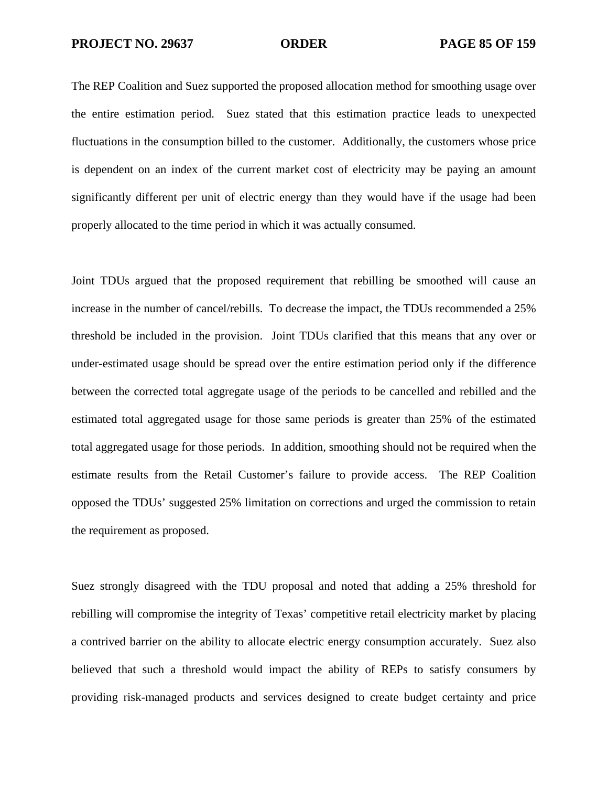The REP Coalition and Suez supported the proposed allocation method for smoothing usage over the entire estimation period. Suez stated that this estimation practice leads to unexpected fluctuations in the consumption billed to the customer. Additionally, the customers whose price is dependent on an index of the current market cost of electricity may be paying an amount significantly different per unit of electric energy than they would have if the usage had been properly allocated to the time period in which it was actually consumed.

Joint TDUs argued that the proposed requirement that rebilling be smoothed will cause an increase in the number of cancel/rebills. To decrease the impact, the TDUs recommended a 25% threshold be included in the provision. Joint TDUs clarified that this means that any over or under-estimated usage should be spread over the entire estimation period only if the difference between the corrected total aggregate usage of the periods to be cancelled and rebilled and the estimated total aggregated usage for those same periods is greater than 25% of the estimated total aggregated usage for those periods. In addition, smoothing should not be required when the estimate results from the Retail Customer's failure to provide access. The REP Coalition opposed the TDUs' suggested 25% limitation on corrections and urged the commission to retain the requirement as proposed.

Suez strongly disagreed with the TDU proposal and noted that adding a 25% threshold for rebilling will compromise the integrity of Texas' competitive retail electricity market by placing a contrived barrier on the ability to allocate electric energy consumption accurately. Suez also believed that such a threshold would impact the ability of REPs to satisfy consumers by providing risk-managed products and services designed to create budget certainty and price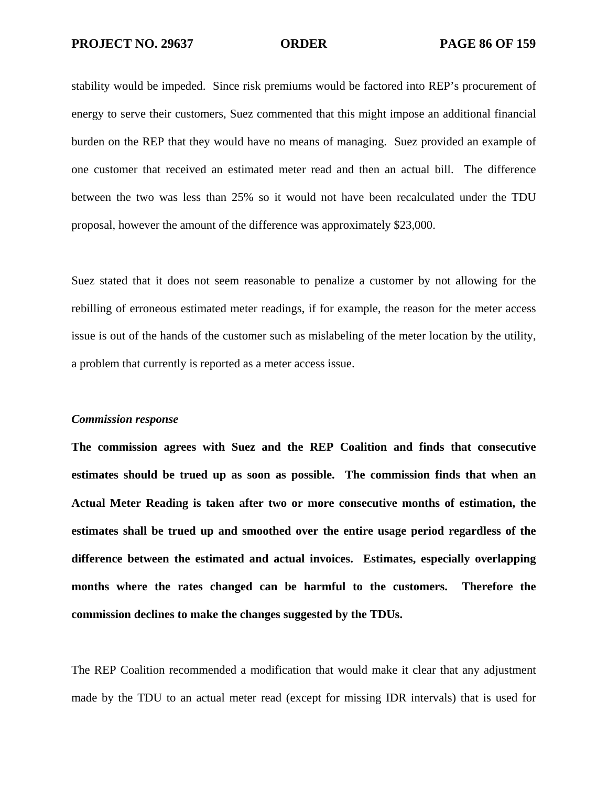stability would be impeded. Since risk premiums would be factored into REP's procurement of energy to serve their customers, Suez commented that this might impose an additional financial burden on the REP that they would have no means of managing. Suez provided an example of one customer that received an estimated meter read and then an actual bill. The difference between the two was less than 25% so it would not have been recalculated under the TDU proposal, however the amount of the difference was approximately \$23,000.

Suez stated that it does not seem reasonable to penalize a customer by not allowing for the rebilling of erroneous estimated meter readings, if for example, the reason for the meter access issue is out of the hands of the customer such as mislabeling of the meter location by the utility, a problem that currently is reported as a meter access issue.

#### *Commission response*

**The commission agrees with Suez and the REP Coalition and finds that consecutive estimates should be trued up as soon as possible. The commission finds that when an Actual Meter Reading is taken after two or more consecutive months of estimation, the estimates shall be trued up and smoothed over the entire usage period regardless of the difference between the estimated and actual invoices. Estimates, especially overlapping months where the rates changed can be harmful to the customers. Therefore the commission declines to make the changes suggested by the TDUs.** 

The REP Coalition recommended a modification that would make it clear that any adjustment made by the TDU to an actual meter read (except for missing IDR intervals) that is used for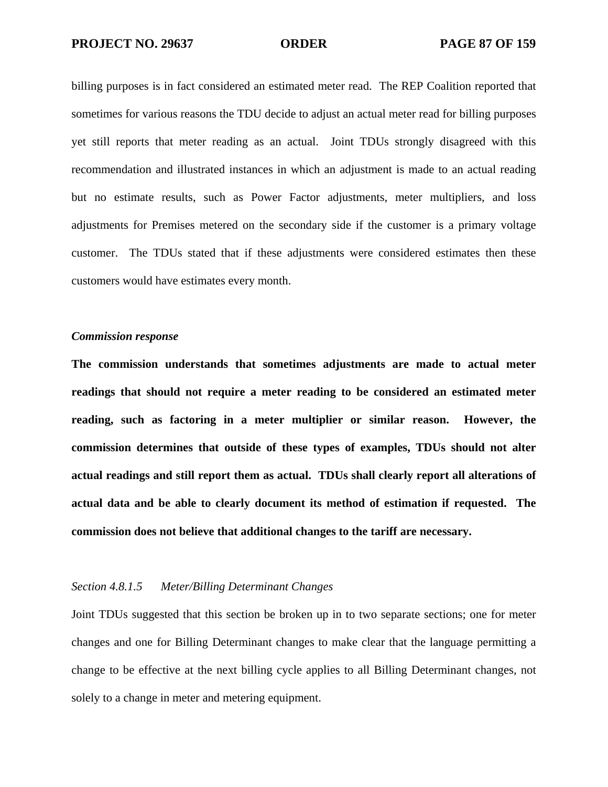billing purposes is in fact considered an estimated meter read. The REP Coalition reported that sometimes for various reasons the TDU decide to adjust an actual meter read for billing purposes yet still reports that meter reading as an actual. Joint TDUs strongly disagreed with this recommendation and illustrated instances in which an adjustment is made to an actual reading but no estimate results, such as Power Factor adjustments, meter multipliers, and loss adjustments for Premises metered on the secondary side if the customer is a primary voltage customer. The TDUs stated that if these adjustments were considered estimates then these customers would have estimates every month.

### *Commission response*

**The commission understands that sometimes adjustments are made to actual meter readings that should not require a meter reading to be considered an estimated meter reading, such as factoring in a meter multiplier or similar reason. However, the commission determines that outside of these types of examples, TDUs should not alter actual readings and still report them as actual. TDUs shall clearly report all alterations of actual data and be able to clearly document its method of estimation if requested. The commission does not believe that additional changes to the tariff are necessary.** 

# *Section 4.8.1.5 Meter/Billing Determinant Changes*

Joint TDUs suggested that this section be broken up in to two separate sections; one for meter changes and one for Billing Determinant changes to make clear that the language permitting a change to be effective at the next billing cycle applies to all Billing Determinant changes, not solely to a change in meter and metering equipment.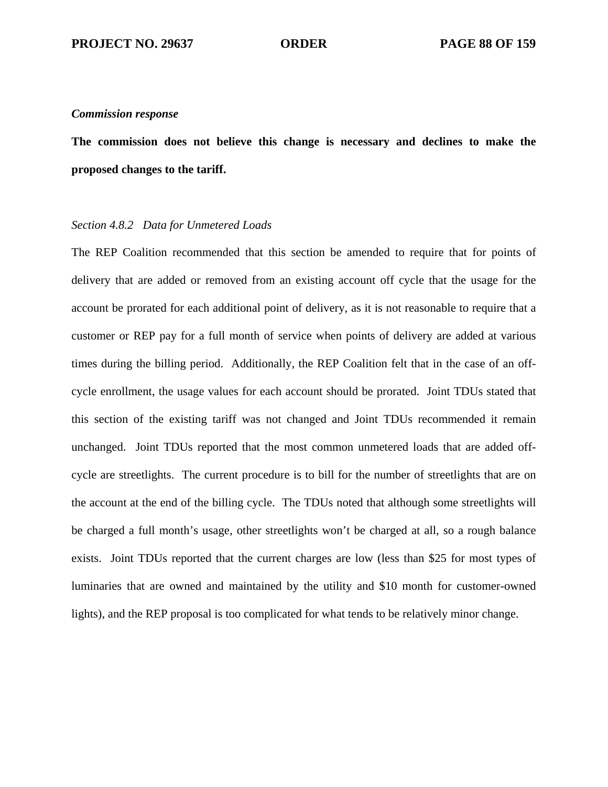**The commission does not believe this change is necessary and declines to make the proposed changes to the tariff.** 

# *Section 4.8.2 Data for Unmetered Loads*

The REP Coalition recommended that this section be amended to require that for points of delivery that are added or removed from an existing account off cycle that the usage for the account be prorated for each additional point of delivery, as it is not reasonable to require that a customer or REP pay for a full month of service when points of delivery are added at various times during the billing period. Additionally, the REP Coalition felt that in the case of an offcycle enrollment, the usage values for each account should be prorated. Joint TDUs stated that this section of the existing tariff was not changed and Joint TDUs recommended it remain unchanged. Joint TDUs reported that the most common unmetered loads that are added offcycle are streetlights. The current procedure is to bill for the number of streetlights that are on the account at the end of the billing cycle. The TDUs noted that although some streetlights will be charged a full month's usage, other streetlights won't be charged at all, so a rough balance exists. Joint TDUs reported that the current charges are low (less than \$25 for most types of luminaries that are owned and maintained by the utility and \$10 month for customer-owned lights), and the REP proposal is too complicated for what tends to be relatively minor change.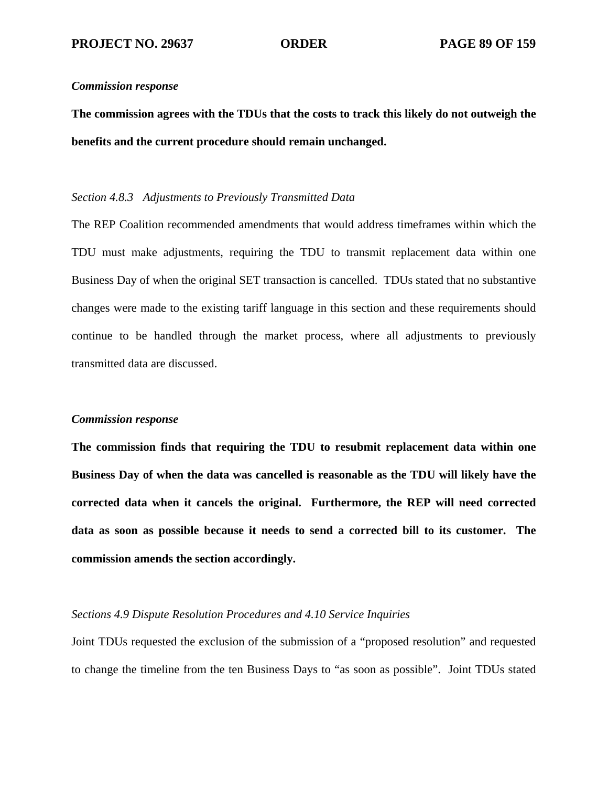**The commission agrees with the TDUs that the costs to track this likely do not outweigh the benefits and the current procedure should remain unchanged.** 

# *Section 4.8.3 Adjustments to Previously Transmitted Data*

The REP Coalition recommended amendments that would address timeframes within which the TDU must make adjustments, requiring the TDU to transmit replacement data within one Business Day of when the original SET transaction is cancelled. TDUs stated that no substantive changes were made to the existing tariff language in this section and these requirements should continue to be handled through the market process, where all adjustments to previously transmitted data are discussed.

#### *Commission response*

**The commission finds that requiring the TDU to resubmit replacement data within one Business Day of when the data was cancelled is reasonable as the TDU will likely have the corrected data when it cancels the original. Furthermore, the REP will need corrected data as soon as possible because it needs to send a corrected bill to its customer. The commission amends the section accordingly.** 

# *Sections 4.9 Dispute Resolution Procedures and 4.10 Service Inquiries*

Joint TDUs requested the exclusion of the submission of a "proposed resolution" and requested to change the timeline from the ten Business Days to "as soon as possible". Joint TDUs stated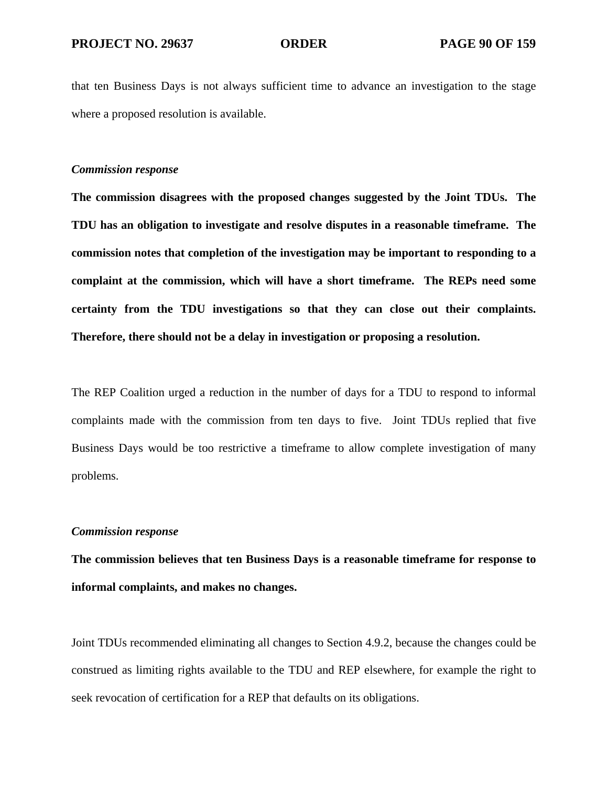that ten Business Days is not always sufficient time to advance an investigation to the stage where a proposed resolution is available.

# *Commission response*

**The commission disagrees with the proposed changes suggested by the Joint TDUs. The TDU has an obligation to investigate and resolve disputes in a reasonable timeframe. The commission notes that completion of the investigation may be important to responding to a complaint at the commission, which will have a short timeframe. The REPs need some certainty from the TDU investigations so that they can close out their complaints. Therefore, there should not be a delay in investigation or proposing a resolution.** 

The REP Coalition urged a reduction in the number of days for a TDU to respond to informal complaints made with the commission from ten days to five. Joint TDUs replied that five Business Days would be too restrictive a timeframe to allow complete investigation of many problems.

# *Commission response*

**The commission believes that ten Business Days is a reasonable timeframe for response to informal complaints, and makes no changes.** 

Joint TDUs recommended eliminating all changes to Section 4.9.2, because the changes could be construed as limiting rights available to the TDU and REP elsewhere, for example the right to seek revocation of certification for a REP that defaults on its obligations.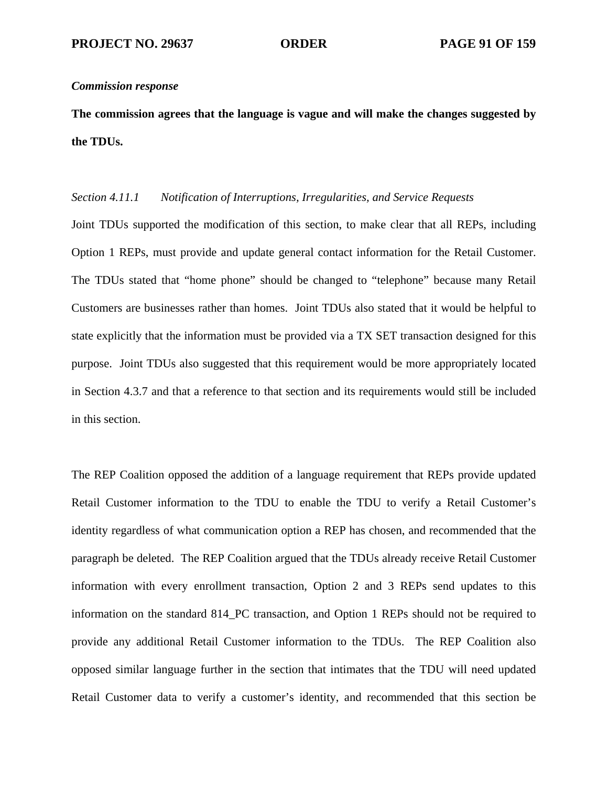**The commission agrees that the language is vague and will make the changes suggested by the TDUs.** 

# *Section 4.11.1 Notification of Interruptions, Irregularities, and Service Requests*

Joint TDUs supported the modification of this section, to make clear that all REPs, including Option 1 REPs, must provide and update general contact information for the Retail Customer. The TDUs stated that "home phone" should be changed to "telephone" because many Retail Customers are businesses rather than homes. Joint TDUs also stated that it would be helpful to state explicitly that the information must be provided via a TX SET transaction designed for this purpose. Joint TDUs also suggested that this requirement would be more appropriately located in Section 4.3.7 and that a reference to that section and its requirements would still be included in this section.

The REP Coalition opposed the addition of a language requirement that REPs provide updated Retail Customer information to the TDU to enable the TDU to verify a Retail Customer's identity regardless of what communication option a REP has chosen, and recommended that the paragraph be deleted. The REP Coalition argued that the TDUs already receive Retail Customer information with every enrollment transaction, Option 2 and 3 REPs send updates to this information on the standard 814\_PC transaction, and Option 1 REPs should not be required to provide any additional Retail Customer information to the TDUs. The REP Coalition also opposed similar language further in the section that intimates that the TDU will need updated Retail Customer data to verify a customer's identity, and recommended that this section be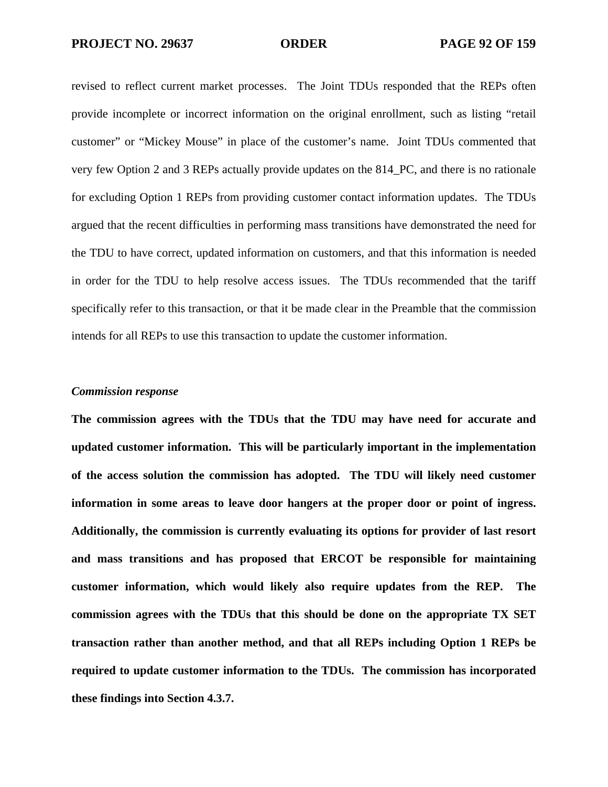revised to reflect current market processes. The Joint TDUs responded that the REPs often provide incomplete or incorrect information on the original enrollment, such as listing "retail customer" or "Mickey Mouse" in place of the customer's name. Joint TDUs commented that very few Option 2 and 3 REPs actually provide updates on the 814\_PC, and there is no rationale for excluding Option 1 REPs from providing customer contact information updates. The TDUs argued that the recent difficulties in performing mass transitions have demonstrated the need for the TDU to have correct, updated information on customers, and that this information is needed in order for the TDU to help resolve access issues. The TDUs recommended that the tariff specifically refer to this transaction, or that it be made clear in the Preamble that the commission intends for all REPs to use this transaction to update the customer information.

#### *Commission response*

**The commission agrees with the TDUs that the TDU may have need for accurate and updated customer information. This will be particularly important in the implementation of the access solution the commission has adopted. The TDU will likely need customer information in some areas to leave door hangers at the proper door or point of ingress. Additionally, the commission is currently evaluating its options for provider of last resort and mass transitions and has proposed that ERCOT be responsible for maintaining customer information, which would likely also require updates from the REP. The commission agrees with the TDUs that this should be done on the appropriate TX SET transaction rather than another method, and that all REPs including Option 1 REPs be required to update customer information to the TDUs. The commission has incorporated these findings into Section 4.3.7.**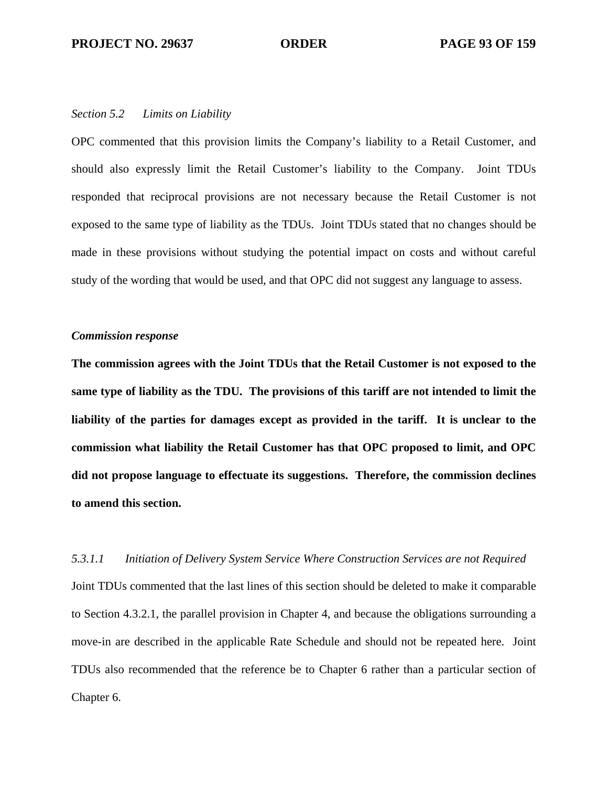### *Section 5.2 Limits on Liability*

OPC commented that this provision limits the Company's liability to a Retail Customer, and should also expressly limit the Retail Customer's liability to the Company. Joint TDUs responded that reciprocal provisions are not necessary because the Retail Customer is not exposed to the same type of liability as the TDUs. Joint TDUs stated that no changes should be made in these provisions without studying the potential impact on costs and without careful study of the wording that would be used, and that OPC did not suggest any language to assess.

#### *Commission response*

**The commission agrees with the Joint TDUs that the Retail Customer is not exposed to the same type of liability as the TDU. The provisions of this tariff are not intended to limit the liability of the parties for damages except as provided in the tariff. It is unclear to the commission what liability the Retail Customer has that OPC proposed to limit, and OPC did not propose language to effectuate its suggestions. Therefore, the commission declines to amend this section.** 

#### *5.3.1.1 Initiation of Delivery System Service Where Construction Services are not Required*

Joint TDUs commented that the last lines of this section should be deleted to make it comparable to Section 4.3.2.1, the parallel provision in Chapter 4, and because the obligations surrounding a move-in are described in the applicable Rate Schedule and should not be repeated here. Joint TDUs also recommended that the reference be to Chapter 6 rather than a particular section of Chapter 6.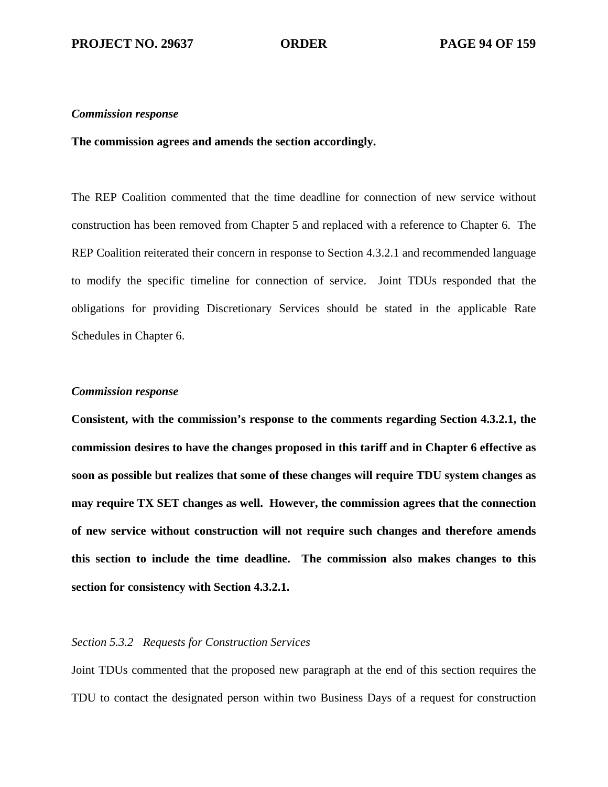### **The commission agrees and amends the section accordingly.**

The REP Coalition commented that the time deadline for connection of new service without construction has been removed from Chapter 5 and replaced with a reference to Chapter 6. The REP Coalition reiterated their concern in response to Section 4.3.2.1 and recommended language to modify the specific timeline for connection of service. Joint TDUs responded that the obligations for providing Discretionary Services should be stated in the applicable Rate Schedules in Chapter 6.

### *Commission response*

**Consistent, with the commission's response to the comments regarding Section 4.3.2.1, the commission desires to have the changes proposed in this tariff and in Chapter 6 effective as soon as possible but realizes that some of these changes will require TDU system changes as may require TX SET changes as well. However, the commission agrees that the connection of new service without construction will not require such changes and therefore amends this section to include the time deadline. The commission also makes changes to this section for consistency with Section 4.3.2.1.** 

# *Section 5.3.2 Requests for Construction Services*

Joint TDUs commented that the proposed new paragraph at the end of this section requires the TDU to contact the designated person within two Business Days of a request for construction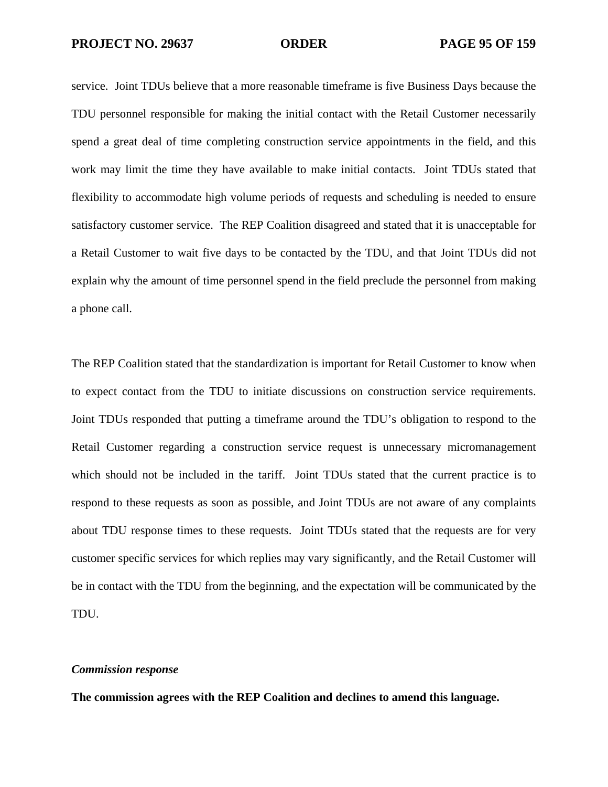service. Joint TDUs believe that a more reasonable timeframe is five Business Days because the TDU personnel responsible for making the initial contact with the Retail Customer necessarily spend a great deal of time completing construction service appointments in the field, and this work may limit the time they have available to make initial contacts. Joint TDUs stated that flexibility to accommodate high volume periods of requests and scheduling is needed to ensure satisfactory customer service. The REP Coalition disagreed and stated that it is unacceptable for a Retail Customer to wait five days to be contacted by the TDU, and that Joint TDUs did not explain why the amount of time personnel spend in the field preclude the personnel from making a phone call.

The REP Coalition stated that the standardization is important for Retail Customer to know when to expect contact from the TDU to initiate discussions on construction service requirements. Joint TDUs responded that putting a timeframe around the TDU's obligation to respond to the Retail Customer regarding a construction service request is unnecessary micromanagement which should not be included in the tariff. Joint TDUs stated that the current practice is to respond to these requests as soon as possible, and Joint TDUs are not aware of any complaints about TDU response times to these requests. Joint TDUs stated that the requests are for very customer specific services for which replies may vary significantly, and the Retail Customer will be in contact with the TDU from the beginning, and the expectation will be communicated by the TDU.

### *Commission response*

**The commission agrees with the REP Coalition and declines to amend this language.**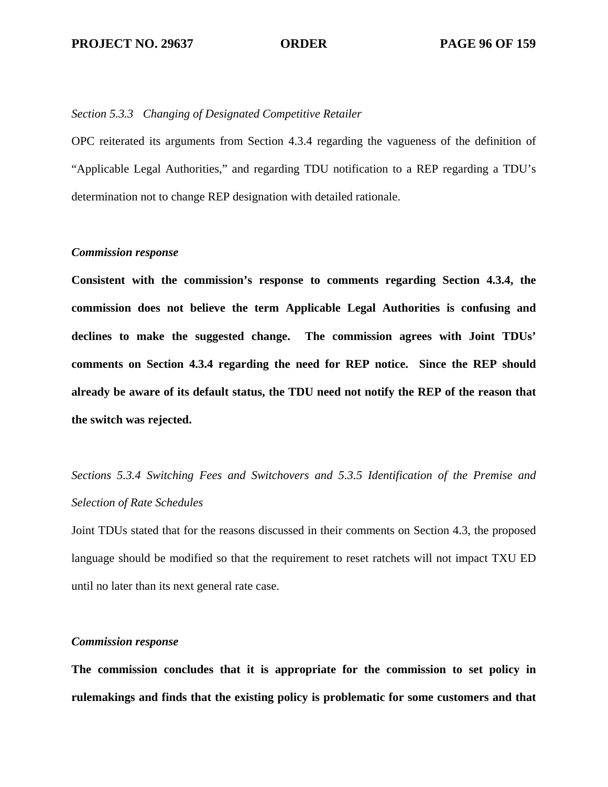### *Section 5.3.3 Changing of Designated Competitive Retailer*

OPC reiterated its arguments from Section 4.3.4 regarding the vagueness of the definition of "Applicable Legal Authorities," and regarding TDU notification to a REP regarding a TDU's determination not to change REP designation with detailed rationale.

# *Commission response*

**Consistent with the commission's response to comments regarding Section 4.3.4, the commission does not believe the term Applicable Legal Authorities is confusing and declines to make the suggested change. The commission agrees with Joint TDUs' comments on Section 4.3.4 regarding the need for REP notice. Since the REP should already be aware of its default status, the TDU need not notify the REP of the reason that the switch was rejected.** 

# *Sections 5.3.4 Switching Fees and Switchovers and 5.3.5 Identification of the Premise and Selection of Rate Schedules*

Joint TDUs stated that for the reasons discussed in their comments on Section 4.3, the proposed language should be modified so that the requirement to reset ratchets will not impact TXU ED until no later than its next general rate case.

### *Commission response*

**The commission concludes that it is appropriate for the commission to set policy in rulemakings and finds that the existing policy is problematic for some customers and that**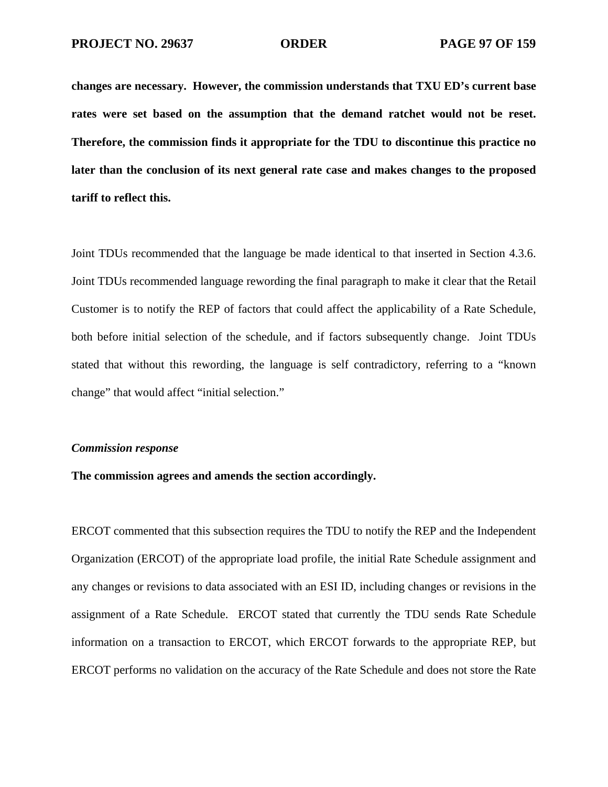**changes are necessary. However, the commission understands that TXU ED's current base rates were set based on the assumption that the demand ratchet would not be reset. Therefore, the commission finds it appropriate for the TDU to discontinue this practice no later than the conclusion of its next general rate case and makes changes to the proposed tariff to reflect this.** 

Joint TDUs recommended that the language be made identical to that inserted in Section 4.3.6. Joint TDUs recommended language rewording the final paragraph to make it clear that the Retail Customer is to notify the REP of factors that could affect the applicability of a Rate Schedule, both before initial selection of the schedule, and if factors subsequently change. Joint TDUs stated that without this rewording, the language is self contradictory, referring to a "known change" that would affect "initial selection."

#### *Commission response*

## **The commission agrees and amends the section accordingly.**

ERCOT commented that this subsection requires the TDU to notify the REP and the Independent Organization (ERCOT) of the appropriate load profile, the initial Rate Schedule assignment and any changes or revisions to data associated with an ESI ID, including changes or revisions in the assignment of a Rate Schedule. ERCOT stated that currently the TDU sends Rate Schedule information on a transaction to ERCOT, which ERCOT forwards to the appropriate REP, but ERCOT performs no validation on the accuracy of the Rate Schedule and does not store the Rate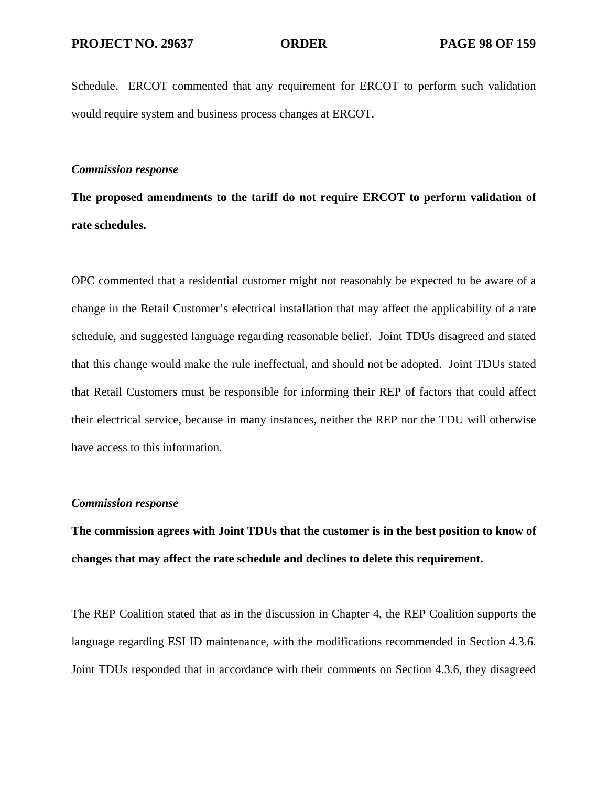Schedule. ERCOT commented that any requirement for ERCOT to perform such validation would require system and business process changes at ERCOT.

# *Commission response*

**The proposed amendments to the tariff do not require ERCOT to perform validation of rate schedules.** 

OPC commented that a residential customer might not reasonably be expected to be aware of a change in the Retail Customer's electrical installation that may affect the applicability of a rate schedule, and suggested language regarding reasonable belief. Joint TDUs disagreed and stated that this change would make the rule ineffectual, and should not be adopted. Joint TDUs stated that Retail Customers must be responsible for informing their REP of factors that could affect their electrical service, because in many instances, neither the REP nor the TDU will otherwise have access to this information.

#### *Commission response*

**The commission agrees with Joint TDUs that the customer is in the best position to know of changes that may affect the rate schedule and declines to delete this requirement.** 

The REP Coalition stated that as in the discussion in Chapter 4, the REP Coalition supports the language regarding ESI ID maintenance, with the modifications recommended in Section 4.3.6. Joint TDUs responded that in accordance with their comments on Section 4.3.6, they disagreed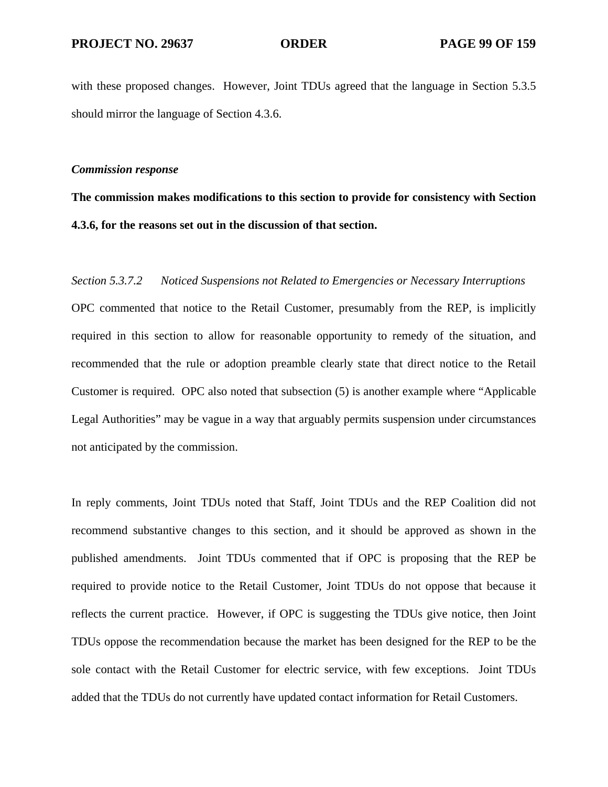with these proposed changes. However, Joint TDUs agreed that the language in Section 5.3.5 should mirror the language of Section 4.3.6.

# *Commission response*

# **The commission makes modifications to this section to provide for consistency with Section 4.3.6, for the reasons set out in the discussion of that section.**

# *Section 5.3.7.2 Noticed Suspensions not Related to Emergencies or Necessary Interruptions*

OPC commented that notice to the Retail Customer, presumably from the REP, is implicitly required in this section to allow for reasonable opportunity to remedy of the situation, and recommended that the rule or adoption preamble clearly state that direct notice to the Retail Customer is required. OPC also noted that subsection (5) is another example where "Applicable Legal Authorities" may be vague in a way that arguably permits suspension under circumstances not anticipated by the commission.

In reply comments, Joint TDUs noted that Staff, Joint TDUs and the REP Coalition did not recommend substantive changes to this section, and it should be approved as shown in the published amendments. Joint TDUs commented that if OPC is proposing that the REP be required to provide notice to the Retail Customer, Joint TDUs do not oppose that because it reflects the current practice. However, if OPC is suggesting the TDUs give notice, then Joint TDUs oppose the recommendation because the market has been designed for the REP to be the sole contact with the Retail Customer for electric service, with few exceptions. Joint TDUs added that the TDUs do not currently have updated contact information for Retail Customers.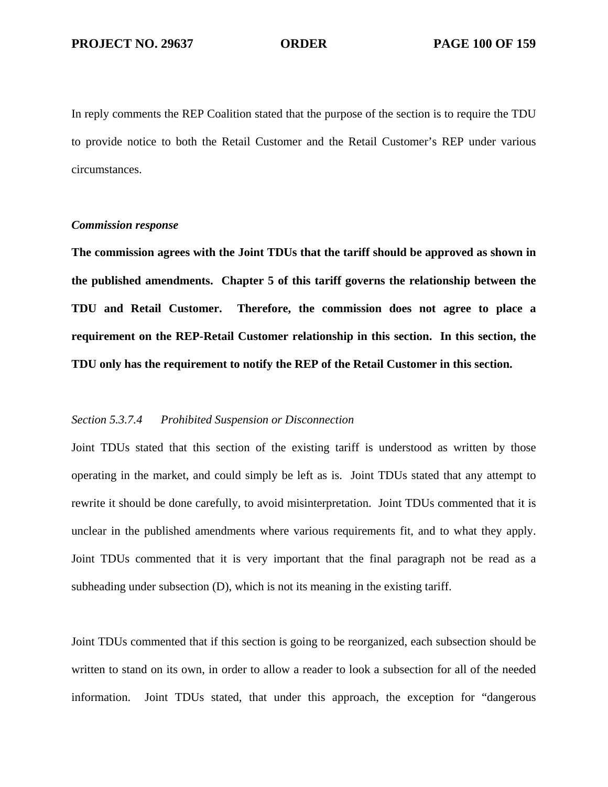In reply comments the REP Coalition stated that the purpose of the section is to require the TDU to provide notice to both the Retail Customer and the Retail Customer's REP under various circumstances.

# *Commission response*

**The commission agrees with the Joint TDUs that the tariff should be approved as shown in the published amendments. Chapter 5 of this tariff governs the relationship between the TDU and Retail Customer. Therefore, the commission does not agree to place a requirement on the REP-Retail Customer relationship in this section. In this section, the TDU only has the requirement to notify the REP of the Retail Customer in this section.** 

#### *Section 5.3.7.4 Prohibited Suspension or Disconnection*

Joint TDUs stated that this section of the existing tariff is understood as written by those operating in the market, and could simply be left as is. Joint TDUs stated that any attempt to rewrite it should be done carefully, to avoid misinterpretation. Joint TDUs commented that it is unclear in the published amendments where various requirements fit, and to what they apply. Joint TDUs commented that it is very important that the final paragraph not be read as a subheading under subsection (D), which is not its meaning in the existing tariff.

Joint TDUs commented that if this section is going to be reorganized, each subsection should be written to stand on its own, in order to allow a reader to look a subsection for all of the needed information. Joint TDUs stated, that under this approach, the exception for "dangerous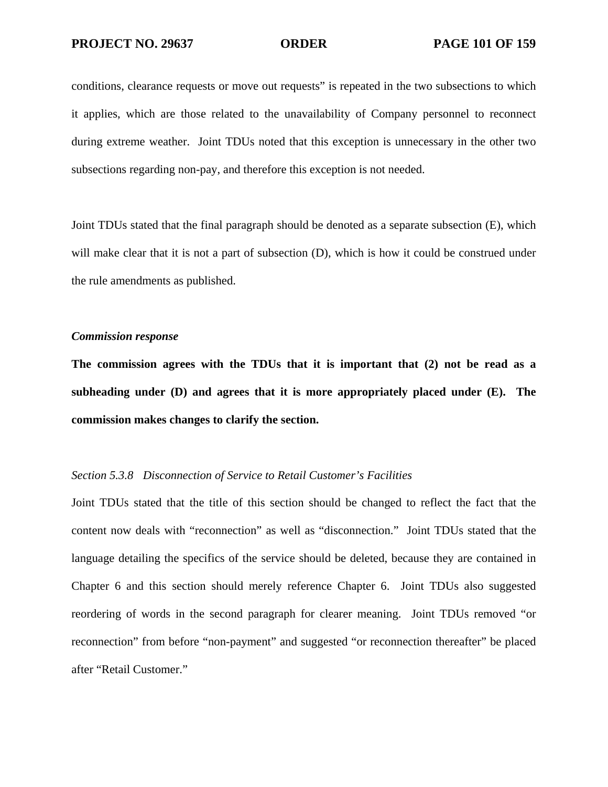conditions, clearance requests or move out requests" is repeated in the two subsections to which it applies, which are those related to the unavailability of Company personnel to reconnect during extreme weather. Joint TDUs noted that this exception is unnecessary in the other two subsections regarding non-pay, and therefore this exception is not needed.

Joint TDUs stated that the final paragraph should be denoted as a separate subsection (E), which will make clear that it is not a part of subsection (D), which is how it could be construed under the rule amendments as published.

### *Commission response*

**The commission agrees with the TDUs that it is important that (2) not be read as a subheading under (D) and agrees that it is more appropriately placed under (E). The commission makes changes to clarify the section.** 

# *Section 5.3.8 Disconnection of Service to Retail Customer's Facilities*

Joint TDUs stated that the title of this section should be changed to reflect the fact that the content now deals with "reconnection" as well as "disconnection." Joint TDUs stated that the language detailing the specifics of the service should be deleted, because they are contained in Chapter 6 and this section should merely reference Chapter 6. Joint TDUs also suggested reordering of words in the second paragraph for clearer meaning. Joint TDUs removed "or reconnection" from before "non-payment" and suggested "or reconnection thereafter" be placed after "Retail Customer."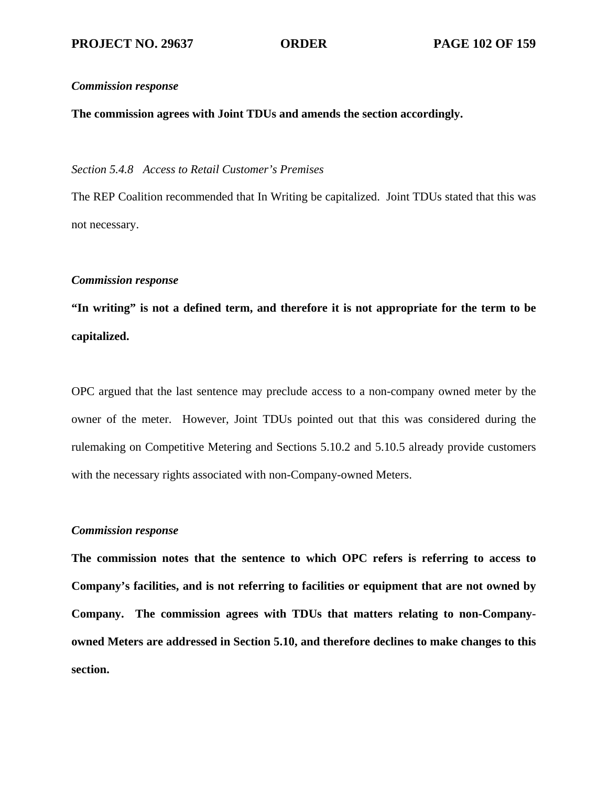# **The commission agrees with Joint TDUs and amends the section accordingly.**

# *Section 5.4.8 Access to Retail Customer's Premises*

The REP Coalition recommended that In Writing be capitalized. Joint TDUs stated that this was not necessary.

# *Commission response*

**"In writing" is not a defined term, and therefore it is not appropriate for the term to be capitalized.** 

OPC argued that the last sentence may preclude access to a non-company owned meter by the owner of the meter. However, Joint TDUs pointed out that this was considered during the rulemaking on Competitive Metering and Sections 5.10.2 and 5.10.5 already provide customers with the necessary rights associated with non-Company-owned Meters.

# *Commission response*

**The commission notes that the sentence to which OPC refers is referring to access to Company's facilities, and is not referring to facilities or equipment that are not owned by Company. The commission agrees with TDUs that matters relating to non-Companyowned Meters are addressed in Section 5.10, and therefore declines to make changes to this section.**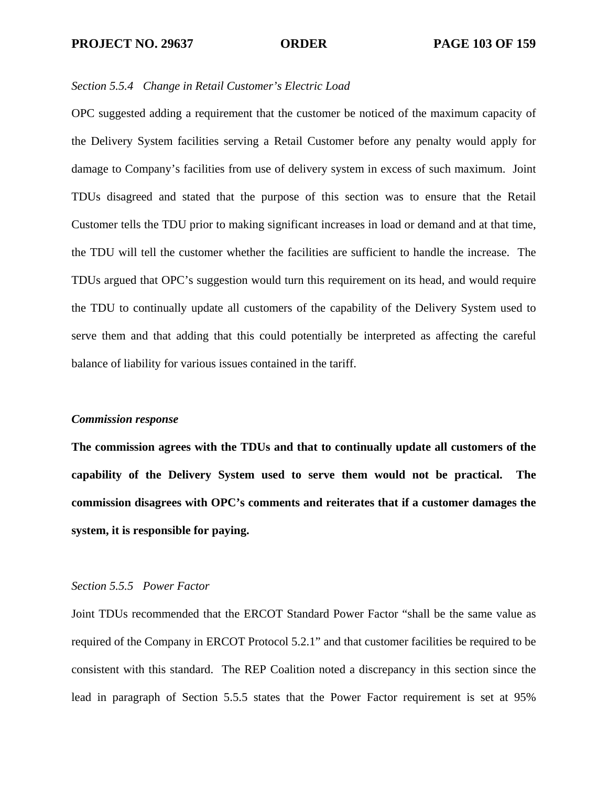### *Section 5.5.4 Change in Retail Customer's Electric Load*

OPC suggested adding a requirement that the customer be noticed of the maximum capacity of the Delivery System facilities serving a Retail Customer before any penalty would apply for damage to Company's facilities from use of delivery system in excess of such maximum. Joint TDUs disagreed and stated that the purpose of this section was to ensure that the Retail Customer tells the TDU prior to making significant increases in load or demand and at that time, the TDU will tell the customer whether the facilities are sufficient to handle the increase. The TDUs argued that OPC's suggestion would turn this requirement on its head, and would require the TDU to continually update all customers of the capability of the Delivery System used to serve them and that adding that this could potentially be interpreted as affecting the careful balance of liability for various issues contained in the tariff.

#### *Commission response*

**The commission agrees with the TDUs and that to continually update all customers of the capability of the Delivery System used to serve them would not be practical. The commission disagrees with OPC's comments and reiterates that if a customer damages the system, it is responsible for paying.** 

# *Section 5.5.5 Power Factor*

Joint TDUs recommended that the ERCOT Standard Power Factor "shall be the same value as required of the Company in ERCOT Protocol 5.2.1" and that customer facilities be required to be consistent with this standard. The REP Coalition noted a discrepancy in this section since the lead in paragraph of Section 5.5.5 states that the Power Factor requirement is set at 95%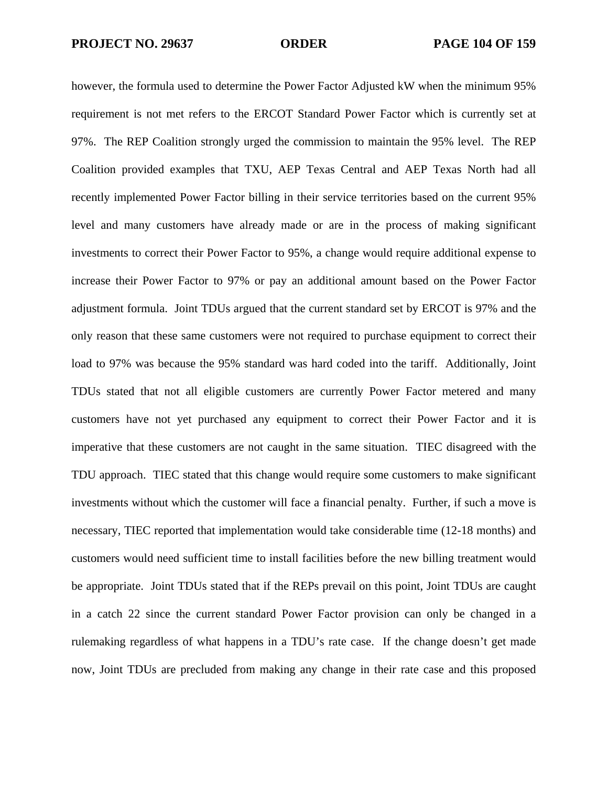however, the formula used to determine the Power Factor Adjusted kW when the minimum 95% requirement is not met refers to the ERCOT Standard Power Factor which is currently set at 97%. The REP Coalition strongly urged the commission to maintain the 95% level. The REP Coalition provided examples that TXU, AEP Texas Central and AEP Texas North had all recently implemented Power Factor billing in their service territories based on the current 95% level and many customers have already made or are in the process of making significant investments to correct their Power Factor to 95%, a change would require additional expense to increase their Power Factor to 97% or pay an additional amount based on the Power Factor adjustment formula. Joint TDUs argued that the current standard set by ERCOT is 97% and the only reason that these same customers were not required to purchase equipment to correct their load to 97% was because the 95% standard was hard coded into the tariff. Additionally, Joint TDUs stated that not all eligible customers are currently Power Factor metered and many customers have not yet purchased any equipment to correct their Power Factor and it is imperative that these customers are not caught in the same situation. TIEC disagreed with the TDU approach. TIEC stated that this change would require some customers to make significant investments without which the customer will face a financial penalty. Further, if such a move is necessary, TIEC reported that implementation would take considerable time (12-18 months) and customers would need sufficient time to install facilities before the new billing treatment would be appropriate. Joint TDUs stated that if the REPs prevail on this point, Joint TDUs are caught in a catch 22 since the current standard Power Factor provision can only be changed in a rulemaking regardless of what happens in a TDU's rate case. If the change doesn't get made now, Joint TDUs are precluded from making any change in their rate case and this proposed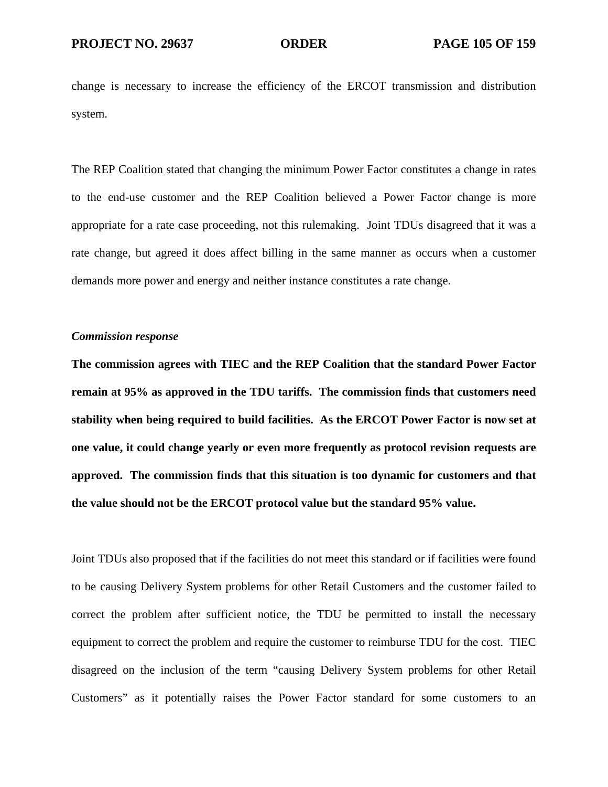change is necessary to increase the efficiency of the ERCOT transmission and distribution system.

The REP Coalition stated that changing the minimum Power Factor constitutes a change in rates to the end-use customer and the REP Coalition believed a Power Factor change is more appropriate for a rate case proceeding, not this rulemaking. Joint TDUs disagreed that it was a rate change, but agreed it does affect billing in the same manner as occurs when a customer demands more power and energy and neither instance constitutes a rate change.

### *Commission response*

**The commission agrees with TIEC and the REP Coalition that the standard Power Factor remain at 95% as approved in the TDU tariffs. The commission finds that customers need stability when being required to build facilities. As the ERCOT Power Factor is now set at one value, it could change yearly or even more frequently as protocol revision requests are approved. The commission finds that this situation is too dynamic for customers and that the value should not be the ERCOT protocol value but the standard 95% value.** 

Joint TDUs also proposed that if the facilities do not meet this standard or if facilities were found to be causing Delivery System problems for other Retail Customers and the customer failed to correct the problem after sufficient notice, the TDU be permitted to install the necessary equipment to correct the problem and require the customer to reimburse TDU for the cost. TIEC disagreed on the inclusion of the term "causing Delivery System problems for other Retail Customers" as it potentially raises the Power Factor standard for some customers to an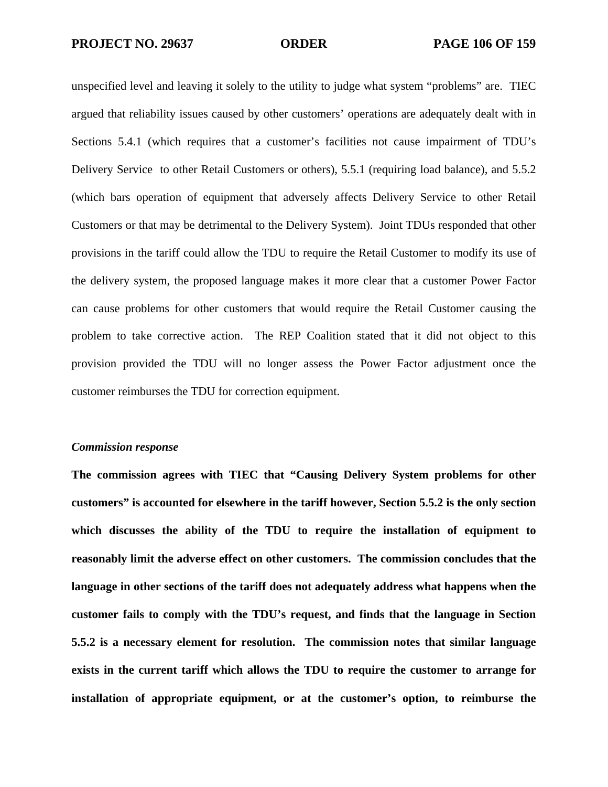unspecified level and leaving it solely to the utility to judge what system "problems" are. TIEC argued that reliability issues caused by other customers' operations are adequately dealt with in Sections 5.4.1 (which requires that a customer's facilities not cause impairment of TDU's Delivery Service to other Retail Customers or others), 5.5.1 (requiring load balance), and 5.5.2 (which bars operation of equipment that adversely affects Delivery Service to other Retail Customers or that may be detrimental to the Delivery System). Joint TDUs responded that other provisions in the tariff could allow the TDU to require the Retail Customer to modify its use of the delivery system, the proposed language makes it more clear that a customer Power Factor can cause problems for other customers that would require the Retail Customer causing the problem to take corrective action. The REP Coalition stated that it did not object to this provision provided the TDU will no longer assess the Power Factor adjustment once the customer reimburses the TDU for correction equipment.

#### *Commission response*

**The commission agrees with TIEC that "Causing Delivery System problems for other customers" is accounted for elsewhere in the tariff however, Section 5.5.2 is the only section which discusses the ability of the TDU to require the installation of equipment to reasonably limit the adverse effect on other customers. The commission concludes that the language in other sections of the tariff does not adequately address what happens when the customer fails to comply with the TDU's request, and finds that the language in Section 5.5.2 is a necessary element for resolution. The commission notes that similar language exists in the current tariff which allows the TDU to require the customer to arrange for installation of appropriate equipment, or at the customer's option, to reimburse the**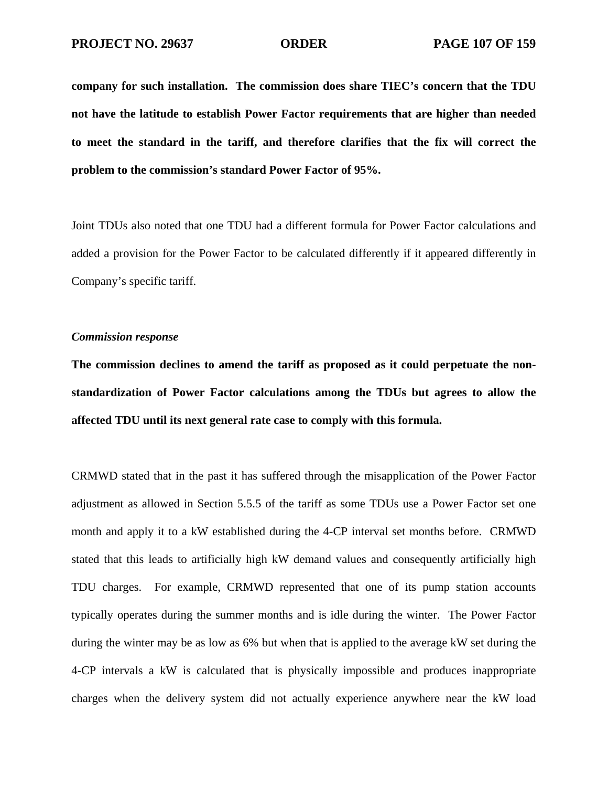**company for such installation. The commission does share TIEC's concern that the TDU not have the latitude to establish Power Factor requirements that are higher than needed to meet the standard in the tariff, and therefore clarifies that the fix will correct the problem to the commission's standard Power Factor of 95%.** 

Joint TDUs also noted that one TDU had a different formula for Power Factor calculations and added a provision for the Power Factor to be calculated differently if it appeared differently in Company's specific tariff.

### *Commission response*

**The commission declines to amend the tariff as proposed as it could perpetuate the nonstandardization of Power Factor calculations among the TDUs but agrees to allow the affected TDU until its next general rate case to comply with this formula.** 

CRMWD stated that in the past it has suffered through the misapplication of the Power Factor adjustment as allowed in Section 5.5.5 of the tariff as some TDUs use a Power Factor set one month and apply it to a kW established during the 4-CP interval set months before. CRMWD stated that this leads to artificially high kW demand values and consequently artificially high TDU charges. For example, CRMWD represented that one of its pump station accounts typically operates during the summer months and is idle during the winter. The Power Factor during the winter may be as low as 6% but when that is applied to the average kW set during the 4-CP intervals a kW is calculated that is physically impossible and produces inappropriate charges when the delivery system did not actually experience anywhere near the kW load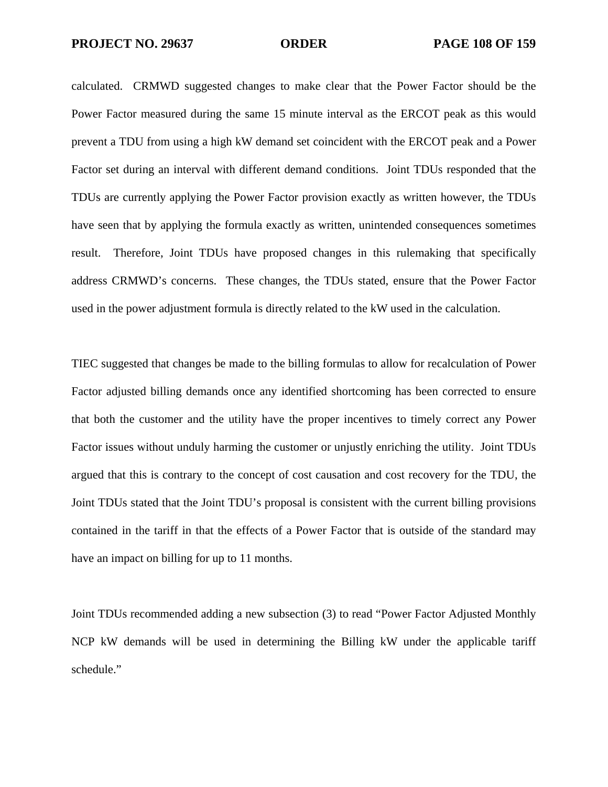calculated. CRMWD suggested changes to make clear that the Power Factor should be the Power Factor measured during the same 15 minute interval as the ERCOT peak as this would prevent a TDU from using a high kW demand set coincident with the ERCOT peak and a Power Factor set during an interval with different demand conditions. Joint TDUs responded that the TDUs are currently applying the Power Factor provision exactly as written however, the TDUs have seen that by applying the formula exactly as written, unintended consequences sometimes result. Therefore, Joint TDUs have proposed changes in this rulemaking that specifically address CRMWD's concerns. These changes, the TDUs stated, ensure that the Power Factor used in the power adjustment formula is directly related to the kW used in the calculation.

TIEC suggested that changes be made to the billing formulas to allow for recalculation of Power Factor adjusted billing demands once any identified shortcoming has been corrected to ensure that both the customer and the utility have the proper incentives to timely correct any Power Factor issues without unduly harming the customer or unjustly enriching the utility. Joint TDUs argued that this is contrary to the concept of cost causation and cost recovery for the TDU, the Joint TDUs stated that the Joint TDU's proposal is consistent with the current billing provisions contained in the tariff in that the effects of a Power Factor that is outside of the standard may have an impact on billing for up to 11 months.

Joint TDUs recommended adding a new subsection (3) to read "Power Factor Adjusted Monthly NCP kW demands will be used in determining the Billing kW under the applicable tariff schedule."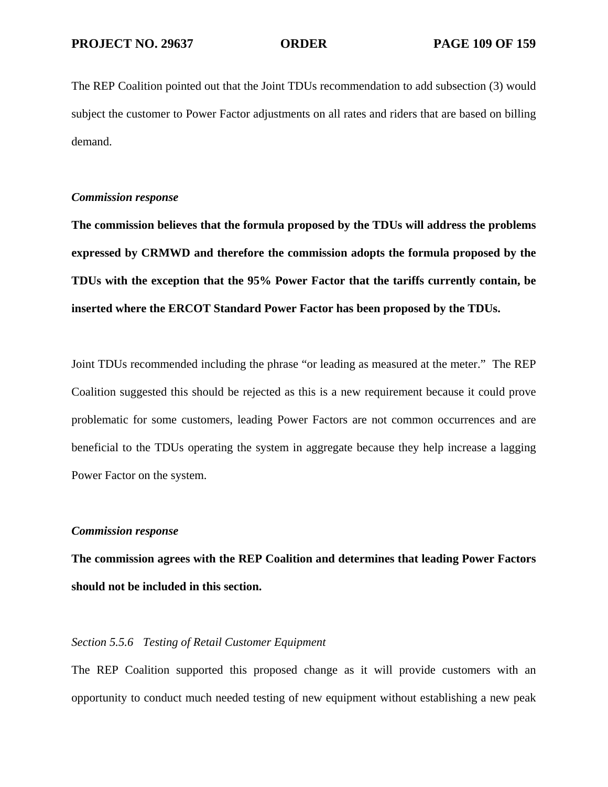The REP Coalition pointed out that the Joint TDUs recommendation to add subsection (3) would subject the customer to Power Factor adjustments on all rates and riders that are based on billing demand.

## *Commission response*

**The commission believes that the formula proposed by the TDUs will address the problems expressed by CRMWD and therefore the commission adopts the formula proposed by the TDUs with the exception that the 95% Power Factor that the tariffs currently contain, be inserted where the ERCOT Standard Power Factor has been proposed by the TDUs.** 

Joint TDUs recommended including the phrase "or leading as measured at the meter." The REP Coalition suggested this should be rejected as this is a new requirement because it could prove problematic for some customers, leading Power Factors are not common occurrences and are beneficial to the TDUs operating the system in aggregate because they help increase a lagging Power Factor on the system.

# *Commission response*

**The commission agrees with the REP Coalition and determines that leading Power Factors should not be included in this section.** 

# *Section 5.5.6 Testing of Retail Customer Equipment*

The REP Coalition supported this proposed change as it will provide customers with an opportunity to conduct much needed testing of new equipment without establishing a new peak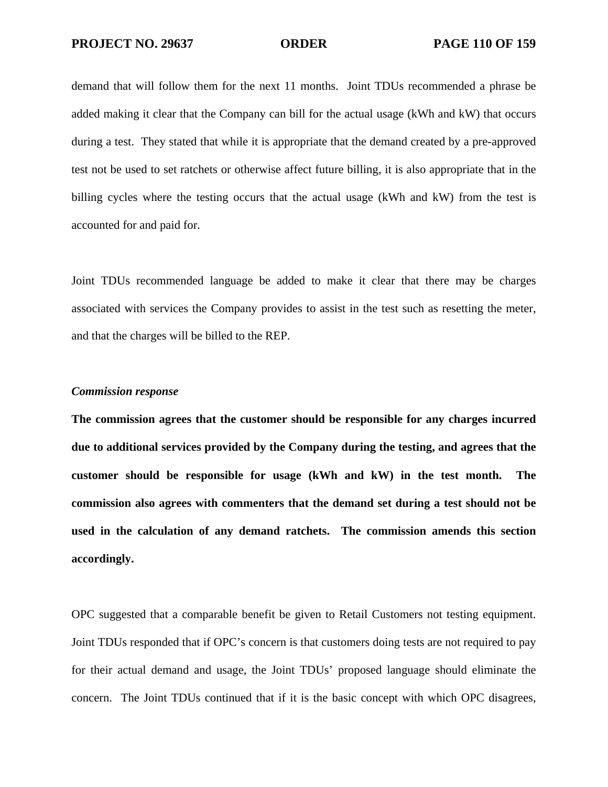demand that will follow them for the next 11 months. Joint TDUs recommended a phrase be added making it clear that the Company can bill for the actual usage (kWh and kW) that occurs during a test. They stated that while it is appropriate that the demand created by a pre-approved test not be used to set ratchets or otherwise affect future billing, it is also appropriate that in the billing cycles where the testing occurs that the actual usage (kWh and kW) from the test is accounted for and paid for.

Joint TDUs recommended language be added to make it clear that there may be charges associated with services the Company provides to assist in the test such as resetting the meter, and that the charges will be billed to the REP.

### *Commission response*

**The commission agrees that the customer should be responsible for any charges incurred due to additional services provided by the Company during the testing, and agrees that the customer should be responsible for usage (kWh and kW) in the test month. The commission also agrees with commenters that the demand set during a test should not be used in the calculation of any demand ratchets. The commission amends this section accordingly.** 

OPC suggested that a comparable benefit be given to Retail Customers not testing equipment. Joint TDUs responded that if OPC's concern is that customers doing tests are not required to pay for their actual demand and usage, the Joint TDUs' proposed language should eliminate the concern. The Joint TDUs continued that if it is the basic concept with which OPC disagrees,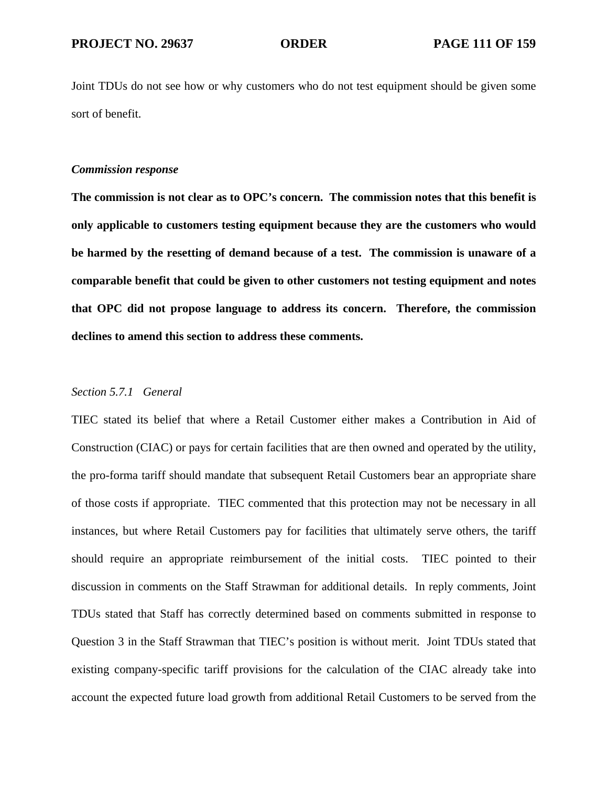Joint TDUs do not see how or why customers who do not test equipment should be given some sort of benefit.

### *Commission response*

**The commission is not clear as to OPC's concern. The commission notes that this benefit is only applicable to customers testing equipment because they are the customers who would be harmed by the resetting of demand because of a test. The commission is unaware of a comparable benefit that could be given to other customers not testing equipment and notes that OPC did not propose language to address its concern. Therefore, the commission declines to amend this section to address these comments.** 

### *Section 5.7.1 General*

TIEC stated its belief that where a Retail Customer either makes a Contribution in Aid of Construction (CIAC) or pays for certain facilities that are then owned and operated by the utility, the pro-forma tariff should mandate that subsequent Retail Customers bear an appropriate share of those costs if appropriate. TIEC commented that this protection may not be necessary in all instances, but where Retail Customers pay for facilities that ultimately serve others, the tariff should require an appropriate reimbursement of the initial costs. TIEC pointed to their discussion in comments on the Staff Strawman for additional details. In reply comments, Joint TDUs stated that Staff has correctly determined based on comments submitted in response to Question 3 in the Staff Strawman that TIEC's position is without merit. Joint TDUs stated that existing company-specific tariff provisions for the calculation of the CIAC already take into account the expected future load growth from additional Retail Customers to be served from the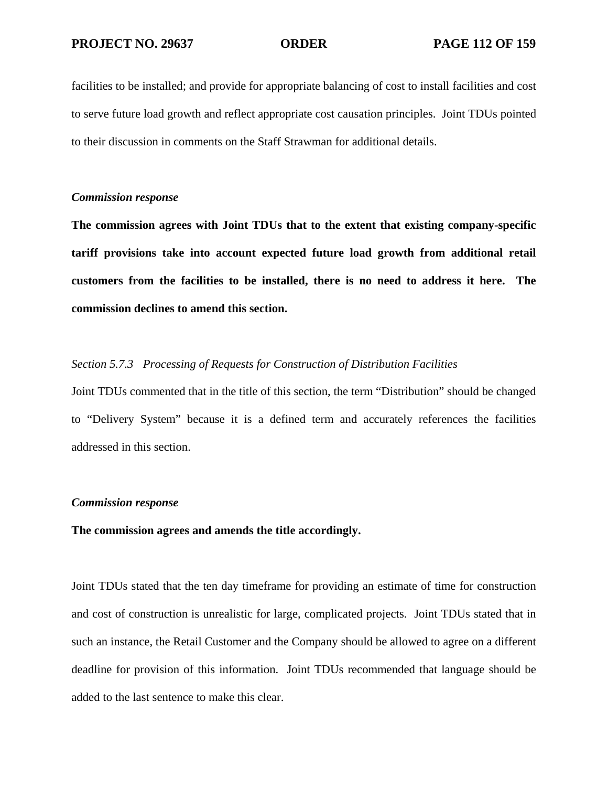facilities to be installed; and provide for appropriate balancing of cost to install facilities and cost to serve future load growth and reflect appropriate cost causation principles. Joint TDUs pointed to their discussion in comments on the Staff Strawman for additional details.

## *Commission response*

**The commission agrees with Joint TDUs that to the extent that existing company-specific tariff provisions take into account expected future load growth from additional retail customers from the facilities to be installed, there is no need to address it here. The commission declines to amend this section.** 

# *Section 5.7.3 Processing of Requests for Construction of Distribution Facilities*

Joint TDUs commented that in the title of this section, the term "Distribution" should be changed to "Delivery System" because it is a defined term and accurately references the facilities addressed in this section.

## *Commission response*

# **The commission agrees and amends the title accordingly.**

Joint TDUs stated that the ten day timeframe for providing an estimate of time for construction and cost of construction is unrealistic for large, complicated projects. Joint TDUs stated that in such an instance, the Retail Customer and the Company should be allowed to agree on a different deadline for provision of this information. Joint TDUs recommended that language should be added to the last sentence to make this clear.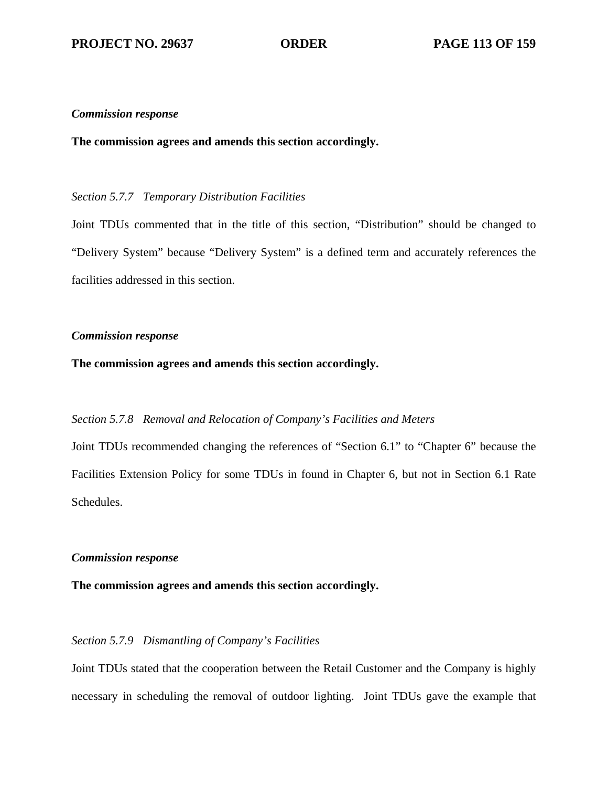### *Commission response*

**The commission agrees and amends this section accordingly.**

# *Section 5.7.7 Temporary Distribution Facilities*

Joint TDUs commented that in the title of this section, "Distribution" should be changed to "Delivery System" because "Delivery System" is a defined term and accurately references the facilities addressed in this section.

# *Commission response*

# **The commission agrees and amends this section accordingly.**

# *Section 5.7.8 Removal and Relocation of Company's Facilities and Meters*

Joint TDUs recommended changing the references of "Section 6.1" to "Chapter 6" because the Facilities Extension Policy for some TDUs in found in Chapter 6, but not in Section 6.1 Rate Schedules.

# *Commission response*

# **The commission agrees and amends this section accordingly.**

# *Section 5.7.9 Dismantling of Company's Facilities*

Joint TDUs stated that the cooperation between the Retail Customer and the Company is highly necessary in scheduling the removal of outdoor lighting. Joint TDUs gave the example that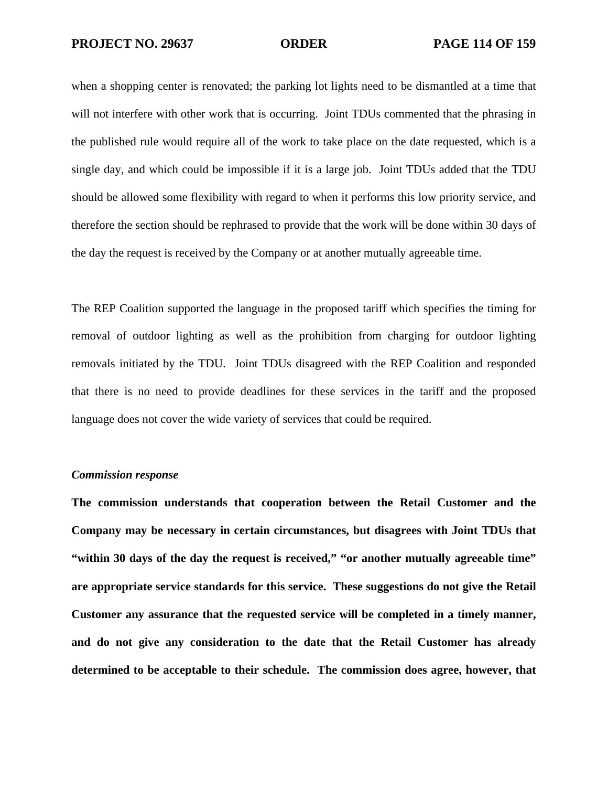when a shopping center is renovated; the parking lot lights need to be dismantled at a time that will not interfere with other work that is occurring. Joint TDUs commented that the phrasing in the published rule would require all of the work to take place on the date requested, which is a single day, and which could be impossible if it is a large job. Joint TDUs added that the TDU should be allowed some flexibility with regard to when it performs this low priority service, and therefore the section should be rephrased to provide that the work will be done within 30 days of the day the request is received by the Company or at another mutually agreeable time.

The REP Coalition supported the language in the proposed tariff which specifies the timing for removal of outdoor lighting as well as the prohibition from charging for outdoor lighting removals initiated by the TDU. Joint TDUs disagreed with the REP Coalition and responded that there is no need to provide deadlines for these services in the tariff and the proposed language does not cover the wide variety of services that could be required.

### *Commission response*

**The commission understands that cooperation between the Retail Customer and the Company may be necessary in certain circumstances, but disagrees with Joint TDUs that "within 30 days of the day the request is received," "or another mutually agreeable time" are appropriate service standards for this service. These suggestions do not give the Retail Customer any assurance that the requested service will be completed in a timely manner, and do not give any consideration to the date that the Retail Customer has already determined to be acceptable to their schedule. The commission does agree, however, that**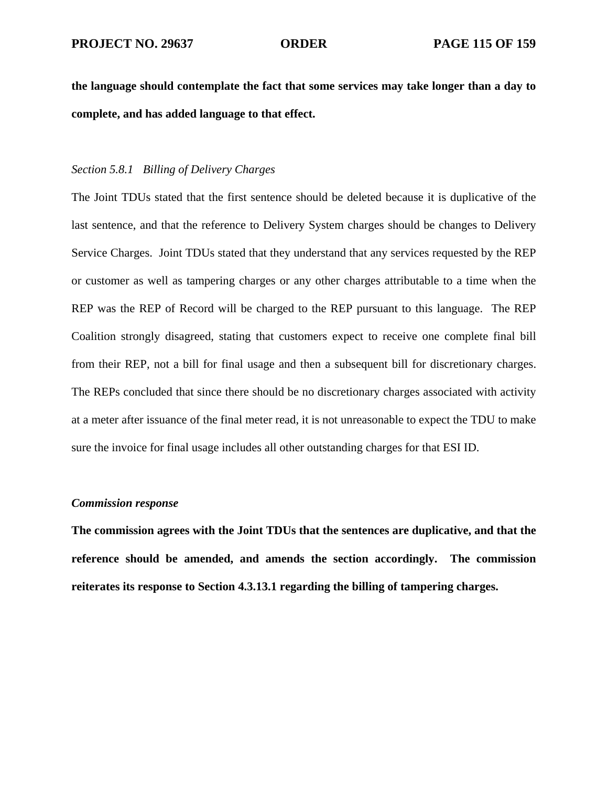**the language should contemplate the fact that some services may take longer than a day to complete, and has added language to that effect.** 

# *Section 5.8.1 Billing of Delivery Charges*

The Joint TDUs stated that the first sentence should be deleted because it is duplicative of the last sentence, and that the reference to Delivery System charges should be changes to Delivery Service Charges. Joint TDUs stated that they understand that any services requested by the REP or customer as well as tampering charges or any other charges attributable to a time when the REP was the REP of Record will be charged to the REP pursuant to this language. The REP Coalition strongly disagreed, stating that customers expect to receive one complete final bill from their REP, not a bill for final usage and then a subsequent bill for discretionary charges. The REPs concluded that since there should be no discretionary charges associated with activity at a meter after issuance of the final meter read, it is not unreasonable to expect the TDU to make sure the invoice for final usage includes all other outstanding charges for that ESI ID.

## *Commission response*

**The commission agrees with the Joint TDUs that the sentences are duplicative, and that the reference should be amended, and amends the section accordingly. The commission reiterates its response to Section 4.3.13.1 regarding the billing of tampering charges.**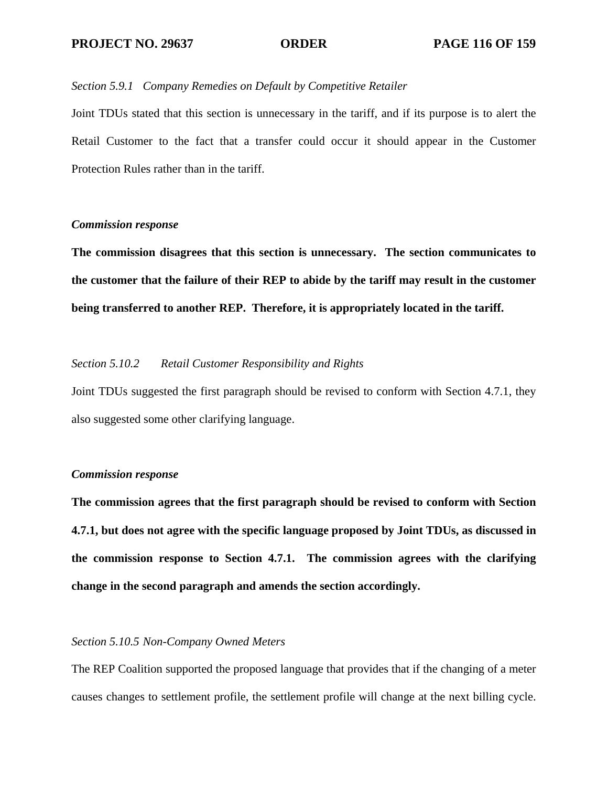# *Section 5.9.1 Company Remedies on Default by Competitive Retailer*

Joint TDUs stated that this section is unnecessary in the tariff, and if its purpose is to alert the Retail Customer to the fact that a transfer could occur it should appear in the Customer Protection Rules rather than in the tariff.

# *Commission response*

**The commission disagrees that this section is unnecessary. The section communicates to the customer that the failure of their REP to abide by the tariff may result in the customer being transferred to another REP. Therefore, it is appropriately located in the tariff.** 

# *Section 5.10.2 Retail Customer Responsibility and Rights*

Joint TDUs suggested the first paragraph should be revised to conform with Section 4.7.1, they also suggested some other clarifying language.

## *Commission response*

**The commission agrees that the first paragraph should be revised to conform with Section 4.7.1, but does not agree with the specific language proposed by Joint TDUs, as discussed in the commission response to Section 4.7.1. The commission agrees with the clarifying change in the second paragraph and amends the section accordingly.** 

# *Section 5.10.5 Non-Company Owned Meters*

The REP Coalition supported the proposed language that provides that if the changing of a meter causes changes to settlement profile, the settlement profile will change at the next billing cycle.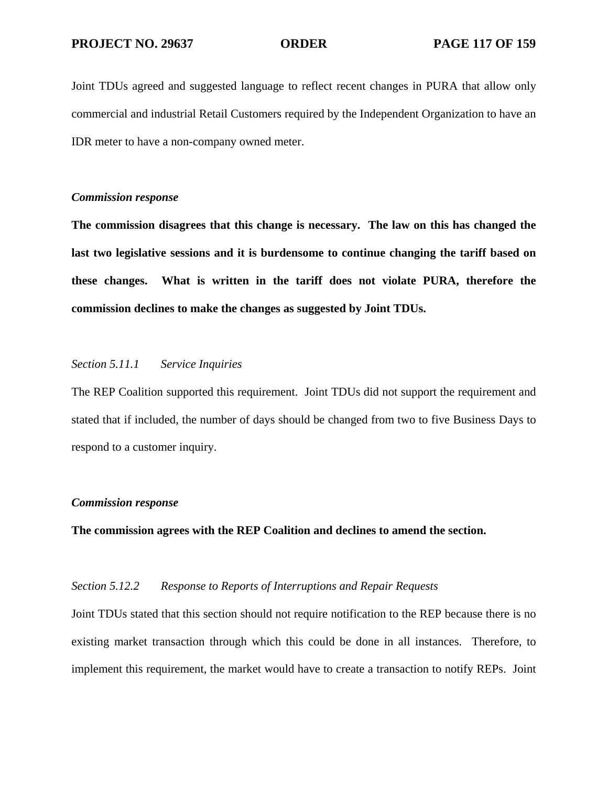Joint TDUs agreed and suggested language to reflect recent changes in PURA that allow only commercial and industrial Retail Customers required by the Independent Organization to have an IDR meter to have a non-company owned meter.

# *Commission response*

**The commission disagrees that this change is necessary. The law on this has changed the last two legislative sessions and it is burdensome to continue changing the tariff based on these changes. What is written in the tariff does not violate PURA, therefore the commission declines to make the changes as suggested by Joint TDUs.** 

# *Section 5.11.1 Service Inquiries*

The REP Coalition supported this requirement. Joint TDUs did not support the requirement and stated that if included, the number of days should be changed from two to five Business Days to respond to a customer inquiry.

### *Commission response*

**The commission agrees with the REP Coalition and declines to amend the section.** 

# *Section 5.12.2 Response to Reports of Interruptions and Repair Requests*

Joint TDUs stated that this section should not require notification to the REP because there is no existing market transaction through which this could be done in all instances. Therefore, to implement this requirement, the market would have to create a transaction to notify REPs. Joint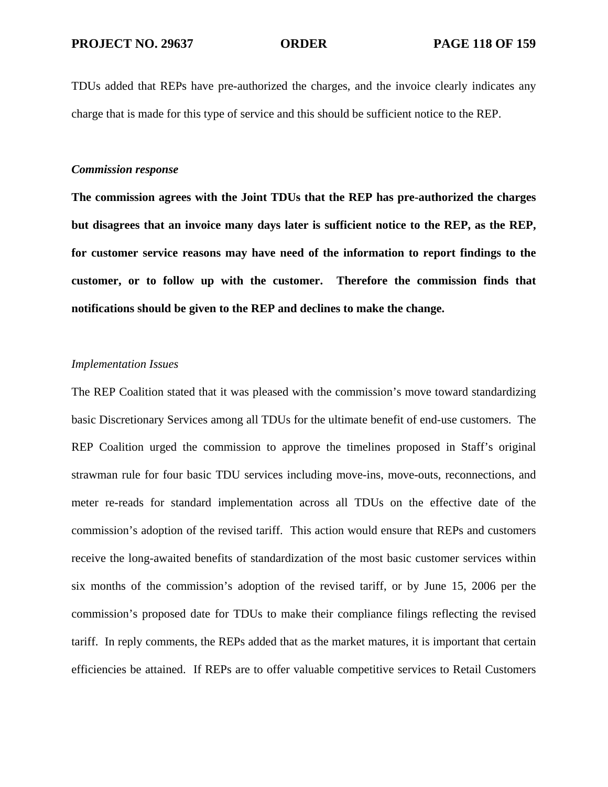TDUs added that REPs have pre-authorized the charges, and the invoice clearly indicates any charge that is made for this type of service and this should be sufficient notice to the REP.

### *Commission response*

**The commission agrees with the Joint TDUs that the REP has pre-authorized the charges but disagrees that an invoice many days later is sufficient notice to the REP, as the REP, for customer service reasons may have need of the information to report findings to the customer, or to follow up with the customer. Therefore the commission finds that notifications should be given to the REP and declines to make the change.** 

## *Implementation Issues*

The REP Coalition stated that it was pleased with the commission's move toward standardizing basic Discretionary Services among all TDUs for the ultimate benefit of end-use customers. The REP Coalition urged the commission to approve the timelines proposed in Staff's original strawman rule for four basic TDU services including move-ins, move-outs, reconnections, and meter re-reads for standard implementation across all TDUs on the effective date of the commission's adoption of the revised tariff. This action would ensure that REPs and customers receive the long-awaited benefits of standardization of the most basic customer services within six months of the commission's adoption of the revised tariff, or by June 15, 2006 per the commission's proposed date for TDUs to make their compliance filings reflecting the revised tariff. In reply comments, the REPs added that as the market matures, it is important that certain efficiencies be attained. If REPs are to offer valuable competitive services to Retail Customers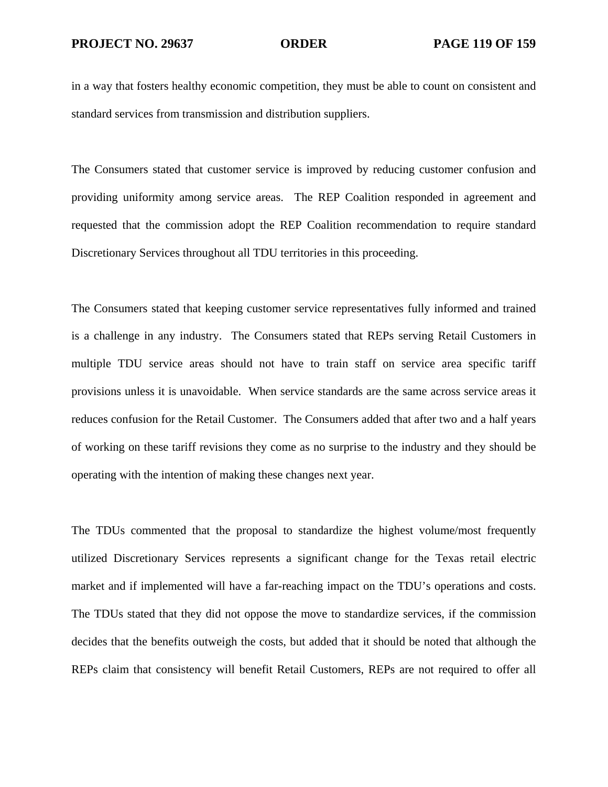in a way that fosters healthy economic competition, they must be able to count on consistent and standard services from transmission and distribution suppliers.

The Consumers stated that customer service is improved by reducing customer confusion and providing uniformity among service areas. The REP Coalition responded in agreement and requested that the commission adopt the REP Coalition recommendation to require standard Discretionary Services throughout all TDU territories in this proceeding.

The Consumers stated that keeping customer service representatives fully informed and trained is a challenge in any industry. The Consumers stated that REPs serving Retail Customers in multiple TDU service areas should not have to train staff on service area specific tariff provisions unless it is unavoidable. When service standards are the same across service areas it reduces confusion for the Retail Customer. The Consumers added that after two and a half years of working on these tariff revisions they come as no surprise to the industry and they should be operating with the intention of making these changes next year.

The TDUs commented that the proposal to standardize the highest volume/most frequently utilized Discretionary Services represents a significant change for the Texas retail electric market and if implemented will have a far-reaching impact on the TDU's operations and costs. The TDUs stated that they did not oppose the move to standardize services, if the commission decides that the benefits outweigh the costs, but added that it should be noted that although the REPs claim that consistency will benefit Retail Customers, REPs are not required to offer all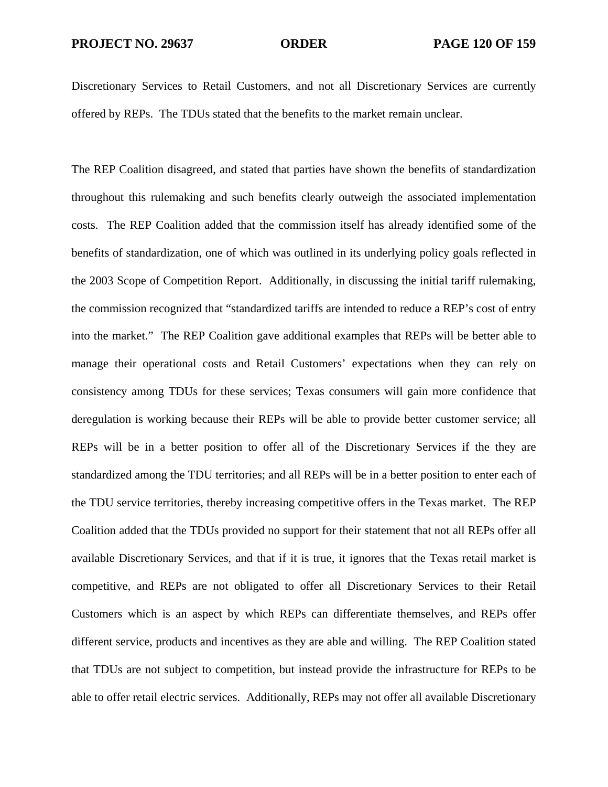Discretionary Services to Retail Customers, and not all Discretionary Services are currently offered by REPs. The TDUs stated that the benefits to the market remain unclear.

The REP Coalition disagreed, and stated that parties have shown the benefits of standardization throughout this rulemaking and such benefits clearly outweigh the associated implementation costs. The REP Coalition added that the commission itself has already identified some of the benefits of standardization, one of which was outlined in its underlying policy goals reflected in the 2003 Scope of Competition Report. Additionally, in discussing the initial tariff rulemaking, the commission recognized that "standardized tariffs are intended to reduce a REP's cost of entry into the market." The REP Coalition gave additional examples that REPs will be better able to manage their operational costs and Retail Customers' expectations when they can rely on consistency among TDUs for these services; Texas consumers will gain more confidence that deregulation is working because their REPs will be able to provide better customer service; all REPs will be in a better position to offer all of the Discretionary Services if the they are standardized among the TDU territories; and all REPs will be in a better position to enter each of the TDU service territories, thereby increasing competitive offers in the Texas market. The REP Coalition added that the TDUs provided no support for their statement that not all REPs offer all available Discretionary Services, and that if it is true, it ignores that the Texas retail market is competitive, and REPs are not obligated to offer all Discretionary Services to their Retail Customers which is an aspect by which REPs can differentiate themselves, and REPs offer different service, products and incentives as they are able and willing. The REP Coalition stated that TDUs are not subject to competition, but instead provide the infrastructure for REPs to be able to offer retail electric services. Additionally, REPs may not offer all available Discretionary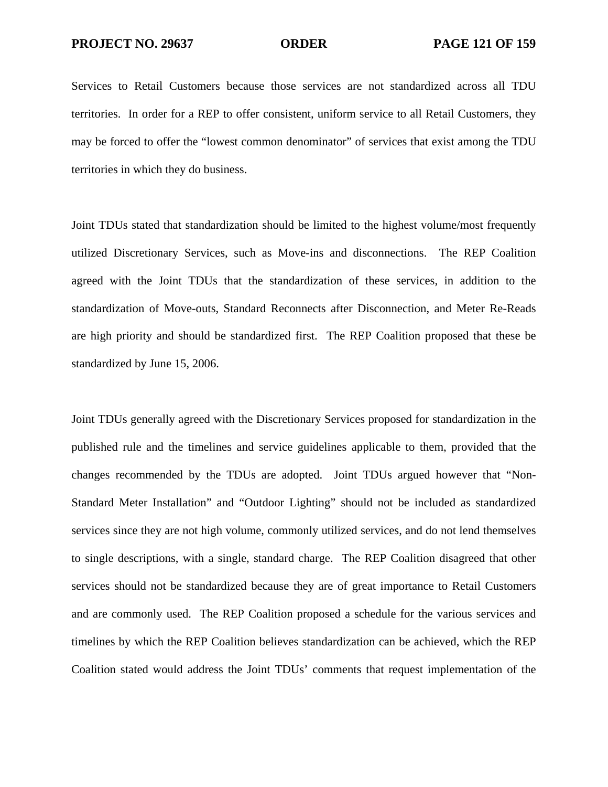Services to Retail Customers because those services are not standardized across all TDU territories. In order for a REP to offer consistent, uniform service to all Retail Customers, they may be forced to offer the "lowest common denominator" of services that exist among the TDU territories in which they do business.

Joint TDUs stated that standardization should be limited to the highest volume/most frequently utilized Discretionary Services, such as Move-ins and disconnections. The REP Coalition agreed with the Joint TDUs that the standardization of these services, in addition to the standardization of Move-outs, Standard Reconnects after Disconnection, and Meter Re-Reads are high priority and should be standardized first. The REP Coalition proposed that these be standardized by June 15, 2006.

Joint TDUs generally agreed with the Discretionary Services proposed for standardization in the published rule and the timelines and service guidelines applicable to them, provided that the changes recommended by the TDUs are adopted. Joint TDUs argued however that "Non-Standard Meter Installation" and "Outdoor Lighting" should not be included as standardized services since they are not high volume, commonly utilized services, and do not lend themselves to single descriptions, with a single, standard charge. The REP Coalition disagreed that other services should not be standardized because they are of great importance to Retail Customers and are commonly used. The REP Coalition proposed a schedule for the various services and timelines by which the REP Coalition believes standardization can be achieved, which the REP Coalition stated would address the Joint TDUs' comments that request implementation of the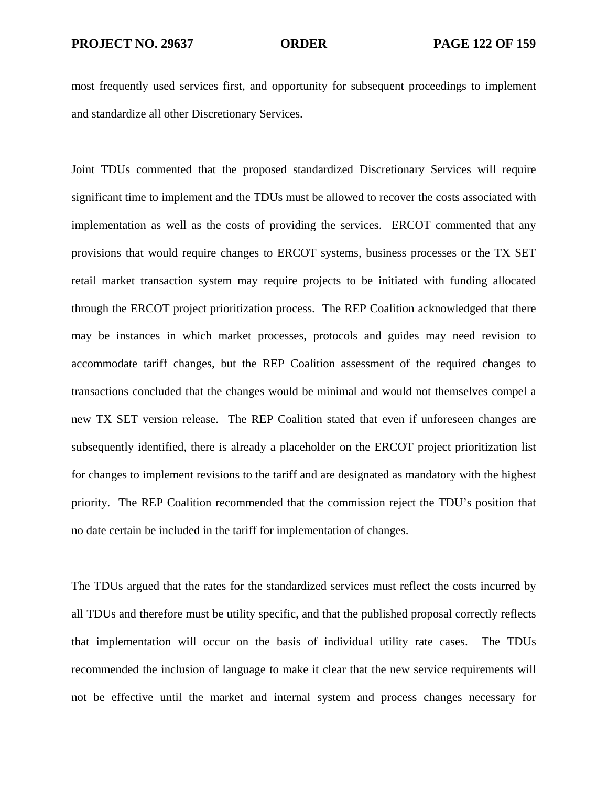most frequently used services first, and opportunity for subsequent proceedings to implement and standardize all other Discretionary Services.

Joint TDUs commented that the proposed standardized Discretionary Services will require significant time to implement and the TDUs must be allowed to recover the costs associated with implementation as well as the costs of providing the services. ERCOT commented that any provisions that would require changes to ERCOT systems, business processes or the TX SET retail market transaction system may require projects to be initiated with funding allocated through the ERCOT project prioritization process. The REP Coalition acknowledged that there may be instances in which market processes, protocols and guides may need revision to accommodate tariff changes, but the REP Coalition assessment of the required changes to transactions concluded that the changes would be minimal and would not themselves compel a new TX SET version release. The REP Coalition stated that even if unforeseen changes are subsequently identified, there is already a placeholder on the ERCOT project prioritization list for changes to implement revisions to the tariff and are designated as mandatory with the highest priority. The REP Coalition recommended that the commission reject the TDU's position that no date certain be included in the tariff for implementation of changes.

The TDUs argued that the rates for the standardized services must reflect the costs incurred by all TDUs and therefore must be utility specific, and that the published proposal correctly reflects that implementation will occur on the basis of individual utility rate cases. The TDUs recommended the inclusion of language to make it clear that the new service requirements will not be effective until the market and internal system and process changes necessary for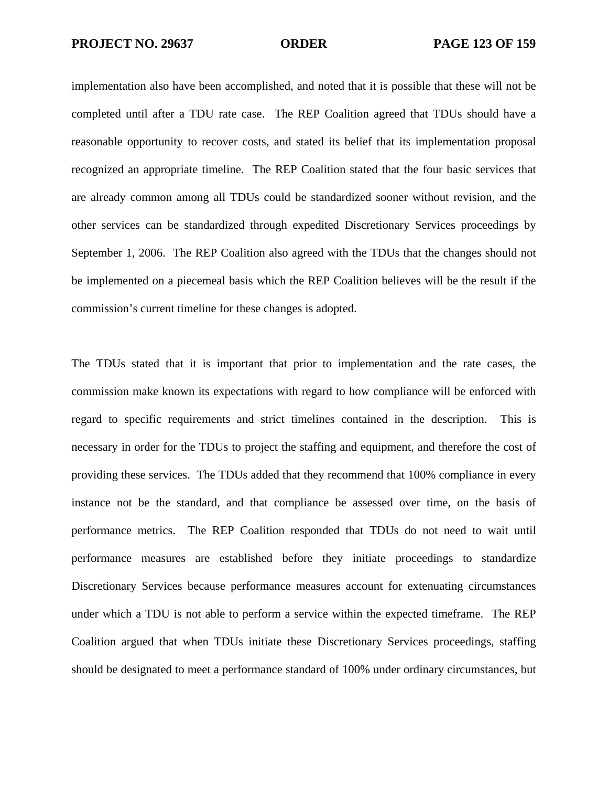implementation also have been accomplished, and noted that it is possible that these will not be completed until after a TDU rate case. The REP Coalition agreed that TDUs should have a reasonable opportunity to recover costs, and stated its belief that its implementation proposal recognized an appropriate timeline. The REP Coalition stated that the four basic services that are already common among all TDUs could be standardized sooner without revision, and the other services can be standardized through expedited Discretionary Services proceedings by September 1, 2006. The REP Coalition also agreed with the TDUs that the changes should not be implemented on a piecemeal basis which the REP Coalition believes will be the result if the commission's current timeline for these changes is adopted.

The TDUs stated that it is important that prior to implementation and the rate cases, the commission make known its expectations with regard to how compliance will be enforced with regard to specific requirements and strict timelines contained in the description. This is necessary in order for the TDUs to project the staffing and equipment, and therefore the cost of providing these services. The TDUs added that they recommend that 100% compliance in every instance not be the standard, and that compliance be assessed over time, on the basis of performance metrics. The REP Coalition responded that TDUs do not need to wait until performance measures are established before they initiate proceedings to standardize Discretionary Services because performance measures account for extenuating circumstances under which a TDU is not able to perform a service within the expected timeframe. The REP Coalition argued that when TDUs initiate these Discretionary Services proceedings, staffing should be designated to meet a performance standard of 100% under ordinary circumstances, but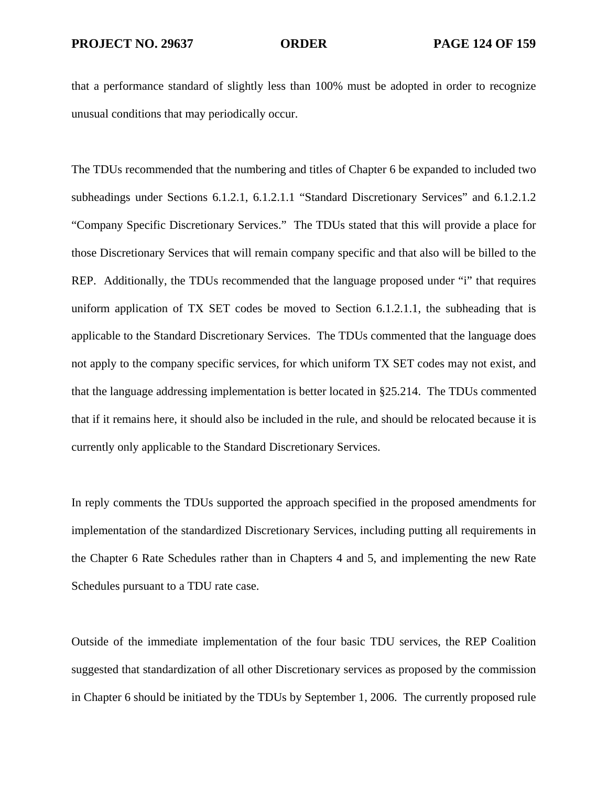that a performance standard of slightly less than 100% must be adopted in order to recognize unusual conditions that may periodically occur.

The TDUs recommended that the numbering and titles of Chapter 6 be expanded to included two subheadings under Sections 6.1.2.1, 6.1.2.1.1 "Standard Discretionary Services" and 6.1.2.1.2 "Company Specific Discretionary Services." The TDUs stated that this will provide a place for those Discretionary Services that will remain company specific and that also will be billed to the REP. Additionally, the TDUs recommended that the language proposed under "i" that requires uniform application of TX SET codes be moved to Section 6.1.2.1.1, the subheading that is applicable to the Standard Discretionary Services. The TDUs commented that the language does not apply to the company specific services, for which uniform TX SET codes may not exist, and that the language addressing implementation is better located in §25.214. The TDUs commented that if it remains here, it should also be included in the rule, and should be relocated because it is currently only applicable to the Standard Discretionary Services.

In reply comments the TDUs supported the approach specified in the proposed amendments for implementation of the standardized Discretionary Services, including putting all requirements in the Chapter 6 Rate Schedules rather than in Chapters 4 and 5, and implementing the new Rate Schedules pursuant to a TDU rate case.

Outside of the immediate implementation of the four basic TDU services, the REP Coalition suggested that standardization of all other Discretionary services as proposed by the commission in Chapter 6 should be initiated by the TDUs by September 1, 2006. The currently proposed rule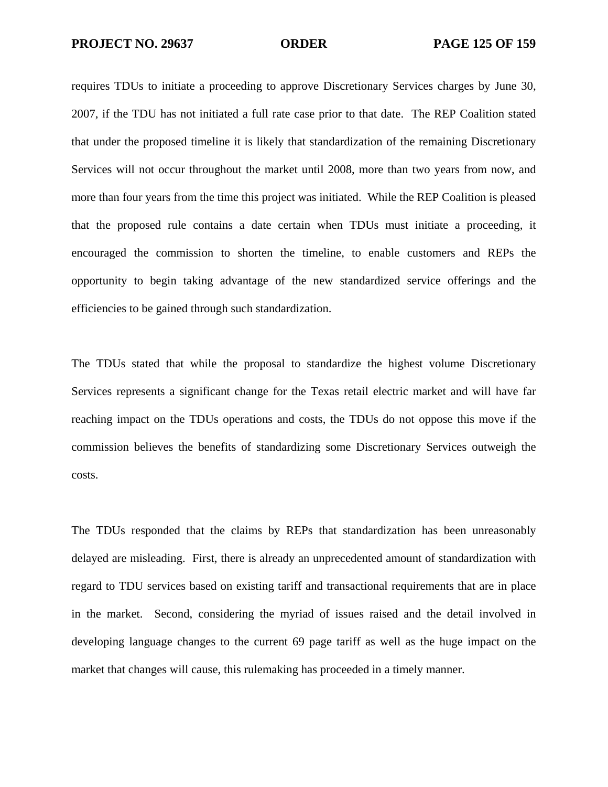requires TDUs to initiate a proceeding to approve Discretionary Services charges by June 30, 2007, if the TDU has not initiated a full rate case prior to that date. The REP Coalition stated that under the proposed timeline it is likely that standardization of the remaining Discretionary Services will not occur throughout the market until 2008, more than two years from now, and more than four years from the time this project was initiated. While the REP Coalition is pleased that the proposed rule contains a date certain when TDUs must initiate a proceeding, it encouraged the commission to shorten the timeline, to enable customers and REPs the opportunity to begin taking advantage of the new standardized service offerings and the efficiencies to be gained through such standardization.

The TDUs stated that while the proposal to standardize the highest volume Discretionary Services represents a significant change for the Texas retail electric market and will have far reaching impact on the TDUs operations and costs, the TDUs do not oppose this move if the commission believes the benefits of standardizing some Discretionary Services outweigh the costs.

The TDUs responded that the claims by REPs that standardization has been unreasonably delayed are misleading. First, there is already an unprecedented amount of standardization with regard to TDU services based on existing tariff and transactional requirements that are in place in the market. Second, considering the myriad of issues raised and the detail involved in developing language changes to the current 69 page tariff as well as the huge impact on the market that changes will cause, this rulemaking has proceeded in a timely manner.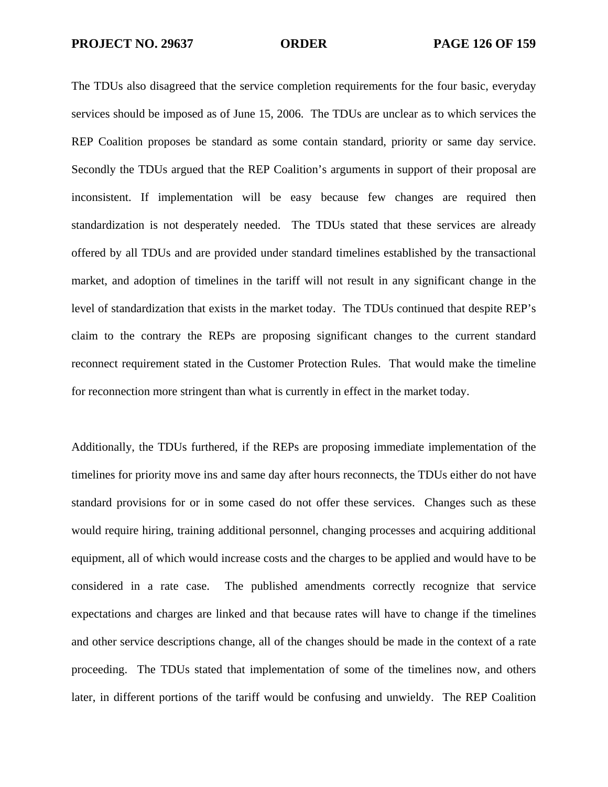The TDUs also disagreed that the service completion requirements for the four basic, everyday services should be imposed as of June 15, 2006. The TDUs are unclear as to which services the REP Coalition proposes be standard as some contain standard, priority or same day service. Secondly the TDUs argued that the REP Coalition's arguments in support of their proposal are inconsistent. If implementation will be easy because few changes are required then standardization is not desperately needed. The TDUs stated that these services are already offered by all TDUs and are provided under standard timelines established by the transactional market, and adoption of timelines in the tariff will not result in any significant change in the level of standardization that exists in the market today. The TDUs continued that despite REP's claim to the contrary the REPs are proposing significant changes to the current standard reconnect requirement stated in the Customer Protection Rules. That would make the timeline for reconnection more stringent than what is currently in effect in the market today.

Additionally, the TDUs furthered, if the REPs are proposing immediate implementation of the timelines for priority move ins and same day after hours reconnects, the TDUs either do not have standard provisions for or in some cased do not offer these services. Changes such as these would require hiring, training additional personnel, changing processes and acquiring additional equipment, all of which would increase costs and the charges to be applied and would have to be considered in a rate case. The published amendments correctly recognize that service expectations and charges are linked and that because rates will have to change if the timelines and other service descriptions change, all of the changes should be made in the context of a rate proceeding. The TDUs stated that implementation of some of the timelines now, and others later, in different portions of the tariff would be confusing and unwieldy. The REP Coalition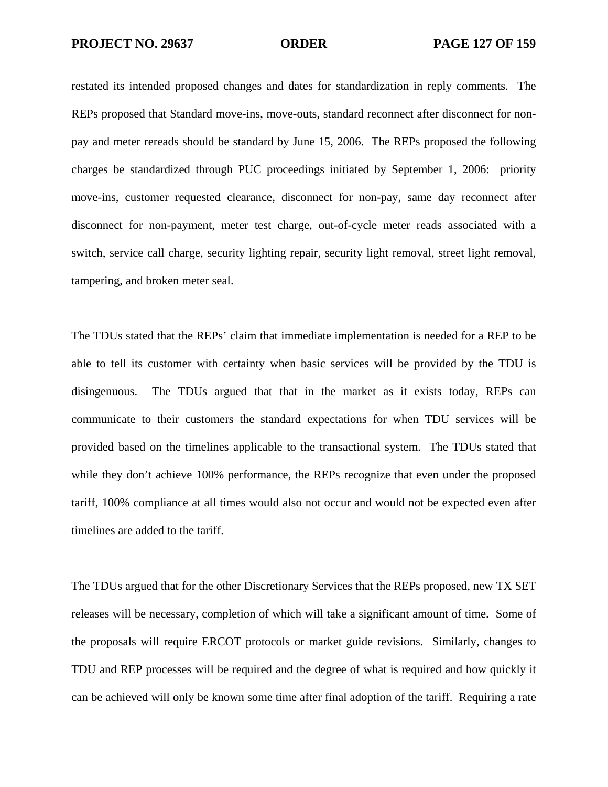restated its intended proposed changes and dates for standardization in reply comments. The REPs proposed that Standard move-ins, move-outs, standard reconnect after disconnect for nonpay and meter rereads should be standard by June 15, 2006. The REPs proposed the following charges be standardized through PUC proceedings initiated by September 1, 2006: priority move-ins, customer requested clearance, disconnect for non-pay, same day reconnect after disconnect for non-payment, meter test charge, out-of-cycle meter reads associated with a switch, service call charge, security lighting repair, security light removal, street light removal, tampering, and broken meter seal.

The TDUs stated that the REPs' claim that immediate implementation is needed for a REP to be able to tell its customer with certainty when basic services will be provided by the TDU is disingenuous. The TDUs argued that that in the market as it exists today, REPs can communicate to their customers the standard expectations for when TDU services will be provided based on the timelines applicable to the transactional system. The TDUs stated that while they don't achieve 100% performance, the REPs recognize that even under the proposed tariff, 100% compliance at all times would also not occur and would not be expected even after timelines are added to the tariff.

The TDUs argued that for the other Discretionary Services that the REPs proposed, new TX SET releases will be necessary, completion of which will take a significant amount of time. Some of the proposals will require ERCOT protocols or market guide revisions. Similarly, changes to TDU and REP processes will be required and the degree of what is required and how quickly it can be achieved will only be known some time after final adoption of the tariff. Requiring a rate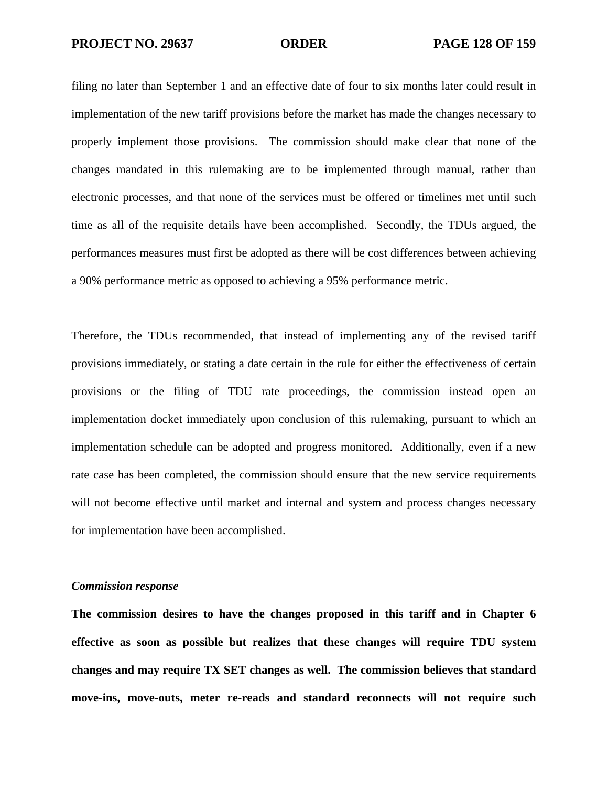filing no later than September 1 and an effective date of four to six months later could result in implementation of the new tariff provisions before the market has made the changes necessary to properly implement those provisions. The commission should make clear that none of the changes mandated in this rulemaking are to be implemented through manual, rather than electronic processes, and that none of the services must be offered or timelines met until such time as all of the requisite details have been accomplished. Secondly, the TDUs argued, the performances measures must first be adopted as there will be cost differences between achieving a 90% performance metric as opposed to achieving a 95% performance metric.

Therefore, the TDUs recommended, that instead of implementing any of the revised tariff provisions immediately, or stating a date certain in the rule for either the effectiveness of certain provisions or the filing of TDU rate proceedings, the commission instead open an implementation docket immediately upon conclusion of this rulemaking, pursuant to which an implementation schedule can be adopted and progress monitored. Additionally, even if a new rate case has been completed, the commission should ensure that the new service requirements will not become effective until market and internal and system and process changes necessary for implementation have been accomplished.

## *Commission response*

**The commission desires to have the changes proposed in this tariff and in Chapter 6 effective as soon as possible but realizes that these changes will require TDU system changes and may require TX SET changes as well. The commission believes that standard move-ins, move-outs, meter re-reads and standard reconnects will not require such**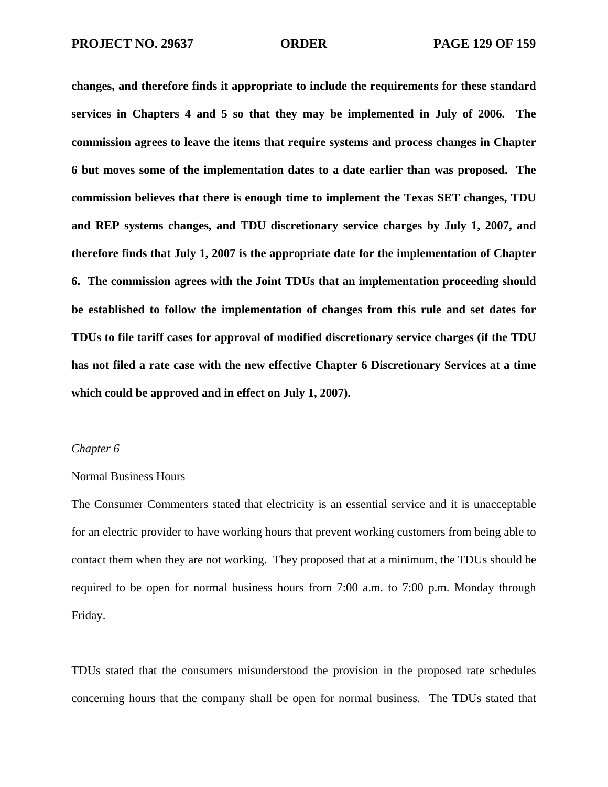**changes, and therefore finds it appropriate to include the requirements for these standard services in Chapters 4 and 5 so that they may be implemented in July of 2006. The commission agrees to leave the items that require systems and process changes in Chapter 6 but moves some of the implementation dates to a date earlier than was proposed. The commission believes that there is enough time to implement the Texas SET changes, TDU and REP systems changes, and TDU discretionary service charges by July 1, 2007, and therefore finds that July 1, 2007 is the appropriate date for the implementation of Chapter 6. The commission agrees with the Joint TDUs that an implementation proceeding should be established to follow the implementation of changes from this rule and set dates for TDUs to file tariff cases for approval of modified discretionary service charges (if the TDU has not filed a rate case with the new effective Chapter 6 Discretionary Services at a time which could be approved and in effect on July 1, 2007).** 

### *Chapter 6*

## Normal Business Hours

The Consumer Commenters stated that electricity is an essential service and it is unacceptable for an electric provider to have working hours that prevent working customers from being able to contact them when they are not working. They proposed that at a minimum, the TDUs should be required to be open for normal business hours from 7:00 a.m. to 7:00 p.m. Monday through Friday.

TDUs stated that the consumers misunderstood the provision in the proposed rate schedules concerning hours that the company shall be open for normal business. The TDUs stated that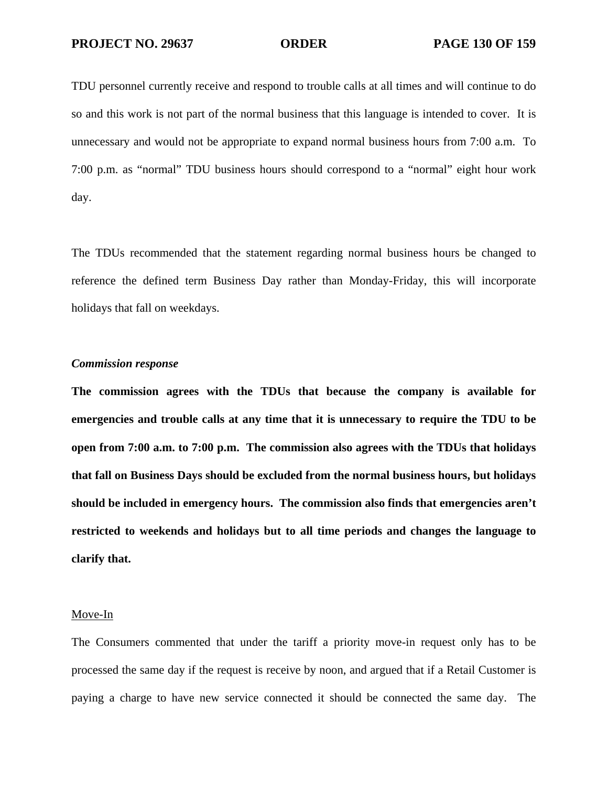TDU personnel currently receive and respond to trouble calls at all times and will continue to do so and this work is not part of the normal business that this language is intended to cover. It is unnecessary and would not be appropriate to expand normal business hours from 7:00 a.m. To 7:00 p.m. as "normal" TDU business hours should correspond to a "normal" eight hour work day.

The TDUs recommended that the statement regarding normal business hours be changed to reference the defined term Business Day rather than Monday-Friday, this will incorporate holidays that fall on weekdays.

### *Commission response*

**The commission agrees with the TDUs that because the company is available for emergencies and trouble calls at any time that it is unnecessary to require the TDU to be open from 7:00 a.m. to 7:00 p.m. The commission also agrees with the TDUs that holidays that fall on Business Days should be excluded from the normal business hours, but holidays should be included in emergency hours. The commission also finds that emergencies aren't restricted to weekends and holidays but to all time periods and changes the language to clarify that.** 

### Move-In

The Consumers commented that under the tariff a priority move-in request only has to be processed the same day if the request is receive by noon, and argued that if a Retail Customer is paying a charge to have new service connected it should be connected the same day. The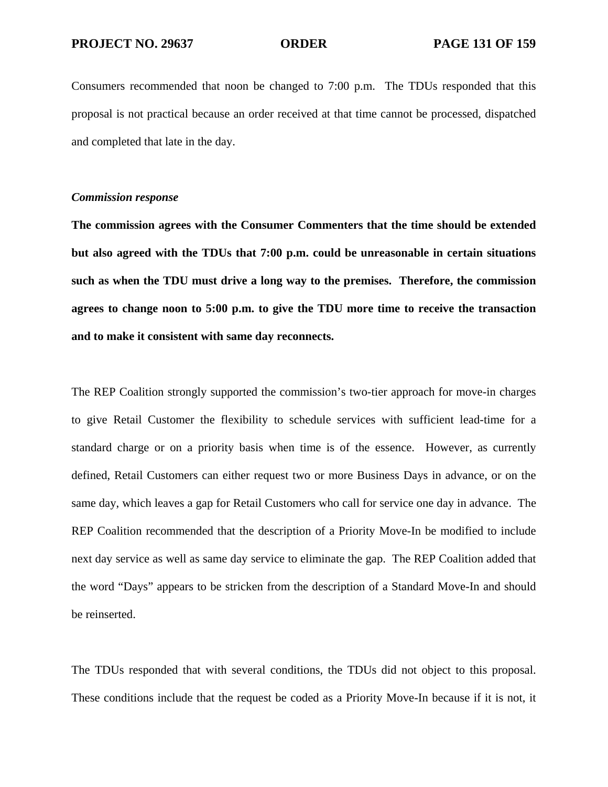Consumers recommended that noon be changed to 7:00 p.m. The TDUs responded that this proposal is not practical because an order received at that time cannot be processed, dispatched and completed that late in the day.

## *Commission response*

**The commission agrees with the Consumer Commenters that the time should be extended but also agreed with the TDUs that 7:00 p.m. could be unreasonable in certain situations such as when the TDU must drive a long way to the premises. Therefore, the commission agrees to change noon to 5:00 p.m. to give the TDU more time to receive the transaction and to make it consistent with same day reconnects.**

The REP Coalition strongly supported the commission's two-tier approach for move-in charges to give Retail Customer the flexibility to schedule services with sufficient lead-time for a standard charge or on a priority basis when time is of the essence. However, as currently defined, Retail Customers can either request two or more Business Days in advance, or on the same day, which leaves a gap for Retail Customers who call for service one day in advance. The REP Coalition recommended that the description of a Priority Move-In be modified to include next day service as well as same day service to eliminate the gap. The REP Coalition added that the word "Days" appears to be stricken from the description of a Standard Move-In and should be reinserted.

The TDUs responded that with several conditions, the TDUs did not object to this proposal. These conditions include that the request be coded as a Priority Move-In because if it is not, it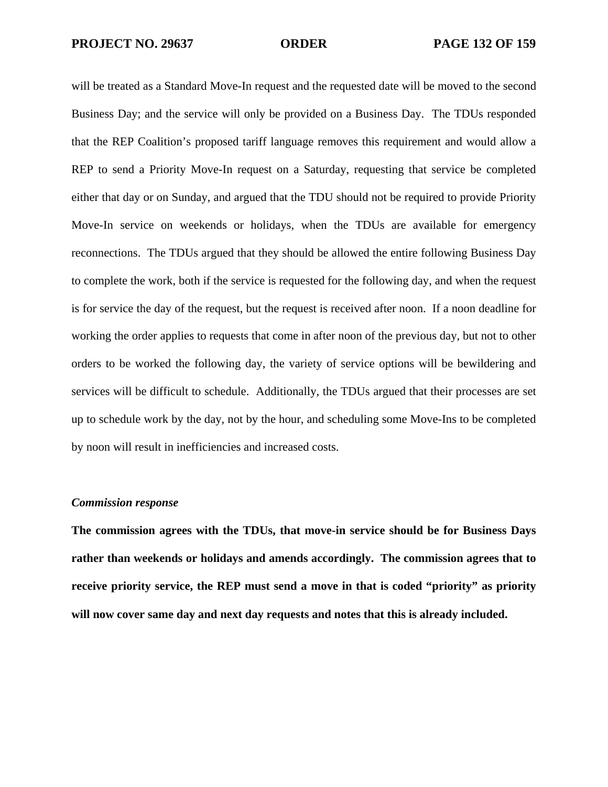will be treated as a Standard Move-In request and the requested date will be moved to the second Business Day; and the service will only be provided on a Business Day. The TDUs responded that the REP Coalition's proposed tariff language removes this requirement and would allow a REP to send a Priority Move-In request on a Saturday, requesting that service be completed either that day or on Sunday, and argued that the TDU should not be required to provide Priority Move-In service on weekends or holidays, when the TDUs are available for emergency reconnections. The TDUs argued that they should be allowed the entire following Business Day to complete the work, both if the service is requested for the following day, and when the request is for service the day of the request, but the request is received after noon. If a noon deadline for working the order applies to requests that come in after noon of the previous day, but not to other orders to be worked the following day, the variety of service options will be bewildering and services will be difficult to schedule. Additionally, the TDUs argued that their processes are set up to schedule work by the day, not by the hour, and scheduling some Move-Ins to be completed by noon will result in inefficiencies and increased costs.

# *Commission response*

**The commission agrees with the TDUs, that move-in service should be for Business Days rather than weekends or holidays and amends accordingly. The commission agrees that to receive priority service, the REP must send a move in that is coded "priority" as priority will now cover same day and next day requests and notes that this is already included.**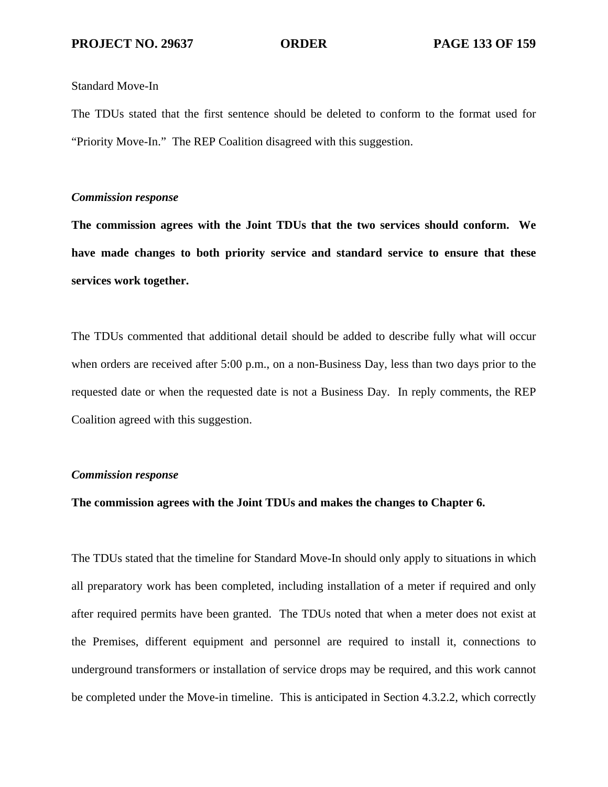### Standard Move-In

The TDUs stated that the first sentence should be deleted to conform to the format used for "Priority Move-In." The REP Coalition disagreed with this suggestion.

## *Commission response*

**The commission agrees with the Joint TDUs that the two services should conform. We have made changes to both priority service and standard service to ensure that these services work together.** 

The TDUs commented that additional detail should be added to describe fully what will occur when orders are received after 5:00 p.m., on a non-Business Day, less than two days prior to the requested date or when the requested date is not a Business Day. In reply comments, the REP Coalition agreed with this suggestion.

# *Commission response*

## **The commission agrees with the Joint TDUs and makes the changes to Chapter 6.**

The TDUs stated that the timeline for Standard Move-In should only apply to situations in which all preparatory work has been completed, including installation of a meter if required and only after required permits have been granted. The TDUs noted that when a meter does not exist at the Premises, different equipment and personnel are required to install it, connections to underground transformers or installation of service drops may be required, and this work cannot be completed under the Move-in timeline. This is anticipated in Section 4.3.2.2, which correctly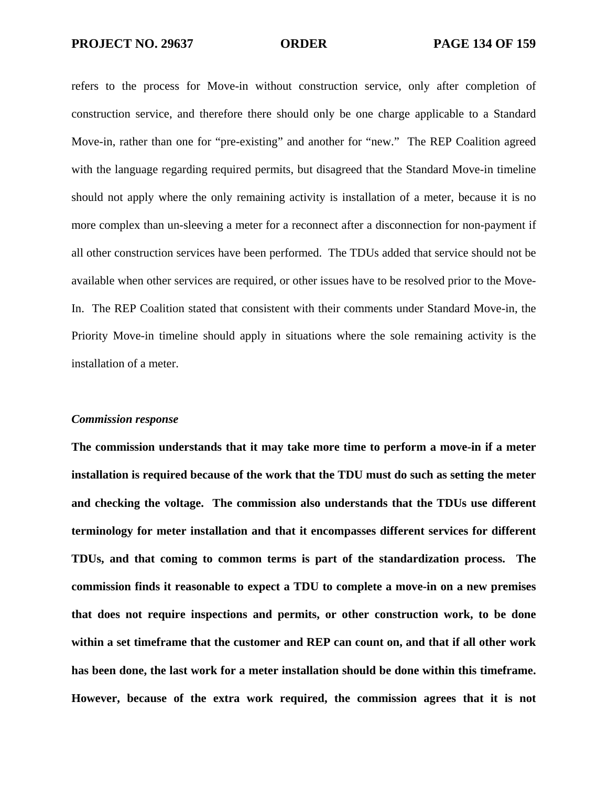refers to the process for Move-in without construction service, only after completion of construction service, and therefore there should only be one charge applicable to a Standard Move-in, rather than one for "pre-existing" and another for "new." The REP Coalition agreed with the language regarding required permits, but disagreed that the Standard Move-in timeline should not apply where the only remaining activity is installation of a meter, because it is no more complex than un-sleeving a meter for a reconnect after a disconnection for non-payment if all other construction services have been performed. The TDUs added that service should not be available when other services are required, or other issues have to be resolved prior to the Move-In. The REP Coalition stated that consistent with their comments under Standard Move-in, the Priority Move-in timeline should apply in situations where the sole remaining activity is the installation of a meter.

### *Commission response*

**The commission understands that it may take more time to perform a move-in if a meter installation is required because of the work that the TDU must do such as setting the meter and checking the voltage. The commission also understands that the TDUs use different terminology for meter installation and that it encompasses different services for different TDUs, and that coming to common terms is part of the standardization process. The commission finds it reasonable to expect a TDU to complete a move-in on a new premises that does not require inspections and permits, or other construction work, to be done within a set timeframe that the customer and REP can count on, and that if all other work has been done, the last work for a meter installation should be done within this timeframe. However, because of the extra work required, the commission agrees that it is not**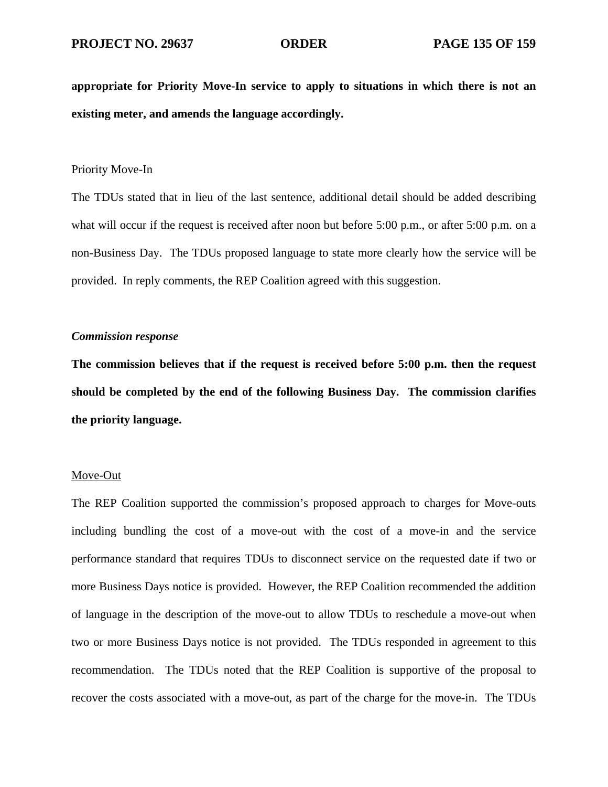**appropriate for Priority Move-In service to apply to situations in which there is not an existing meter, and amends the language accordingly.** 

# Priority Move-In

The TDUs stated that in lieu of the last sentence, additional detail should be added describing what will occur if the request is received after noon but before 5:00 p.m., or after 5:00 p.m. on a non-Business Day. The TDUs proposed language to state more clearly how the service will be provided. In reply comments, the REP Coalition agreed with this suggestion.

### *Commission response*

**The commission believes that if the request is received before 5:00 p.m. then the request should be completed by the end of the following Business Day. The commission clarifies the priority language.** 

### Move-Out

The REP Coalition supported the commission's proposed approach to charges for Move-outs including bundling the cost of a move-out with the cost of a move-in and the service performance standard that requires TDUs to disconnect service on the requested date if two or more Business Days notice is provided. However, the REP Coalition recommended the addition of language in the description of the move-out to allow TDUs to reschedule a move-out when two or more Business Days notice is not provided. The TDUs responded in agreement to this recommendation. The TDUs noted that the REP Coalition is supportive of the proposal to recover the costs associated with a move-out, as part of the charge for the move-in. The TDUs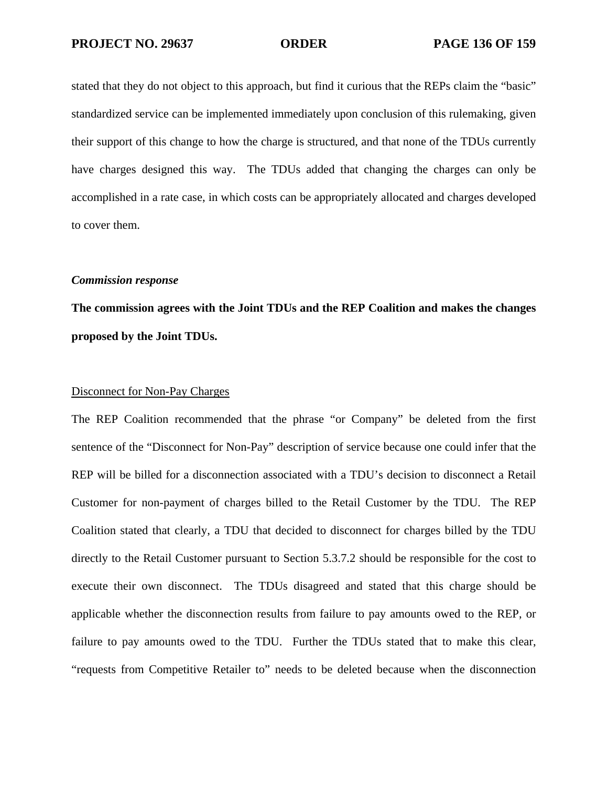stated that they do not object to this approach, but find it curious that the REPs claim the "basic" standardized service can be implemented immediately upon conclusion of this rulemaking, given their support of this change to how the charge is structured, and that none of the TDUs currently have charges designed this way. The TDUs added that changing the charges can only be accomplished in a rate case, in which costs can be appropriately allocated and charges developed to cover them.

### *Commission response*

**The commission agrees with the Joint TDUs and the REP Coalition and makes the changes proposed by the Joint TDUs.** 

### Disconnect for Non-Pay Charges

The REP Coalition recommended that the phrase "or Company" be deleted from the first sentence of the "Disconnect for Non-Pay" description of service because one could infer that the REP will be billed for a disconnection associated with a TDU's decision to disconnect a Retail Customer for non-payment of charges billed to the Retail Customer by the TDU. The REP Coalition stated that clearly, a TDU that decided to disconnect for charges billed by the TDU directly to the Retail Customer pursuant to Section 5.3.7.2 should be responsible for the cost to execute their own disconnect. The TDUs disagreed and stated that this charge should be applicable whether the disconnection results from failure to pay amounts owed to the REP, or failure to pay amounts owed to the TDU. Further the TDUs stated that to make this clear, "requests from Competitive Retailer to" needs to be deleted because when the disconnection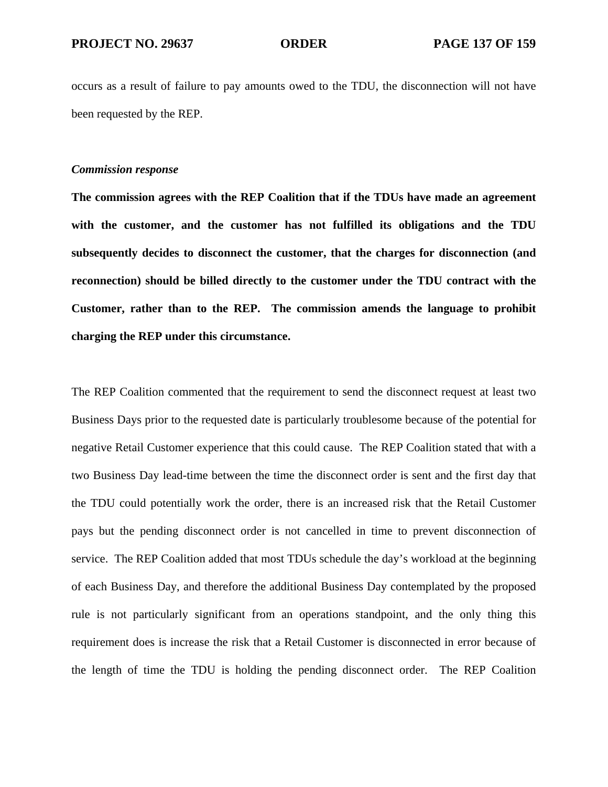occurs as a result of failure to pay amounts owed to the TDU, the disconnection will not have been requested by the REP.

### *Commission response*

**The commission agrees with the REP Coalition that if the TDUs have made an agreement with the customer, and the customer has not fulfilled its obligations and the TDU subsequently decides to disconnect the customer, that the charges for disconnection (and reconnection) should be billed directly to the customer under the TDU contract with the Customer, rather than to the REP. The commission amends the language to prohibit charging the REP under this circumstance.** 

The REP Coalition commented that the requirement to send the disconnect request at least two Business Days prior to the requested date is particularly troublesome because of the potential for negative Retail Customer experience that this could cause. The REP Coalition stated that with a two Business Day lead-time between the time the disconnect order is sent and the first day that the TDU could potentially work the order, there is an increased risk that the Retail Customer pays but the pending disconnect order is not cancelled in time to prevent disconnection of service. The REP Coalition added that most TDUs schedule the day's workload at the beginning of each Business Day, and therefore the additional Business Day contemplated by the proposed rule is not particularly significant from an operations standpoint, and the only thing this requirement does is increase the risk that a Retail Customer is disconnected in error because of the length of time the TDU is holding the pending disconnect order. The REP Coalition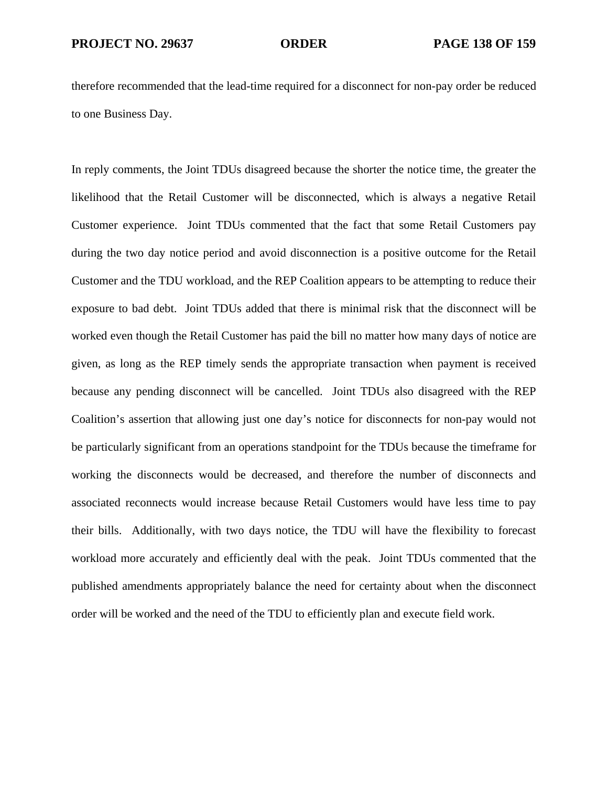therefore recommended that the lead-time required for a disconnect for non-pay order be reduced to one Business Day.

In reply comments, the Joint TDUs disagreed because the shorter the notice time, the greater the likelihood that the Retail Customer will be disconnected, which is always a negative Retail Customer experience. Joint TDUs commented that the fact that some Retail Customers pay during the two day notice period and avoid disconnection is a positive outcome for the Retail Customer and the TDU workload, and the REP Coalition appears to be attempting to reduce their exposure to bad debt. Joint TDUs added that there is minimal risk that the disconnect will be worked even though the Retail Customer has paid the bill no matter how many days of notice are given, as long as the REP timely sends the appropriate transaction when payment is received because any pending disconnect will be cancelled. Joint TDUs also disagreed with the REP Coalition's assertion that allowing just one day's notice for disconnects for non-pay would not be particularly significant from an operations standpoint for the TDUs because the timeframe for working the disconnects would be decreased, and therefore the number of disconnects and associated reconnects would increase because Retail Customers would have less time to pay their bills. Additionally, with two days notice, the TDU will have the flexibility to forecast workload more accurately and efficiently deal with the peak. Joint TDUs commented that the published amendments appropriately balance the need for certainty about when the disconnect order will be worked and the need of the TDU to efficiently plan and execute field work.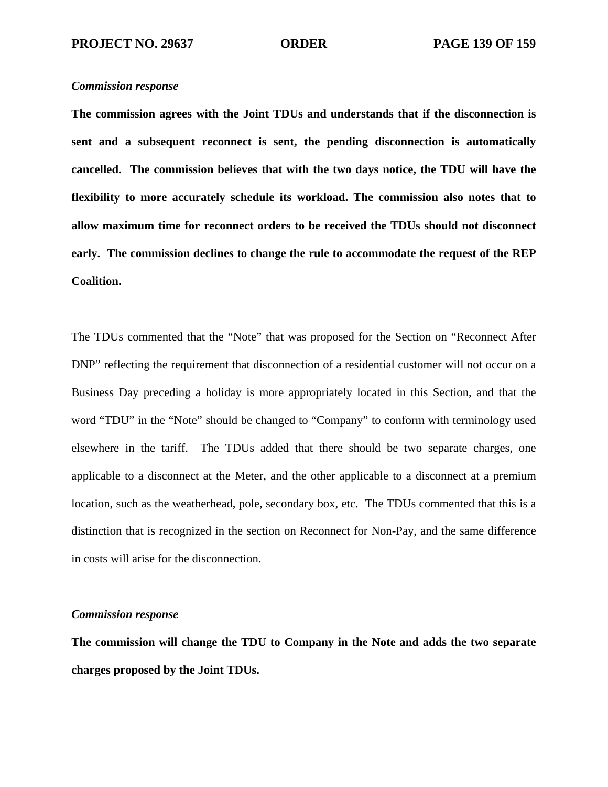# *Commission response*

**The commission agrees with the Joint TDUs and understands that if the disconnection is sent and a subsequent reconnect is sent, the pending disconnection is automatically cancelled. The commission believes that with the two days notice, the TDU will have the flexibility to more accurately schedule its workload. The commission also notes that to allow maximum time for reconnect orders to be received the TDUs should not disconnect early. The commission declines to change the rule to accommodate the request of the REP Coalition.** 

The TDUs commented that the "Note" that was proposed for the Section on "Reconnect After DNP" reflecting the requirement that disconnection of a residential customer will not occur on a Business Day preceding a holiday is more appropriately located in this Section, and that the word "TDU" in the "Note" should be changed to "Company" to conform with terminology used elsewhere in the tariff. The TDUs added that there should be two separate charges, one applicable to a disconnect at the Meter, and the other applicable to a disconnect at a premium location, such as the weatherhead, pole, secondary box, etc. The TDUs commented that this is a distinction that is recognized in the section on Reconnect for Non-Pay, and the same difference in costs will arise for the disconnection.

# *Commission response*

**The commission will change the TDU to Company in the Note and adds the two separate charges proposed by the Joint TDUs.**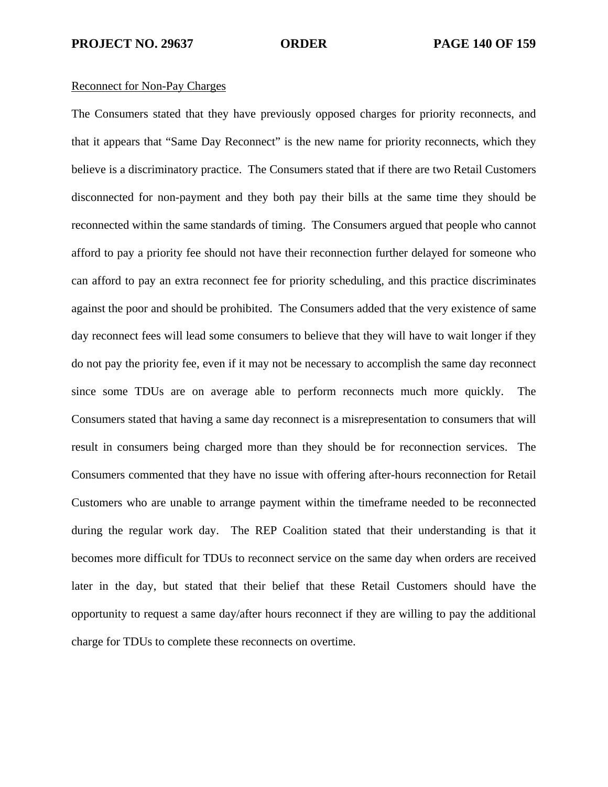### Reconnect for Non-Pay Charges

The Consumers stated that they have previously opposed charges for priority reconnects, and that it appears that "Same Day Reconnect" is the new name for priority reconnects, which they believe is a discriminatory practice. The Consumers stated that if there are two Retail Customers disconnected for non-payment and they both pay their bills at the same time they should be reconnected within the same standards of timing. The Consumers argued that people who cannot afford to pay a priority fee should not have their reconnection further delayed for someone who can afford to pay an extra reconnect fee for priority scheduling, and this practice discriminates against the poor and should be prohibited. The Consumers added that the very existence of same day reconnect fees will lead some consumers to believe that they will have to wait longer if they do not pay the priority fee, even if it may not be necessary to accomplish the same day reconnect since some TDUs are on average able to perform reconnects much more quickly. The Consumers stated that having a same day reconnect is a misrepresentation to consumers that will result in consumers being charged more than they should be for reconnection services. The Consumers commented that they have no issue with offering after-hours reconnection for Retail Customers who are unable to arrange payment within the timeframe needed to be reconnected during the regular work day. The REP Coalition stated that their understanding is that it becomes more difficult for TDUs to reconnect service on the same day when orders are received later in the day, but stated that their belief that these Retail Customers should have the opportunity to request a same day/after hours reconnect if they are willing to pay the additional charge for TDUs to complete these reconnects on overtime.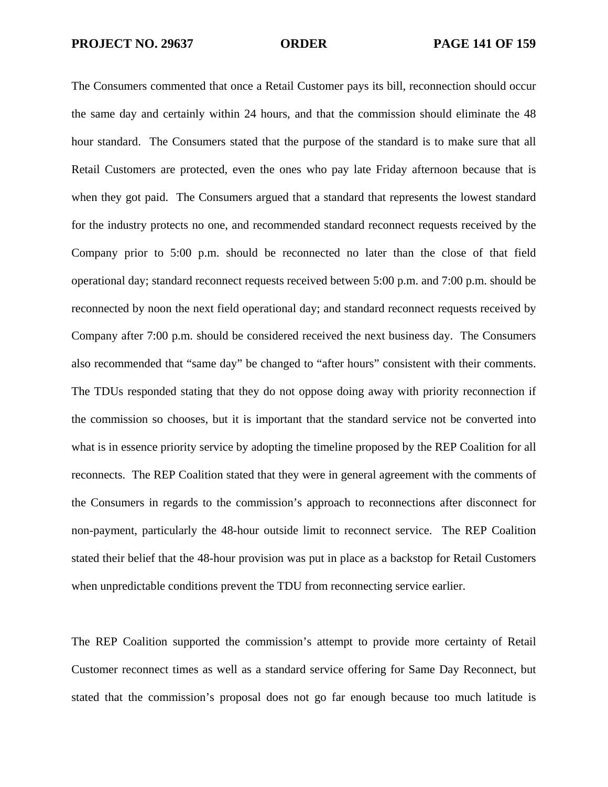The Consumers commented that once a Retail Customer pays its bill, reconnection should occur the same day and certainly within 24 hours, and that the commission should eliminate the 48 hour standard. The Consumers stated that the purpose of the standard is to make sure that all Retail Customers are protected, even the ones who pay late Friday afternoon because that is when they got paid. The Consumers argued that a standard that represents the lowest standard for the industry protects no one, and recommended standard reconnect requests received by the Company prior to 5:00 p.m. should be reconnected no later than the close of that field operational day; standard reconnect requests received between 5:00 p.m. and 7:00 p.m. should be reconnected by noon the next field operational day; and standard reconnect requests received by Company after 7:00 p.m. should be considered received the next business day. The Consumers also recommended that "same day" be changed to "after hours" consistent with their comments. The TDUs responded stating that they do not oppose doing away with priority reconnection if the commission so chooses, but it is important that the standard service not be converted into what is in essence priority service by adopting the timeline proposed by the REP Coalition for all reconnects. The REP Coalition stated that they were in general agreement with the comments of the Consumers in regards to the commission's approach to reconnections after disconnect for non-payment, particularly the 48-hour outside limit to reconnect service. The REP Coalition stated their belief that the 48-hour provision was put in place as a backstop for Retail Customers when unpredictable conditions prevent the TDU from reconnecting service earlier.

The REP Coalition supported the commission's attempt to provide more certainty of Retail Customer reconnect times as well as a standard service offering for Same Day Reconnect, but stated that the commission's proposal does not go far enough because too much latitude is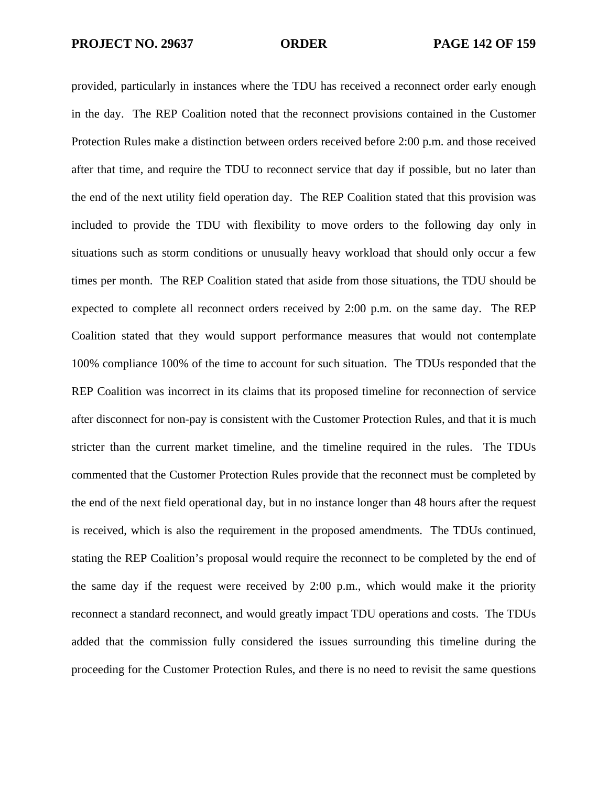provided, particularly in instances where the TDU has received a reconnect order early enough in the day. The REP Coalition noted that the reconnect provisions contained in the Customer Protection Rules make a distinction between orders received before 2:00 p.m. and those received after that time, and require the TDU to reconnect service that day if possible, but no later than the end of the next utility field operation day. The REP Coalition stated that this provision was included to provide the TDU with flexibility to move orders to the following day only in situations such as storm conditions or unusually heavy workload that should only occur a few times per month. The REP Coalition stated that aside from those situations, the TDU should be expected to complete all reconnect orders received by 2:00 p.m. on the same day. The REP Coalition stated that they would support performance measures that would not contemplate 100% compliance 100% of the time to account for such situation. The TDUs responded that the REP Coalition was incorrect in its claims that its proposed timeline for reconnection of service after disconnect for non-pay is consistent with the Customer Protection Rules, and that it is much stricter than the current market timeline, and the timeline required in the rules. The TDUs commented that the Customer Protection Rules provide that the reconnect must be completed by the end of the next field operational day, but in no instance longer than 48 hours after the request is received, which is also the requirement in the proposed amendments. The TDUs continued, stating the REP Coalition's proposal would require the reconnect to be completed by the end of the same day if the request were received by 2:00 p.m., which would make it the priority reconnect a standard reconnect, and would greatly impact TDU operations and costs. The TDUs added that the commission fully considered the issues surrounding this timeline during the proceeding for the Customer Protection Rules, and there is no need to revisit the same questions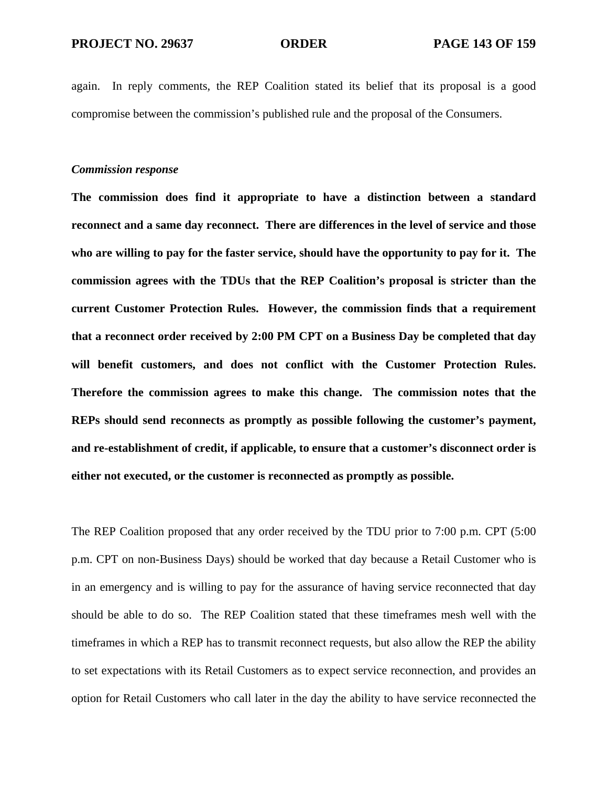again. In reply comments, the REP Coalition stated its belief that its proposal is a good compromise between the commission's published rule and the proposal of the Consumers.

### *Commission response*

**The commission does find it appropriate to have a distinction between a standard reconnect and a same day reconnect. There are differences in the level of service and those who are willing to pay for the faster service, should have the opportunity to pay for it. The commission agrees with the TDUs that the REP Coalition's proposal is stricter than the current Customer Protection Rules. However, the commission finds that a requirement that a reconnect order received by 2:00 PM CPT on a Business Day be completed that day will benefit customers, and does not conflict with the Customer Protection Rules. Therefore the commission agrees to make this change. The commission notes that the REPs should send reconnects as promptly as possible following the customer's payment, and re-establishment of credit, if applicable, to ensure that a customer's disconnect order is either not executed, or the customer is reconnected as promptly as possible.** 

The REP Coalition proposed that any order received by the TDU prior to 7:00 p.m. CPT (5:00 p.m. CPT on non-Business Days) should be worked that day because a Retail Customer who is in an emergency and is willing to pay for the assurance of having service reconnected that day should be able to do so. The REP Coalition stated that these timeframes mesh well with the timeframes in which a REP has to transmit reconnect requests, but also allow the REP the ability to set expectations with its Retail Customers as to expect service reconnection, and provides an option for Retail Customers who call later in the day the ability to have service reconnected the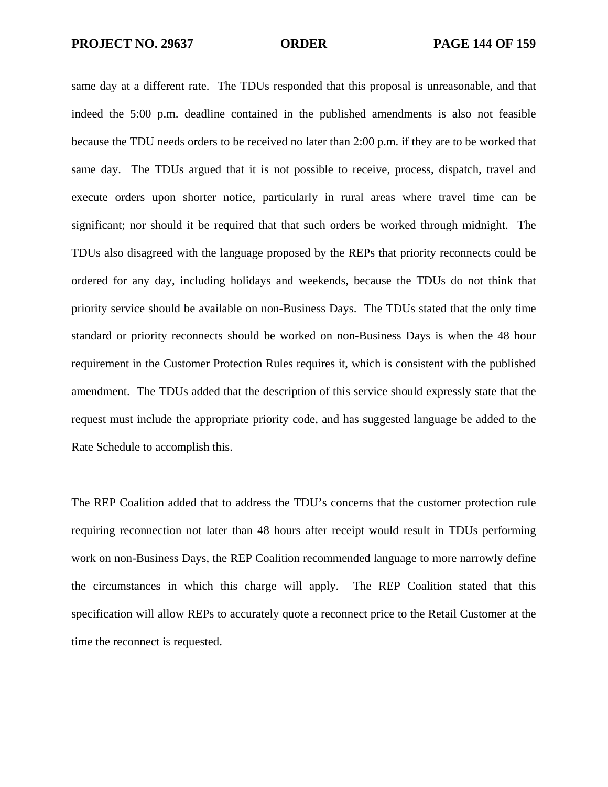same day at a different rate. The TDUs responded that this proposal is unreasonable, and that indeed the 5:00 p.m. deadline contained in the published amendments is also not feasible because the TDU needs orders to be received no later than 2:00 p.m. if they are to be worked that same day. The TDUs argued that it is not possible to receive, process, dispatch, travel and execute orders upon shorter notice, particularly in rural areas where travel time can be significant; nor should it be required that that such orders be worked through midnight. The TDUs also disagreed with the language proposed by the REPs that priority reconnects could be ordered for any day, including holidays and weekends, because the TDUs do not think that priority service should be available on non-Business Days. The TDUs stated that the only time standard or priority reconnects should be worked on non-Business Days is when the 48 hour requirement in the Customer Protection Rules requires it, which is consistent with the published amendment. The TDUs added that the description of this service should expressly state that the request must include the appropriate priority code, and has suggested language be added to the Rate Schedule to accomplish this.

The REP Coalition added that to address the TDU's concerns that the customer protection rule requiring reconnection not later than 48 hours after receipt would result in TDUs performing work on non-Business Days, the REP Coalition recommended language to more narrowly define the circumstances in which this charge will apply. The REP Coalition stated that this specification will allow REPs to accurately quote a reconnect price to the Retail Customer at the time the reconnect is requested.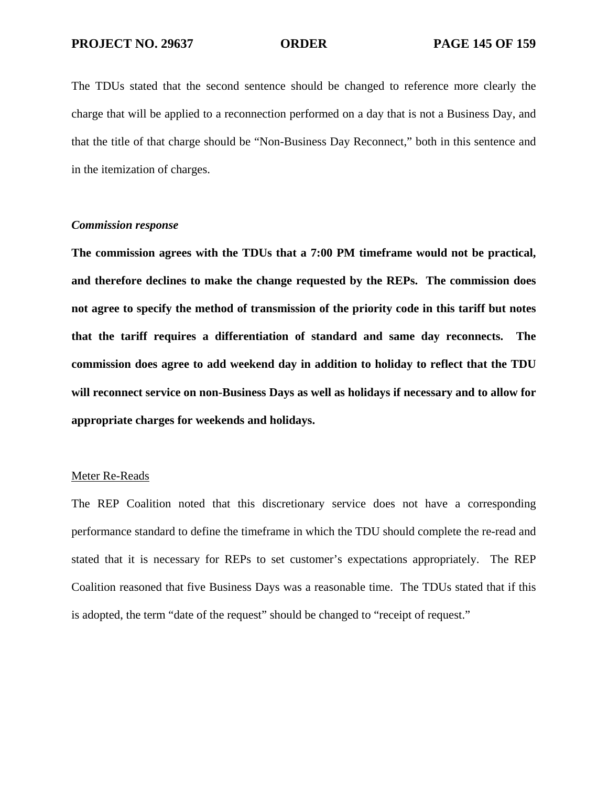The TDUs stated that the second sentence should be changed to reference more clearly the charge that will be applied to a reconnection performed on a day that is not a Business Day, and that the title of that charge should be "Non-Business Day Reconnect," both in this sentence and in the itemization of charges.

## *Commission response*

**The commission agrees with the TDUs that a 7:00 PM timeframe would not be practical, and therefore declines to make the change requested by the REPs. The commission does not agree to specify the method of transmission of the priority code in this tariff but notes that the tariff requires a differentiation of standard and same day reconnects. The commission does agree to add weekend day in addition to holiday to reflect that the TDU will reconnect service on non-Business Days as well as holidays if necessary and to allow for appropriate charges for weekends and holidays.** 

### Meter Re-Reads

The REP Coalition noted that this discretionary service does not have a corresponding performance standard to define the timeframe in which the TDU should complete the re-read and stated that it is necessary for REPs to set customer's expectations appropriately. The REP Coalition reasoned that five Business Days was a reasonable time. The TDUs stated that if this is adopted, the term "date of the request" should be changed to "receipt of request."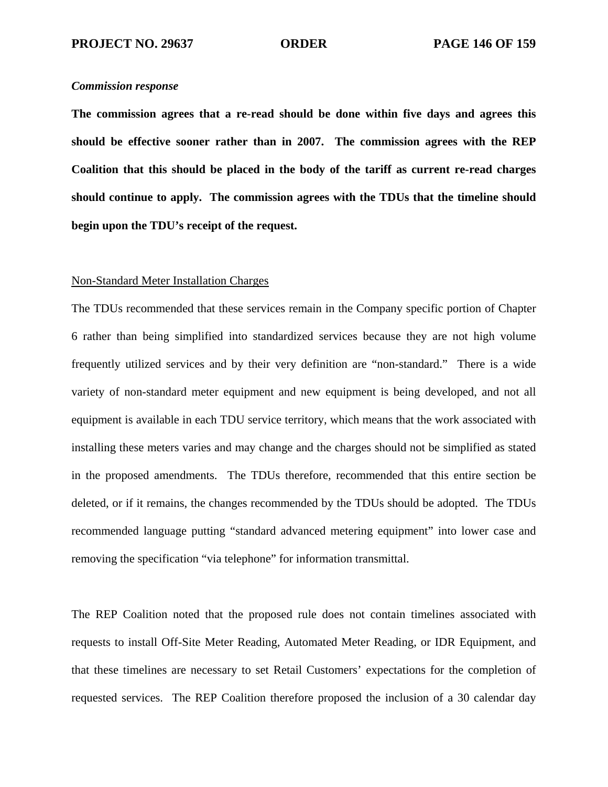### *Commission response*

**The commission agrees that a re-read should be done within five days and agrees this should be effective sooner rather than in 2007. The commission agrees with the REP Coalition that this should be placed in the body of the tariff as current re-read charges should continue to apply. The commission agrees with the TDUs that the timeline should begin upon the TDU's receipt of the request.** 

#### Non-Standard Meter Installation Charges

The TDUs recommended that these services remain in the Company specific portion of Chapter 6 rather than being simplified into standardized services because they are not high volume frequently utilized services and by their very definition are "non-standard." There is a wide variety of non-standard meter equipment and new equipment is being developed, and not all equipment is available in each TDU service territory, which means that the work associated with installing these meters varies and may change and the charges should not be simplified as stated in the proposed amendments. The TDUs therefore, recommended that this entire section be deleted, or if it remains, the changes recommended by the TDUs should be adopted. The TDUs recommended language putting "standard advanced metering equipment" into lower case and removing the specification "via telephone" for information transmittal.

The REP Coalition noted that the proposed rule does not contain timelines associated with requests to install Off-Site Meter Reading, Automated Meter Reading, or IDR Equipment, and that these timelines are necessary to set Retail Customers' expectations for the completion of requested services. The REP Coalition therefore proposed the inclusion of a 30 calendar day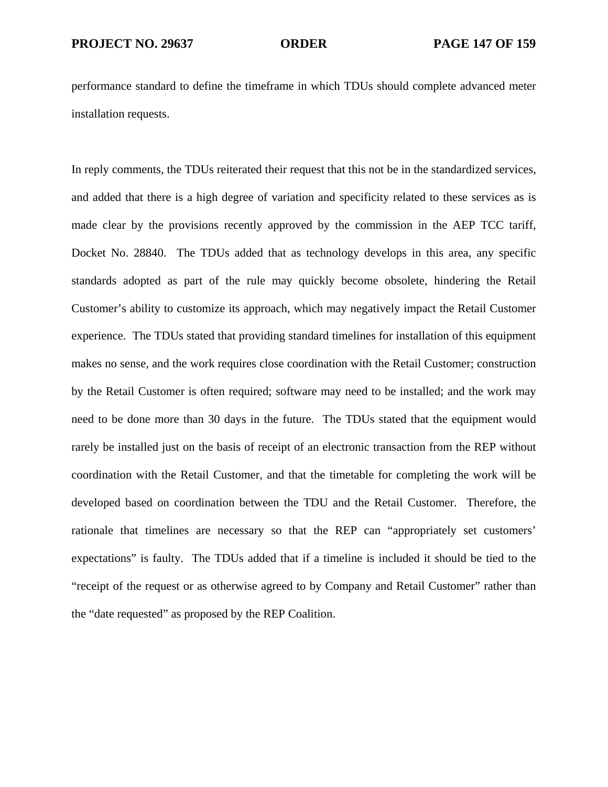performance standard to define the timeframe in which TDUs should complete advanced meter installation requests.

In reply comments, the TDUs reiterated their request that this not be in the standardized services, and added that there is a high degree of variation and specificity related to these services as is made clear by the provisions recently approved by the commission in the AEP TCC tariff, Docket No. 28840. The TDUs added that as technology develops in this area, any specific standards adopted as part of the rule may quickly become obsolete, hindering the Retail Customer's ability to customize its approach, which may negatively impact the Retail Customer experience. The TDUs stated that providing standard timelines for installation of this equipment makes no sense, and the work requires close coordination with the Retail Customer; construction by the Retail Customer is often required; software may need to be installed; and the work may need to be done more than 30 days in the future. The TDUs stated that the equipment would rarely be installed just on the basis of receipt of an electronic transaction from the REP without coordination with the Retail Customer, and that the timetable for completing the work will be developed based on coordination between the TDU and the Retail Customer. Therefore, the rationale that timelines are necessary so that the REP can "appropriately set customers' expectations" is faulty. The TDUs added that if a timeline is included it should be tied to the "receipt of the request or as otherwise agreed to by Company and Retail Customer" rather than the "date requested" as proposed by the REP Coalition.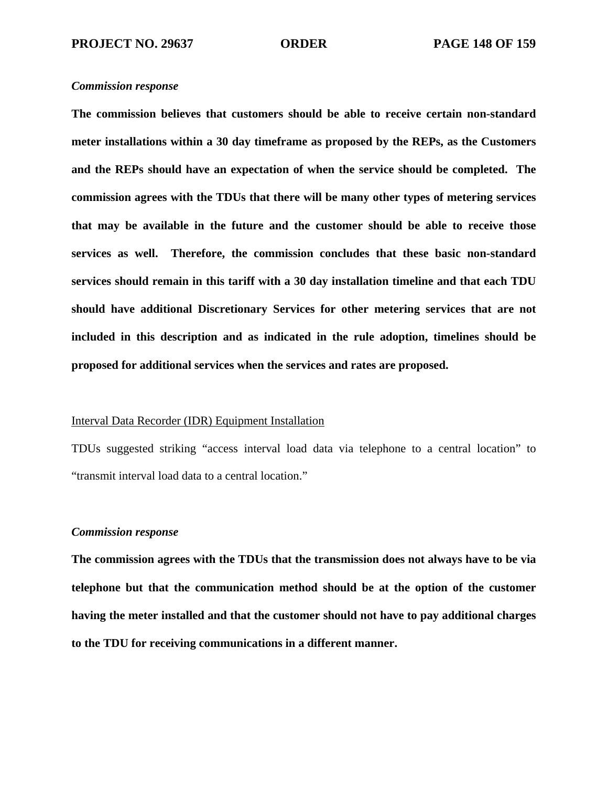### *Commission response*

**The commission believes that customers should be able to receive certain non-standard meter installations within a 30 day timeframe as proposed by the REPs, as the Customers and the REPs should have an expectation of when the service should be completed. The commission agrees with the TDUs that there will be many other types of metering services that may be available in the future and the customer should be able to receive those services as well. Therefore, the commission concludes that these basic non-standard services should remain in this tariff with a 30 day installation timeline and that each TDU should have additional Discretionary Services for other metering services that are not included in this description and as indicated in the rule adoption, timelines should be proposed for additional services when the services and rates are proposed.** 

## Interval Data Recorder (IDR) Equipment Installation

TDUs suggested striking "access interval load data via telephone to a central location" to "transmit interval load data to a central location."

# *Commission response*

**The commission agrees with the TDUs that the transmission does not always have to be via telephone but that the communication method should be at the option of the customer having the meter installed and that the customer should not have to pay additional charges to the TDU for receiving communications in a different manner.**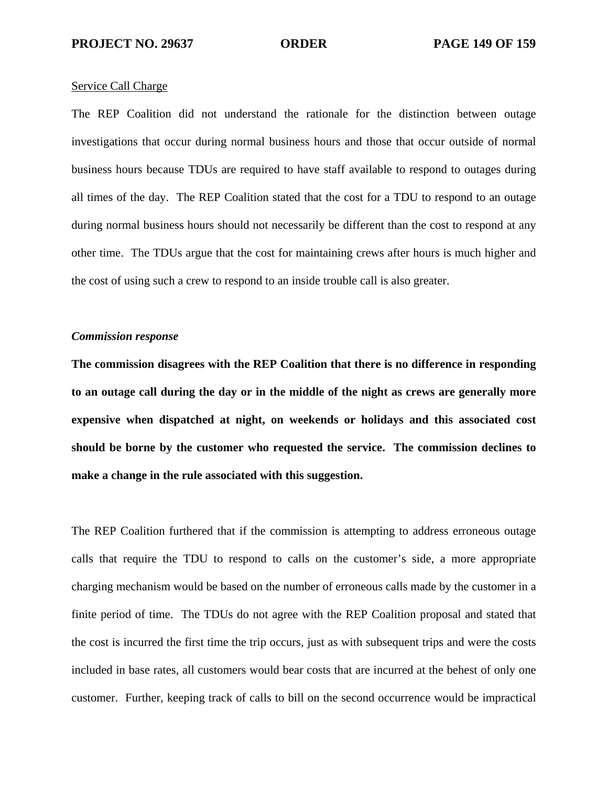#### Service Call Charge

The REP Coalition did not understand the rationale for the distinction between outage investigations that occur during normal business hours and those that occur outside of normal business hours because TDUs are required to have staff available to respond to outages during all times of the day. The REP Coalition stated that the cost for a TDU to respond to an outage during normal business hours should not necessarily be different than the cost to respond at any other time. The TDUs argue that the cost for maintaining crews after hours is much higher and the cost of using such a crew to respond to an inside trouble call is also greater.

#### *Commission response*

**The commission disagrees with the REP Coalition that there is no difference in responding to an outage call during the day or in the middle of the night as crews are generally more expensive when dispatched at night, on weekends or holidays and this associated cost should be borne by the customer who requested the service. The commission declines to make a change in the rule associated with this suggestion.** 

The REP Coalition furthered that if the commission is attempting to address erroneous outage calls that require the TDU to respond to calls on the customer's side, a more appropriate charging mechanism would be based on the number of erroneous calls made by the customer in a finite period of time. The TDUs do not agree with the REP Coalition proposal and stated that the cost is incurred the first time the trip occurs, just as with subsequent trips and were the costs included in base rates, all customers would bear costs that are incurred at the behest of only one customer. Further, keeping track of calls to bill on the second occurrence would be impractical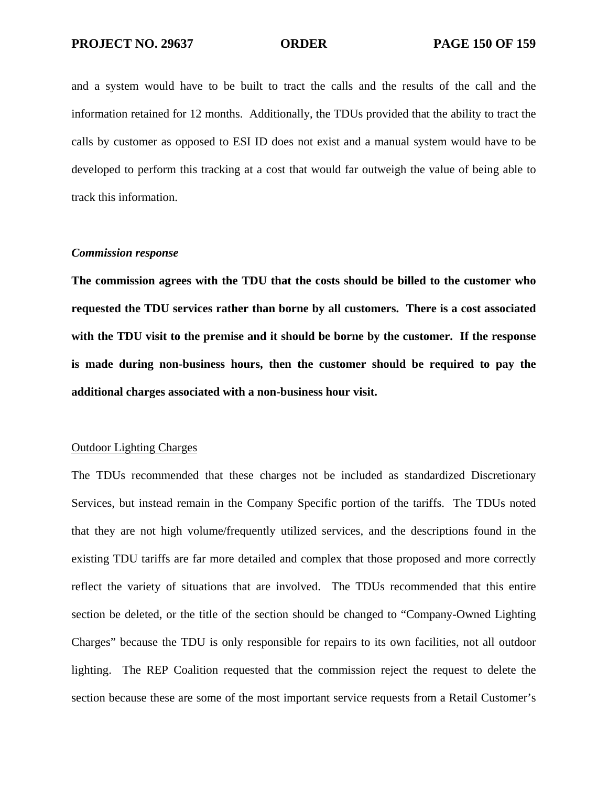and a system would have to be built to tract the calls and the results of the call and the information retained for 12 months. Additionally, the TDUs provided that the ability to tract the calls by customer as opposed to ESI ID does not exist and a manual system would have to be developed to perform this tracking at a cost that would far outweigh the value of being able to track this information.

#### *Commission response*

**The commission agrees with the TDU that the costs should be billed to the customer who requested the TDU services rather than borne by all customers. There is a cost associated with the TDU visit to the premise and it should be borne by the customer. If the response is made during non-business hours, then the customer should be required to pay the additional charges associated with a non-business hour visit.** 

### Outdoor Lighting Charges

The TDUs recommended that these charges not be included as standardized Discretionary Services, but instead remain in the Company Specific portion of the tariffs. The TDUs noted that they are not high volume/frequently utilized services, and the descriptions found in the existing TDU tariffs are far more detailed and complex that those proposed and more correctly reflect the variety of situations that are involved. The TDUs recommended that this entire section be deleted, or the title of the section should be changed to "Company-Owned Lighting Charges" because the TDU is only responsible for repairs to its own facilities, not all outdoor lighting. The REP Coalition requested that the commission reject the request to delete the section because these are some of the most important service requests from a Retail Customer's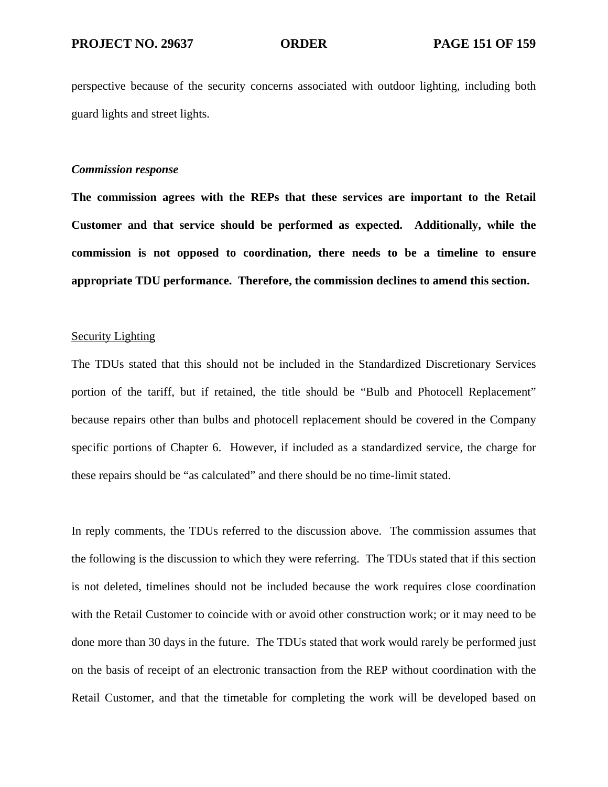perspective because of the security concerns associated with outdoor lighting, including both guard lights and street lights.

## *Commission response*

**The commission agrees with the REPs that these services are important to the Retail Customer and that service should be performed as expected. Additionally, while the commission is not opposed to coordination, there needs to be a timeline to ensure appropriate TDU performance. Therefore, the commission declines to amend this section.** 

#### Security Lighting

The TDUs stated that this should not be included in the Standardized Discretionary Services portion of the tariff, but if retained, the title should be "Bulb and Photocell Replacement" because repairs other than bulbs and photocell replacement should be covered in the Company specific portions of Chapter 6. However, if included as a standardized service, the charge for these repairs should be "as calculated" and there should be no time-limit stated.

In reply comments, the TDUs referred to the discussion above. The commission assumes that the following is the discussion to which they were referring. The TDUs stated that if this section is not deleted, timelines should not be included because the work requires close coordination with the Retail Customer to coincide with or avoid other construction work; or it may need to be done more than 30 days in the future. The TDUs stated that work would rarely be performed just on the basis of receipt of an electronic transaction from the REP without coordination with the Retail Customer, and that the timetable for completing the work will be developed based on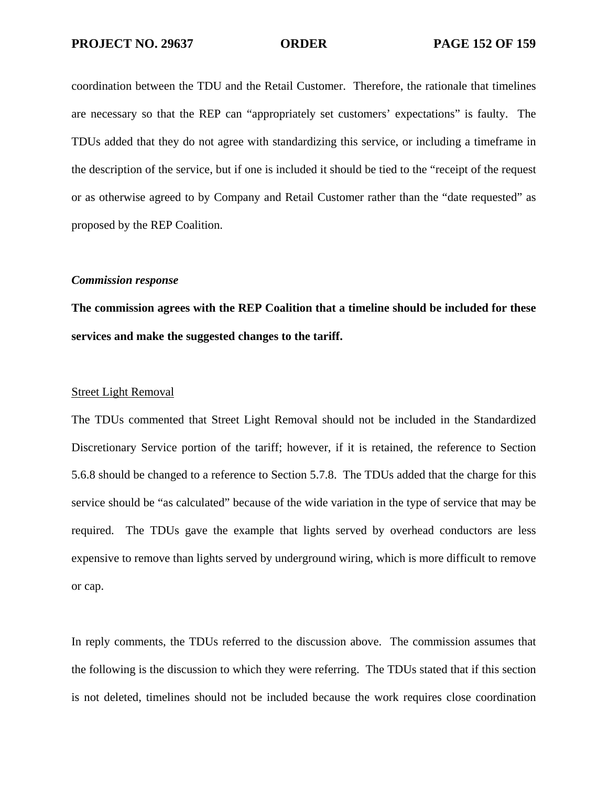coordination between the TDU and the Retail Customer. Therefore, the rationale that timelines are necessary so that the REP can "appropriately set customers' expectations" is faulty. The TDUs added that they do not agree with standardizing this service, or including a timeframe in the description of the service, but if one is included it should be tied to the "receipt of the request or as otherwise agreed to by Company and Retail Customer rather than the "date requested" as proposed by the REP Coalition.

## *Commission response*

**The commission agrees with the REP Coalition that a timeline should be included for these services and make the suggested changes to the tariff.** 

#### Street Light Removal

The TDUs commented that Street Light Removal should not be included in the Standardized Discretionary Service portion of the tariff; however, if it is retained, the reference to Section 5.6.8 should be changed to a reference to Section 5.7.8. The TDUs added that the charge for this service should be "as calculated" because of the wide variation in the type of service that may be required. The TDUs gave the example that lights served by overhead conductors are less expensive to remove than lights served by underground wiring, which is more difficult to remove or cap.

In reply comments, the TDUs referred to the discussion above. The commission assumes that the following is the discussion to which they were referring. The TDUs stated that if this section is not deleted, timelines should not be included because the work requires close coordination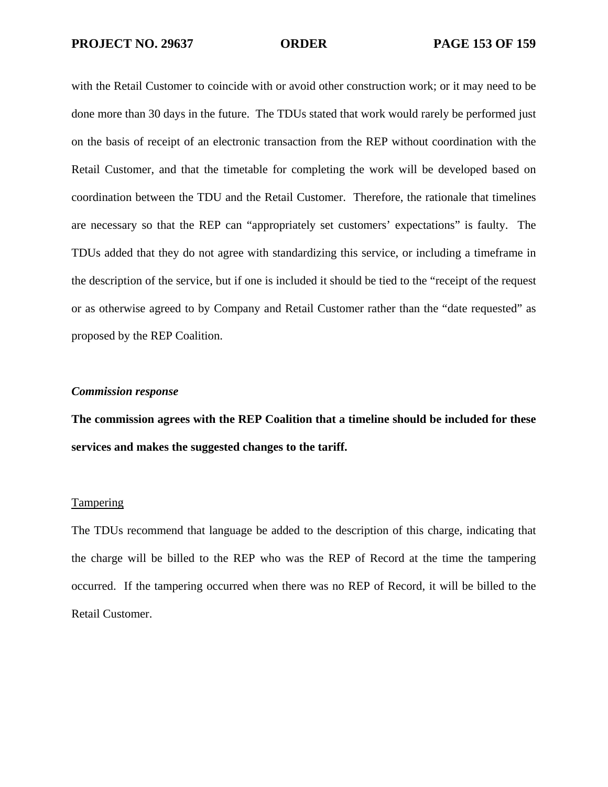with the Retail Customer to coincide with or avoid other construction work; or it may need to be done more than 30 days in the future. The TDUs stated that work would rarely be performed just on the basis of receipt of an electronic transaction from the REP without coordination with the Retail Customer, and that the timetable for completing the work will be developed based on coordination between the TDU and the Retail Customer. Therefore, the rationale that timelines are necessary so that the REP can "appropriately set customers' expectations" is faulty. The TDUs added that they do not agree with standardizing this service, or including a timeframe in the description of the service, but if one is included it should be tied to the "receipt of the request or as otherwise agreed to by Company and Retail Customer rather than the "date requested" as proposed by the REP Coalition.

#### *Commission response*

**The commission agrees with the REP Coalition that a timeline should be included for these services and makes the suggested changes to the tariff.** 

### **Tampering**

The TDUs recommend that language be added to the description of this charge, indicating that the charge will be billed to the REP who was the REP of Record at the time the tampering occurred. If the tampering occurred when there was no REP of Record, it will be billed to the Retail Customer.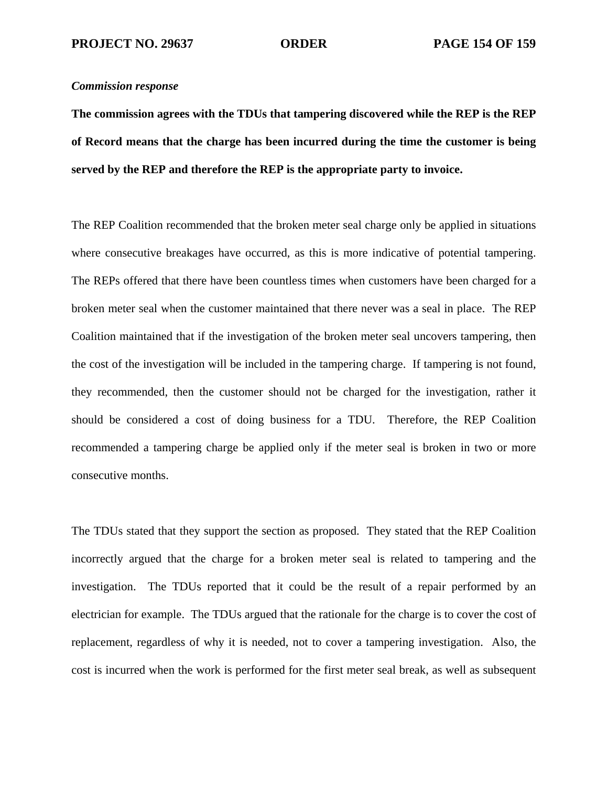### *Commission response*

**The commission agrees with the TDUs that tampering discovered while the REP is the REP of Record means that the charge has been incurred during the time the customer is being served by the REP and therefore the REP is the appropriate party to invoice.** 

The REP Coalition recommended that the broken meter seal charge only be applied in situations where consecutive breakages have occurred, as this is more indicative of potential tampering. The REPs offered that there have been countless times when customers have been charged for a broken meter seal when the customer maintained that there never was a seal in place. The REP Coalition maintained that if the investigation of the broken meter seal uncovers tampering, then the cost of the investigation will be included in the tampering charge. If tampering is not found, they recommended, then the customer should not be charged for the investigation, rather it should be considered a cost of doing business for a TDU. Therefore, the REP Coalition recommended a tampering charge be applied only if the meter seal is broken in two or more consecutive months.

The TDUs stated that they support the section as proposed. They stated that the REP Coalition incorrectly argued that the charge for a broken meter seal is related to tampering and the investigation. The TDUs reported that it could be the result of a repair performed by an electrician for example. The TDUs argued that the rationale for the charge is to cover the cost of replacement, regardless of why it is needed, not to cover a tampering investigation. Also, the cost is incurred when the work is performed for the first meter seal break, as well as subsequent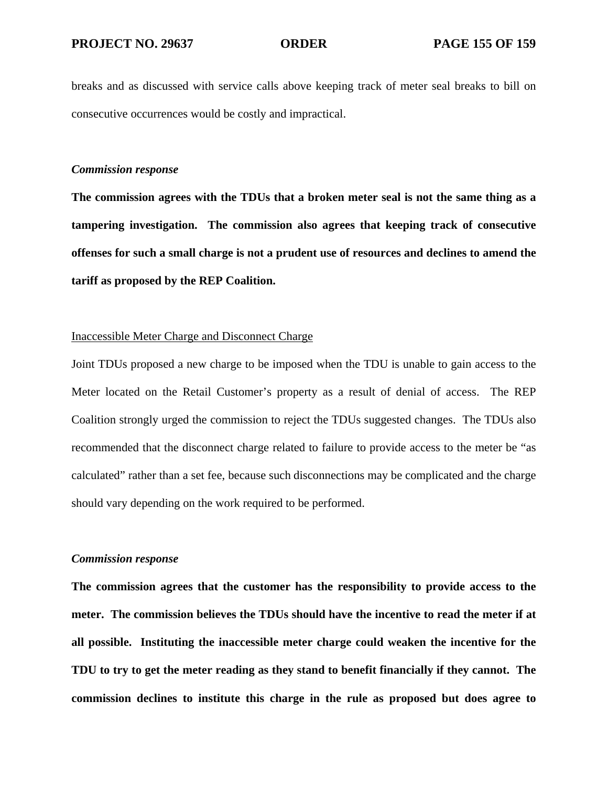breaks and as discussed with service calls above keeping track of meter seal breaks to bill on consecutive occurrences would be costly and impractical.

#### *Commission response*

**The commission agrees with the TDUs that a broken meter seal is not the same thing as a tampering investigation. The commission also agrees that keeping track of consecutive offenses for such a small charge is not a prudent use of resources and declines to amend the tariff as proposed by the REP Coalition.** 

#### Inaccessible Meter Charge and Disconnect Charge

Joint TDUs proposed a new charge to be imposed when the TDU is unable to gain access to the Meter located on the Retail Customer's property as a result of denial of access. The REP Coalition strongly urged the commission to reject the TDUs suggested changes. The TDUs also recommended that the disconnect charge related to failure to provide access to the meter be "as calculated" rather than a set fee, because such disconnections may be complicated and the charge should vary depending on the work required to be performed.

#### *Commission response*

**The commission agrees that the customer has the responsibility to provide access to the meter. The commission believes the TDUs should have the incentive to read the meter if at all possible. Instituting the inaccessible meter charge could weaken the incentive for the TDU to try to get the meter reading as they stand to benefit financially if they cannot. The commission declines to institute this charge in the rule as proposed but does agree to**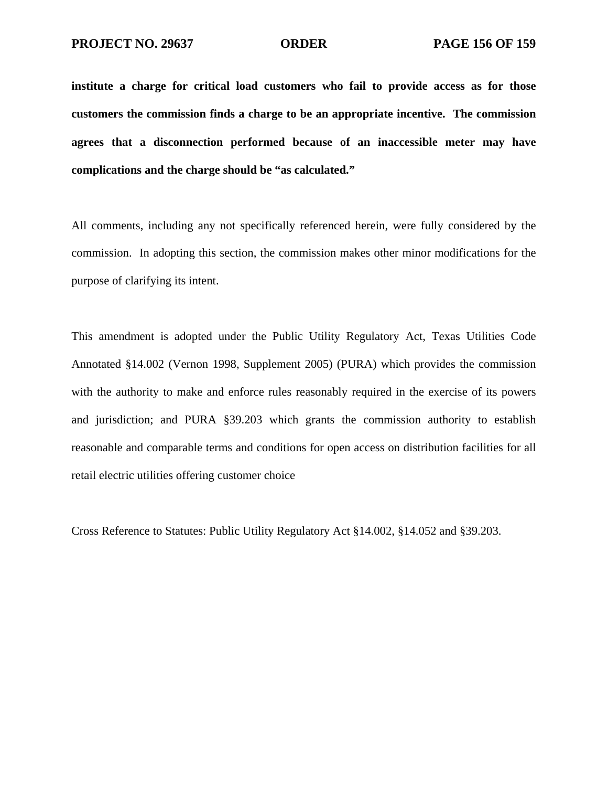**institute a charge for critical load customers who fail to provide access as for those customers the commission finds a charge to be an appropriate incentive. The commission agrees that a disconnection performed because of an inaccessible meter may have complications and the charge should be "as calculated."** 

All comments, including any not specifically referenced herein, were fully considered by the commission. In adopting this section, the commission makes other minor modifications for the purpose of clarifying its intent.

This amendment is adopted under the Public Utility Regulatory Act, Texas Utilities Code Annotated §14.002 (Vernon 1998, Supplement 2005) (PURA) which provides the commission with the authority to make and enforce rules reasonably required in the exercise of its powers and jurisdiction; and PURA §39.203 which grants the commission authority to establish reasonable and comparable terms and conditions for open access on distribution facilities for all retail electric utilities offering customer choice

Cross Reference to Statutes: Public Utility Regulatory Act §14.002, §14.052 and §39.203.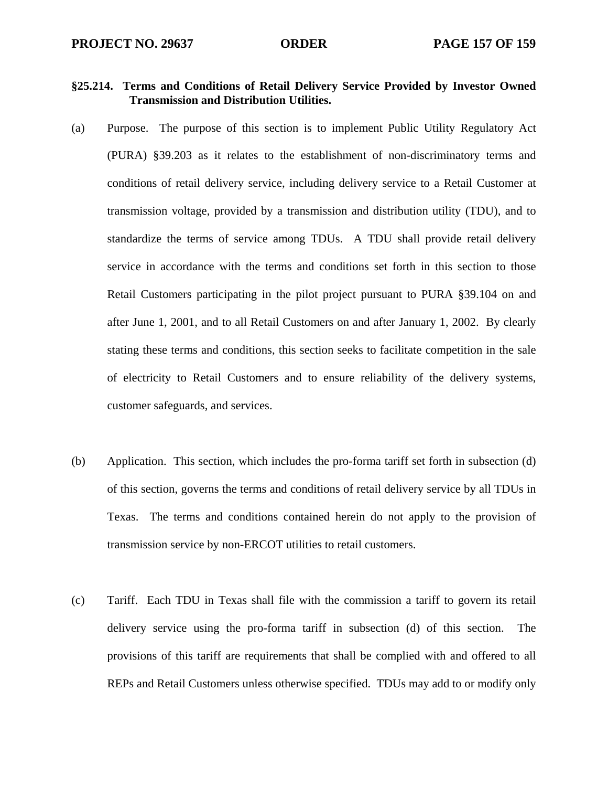# **§25.214. Terms and Conditions of Retail Delivery Service Provided by Investor Owned Transmission and Distribution Utilities.**

- (a) Purpose. The purpose of this section is to implement Public Utility Regulatory Act (PURA) §39.203 as it relates to the establishment of non-discriminatory terms and conditions of retail delivery service, including delivery service to a Retail Customer at transmission voltage, provided by a transmission and distribution utility (TDU), and to standardize the terms of service among TDUs. A TDU shall provide retail delivery service in accordance with the terms and conditions set forth in this section to those Retail Customers participating in the pilot project pursuant to PURA §39.104 on and after June 1, 2001, and to all Retail Customers on and after January 1, 2002. By clearly stating these terms and conditions, this section seeks to facilitate competition in the sale of electricity to Retail Customers and to ensure reliability of the delivery systems, customer safeguards, and services.
- (b) Application. This section, which includes the pro-forma tariff set forth in subsection (d) of this section, governs the terms and conditions of retail delivery service by all TDUs in Texas. The terms and conditions contained herein do not apply to the provision of transmission service by non-ERCOT utilities to retail customers.
- (c) Tariff. Each TDU in Texas shall file with the commission a tariff to govern its retail delivery service using the pro-forma tariff in subsection (d) of this section. The provisions of this tariff are requirements that shall be complied with and offered to all REPs and Retail Customers unless otherwise specified. TDUs may add to or modify only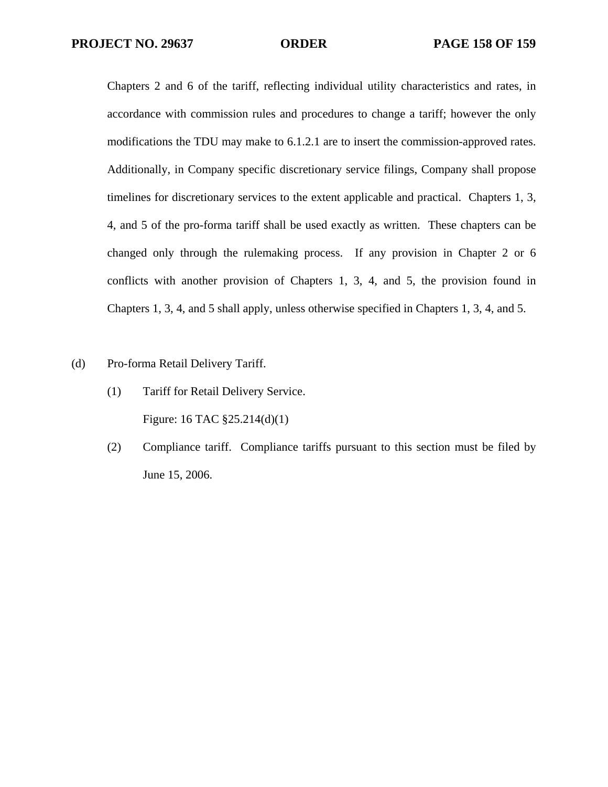Chapters 2 and 6 of the tariff, reflecting individual utility characteristics and rates, in accordance with commission rules and procedures to change a tariff; however the only modifications the TDU may make to 6.1.2.1 are to insert the commission-approved rates. Additionally, in Company specific discretionary service filings, Company shall propose timelines for discretionary services to the extent applicable and practical. Chapters 1, 3, 4, and 5 of the pro-forma tariff shall be used exactly as written. These chapters can be changed only through the rulemaking process. If any provision in Chapter 2 or 6 conflicts with another provision of Chapters 1, 3, 4, and 5, the provision found in Chapters 1, 3, 4, and 5 shall apply, unless otherwise specified in Chapters 1, 3, 4, and 5.

- (d) Pro-forma Retail Delivery Tariff.
	- (1) Tariff for Retail Delivery Service. Figure: 16 TAC §25.214(d)(1)
	- (2) Compliance tariff. Compliance tariffs pursuant to this section must be filed by June 15, 2006.